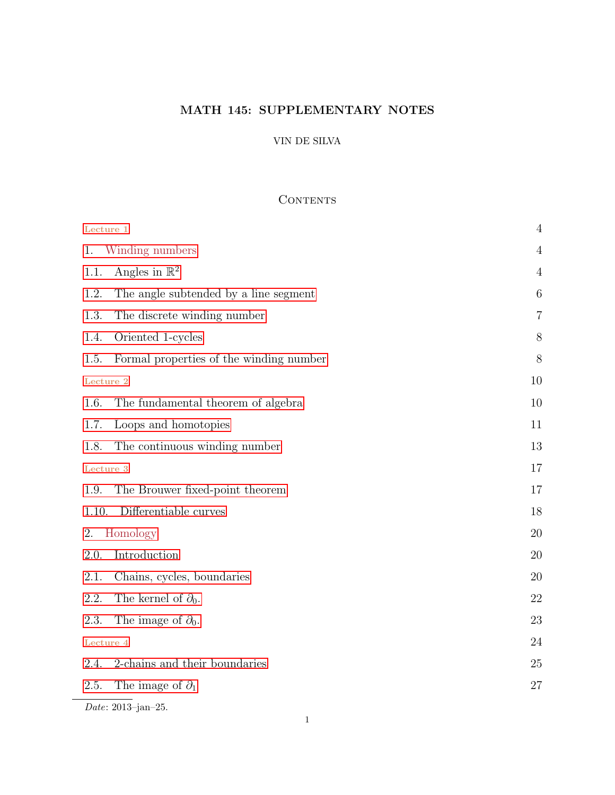# MATH 145: SUPPLEMENTARY NOTES

# VIN DE SILVA

# <span id="page-0-0"></span>**CONTENTS**

| Lecture 1                                       | $\overline{4}$  |
|-------------------------------------------------|-----------------|
| Winding numbers<br>1.                           | $\overline{4}$  |
| Angles in $\mathbb{R}^2$<br>1.1.                | $\overline{4}$  |
| 1.2.<br>The angle subtended by a line segment   | $6\phantom{.}6$ |
| 1.3.<br>The discrete winding number             | $\overline{7}$  |
| Oriented 1-cycles<br>1.4.                       | 8               |
| Formal properties of the winding number<br>1.5. | 8               |
| Lecture 2                                       | 10              |
| The fundamental theorem of algebra<br>1.6.      | 10              |
| Loops and homotopies<br>1.7.                    | 11              |
| 1.8.<br>The continuous winding number           | 13              |
| Lecture 3                                       | 17              |
| The Brouwer fixed-point theorem<br>1.9.         | 17              |
| Differentiable curves<br>1.10.                  | 18              |
| Homology<br>2.                                  | 20              |
| Introduction<br>2.0.                            | 20              |
| 2.1.<br>Chains, cycles, boundaries              | 20              |
| The kernel of $\partial_0$ .<br>2.2.            | 22              |
| 2.3.<br>The image of $\partial_0$ .             | 23              |
| Lecture 4                                       | 24              |
| 2-chains and their boundaries<br>2.4.           | 25              |
| The image of $\partial_1$<br>2.5.               | 27              |
| Date: 2013-jan-25.                              |                 |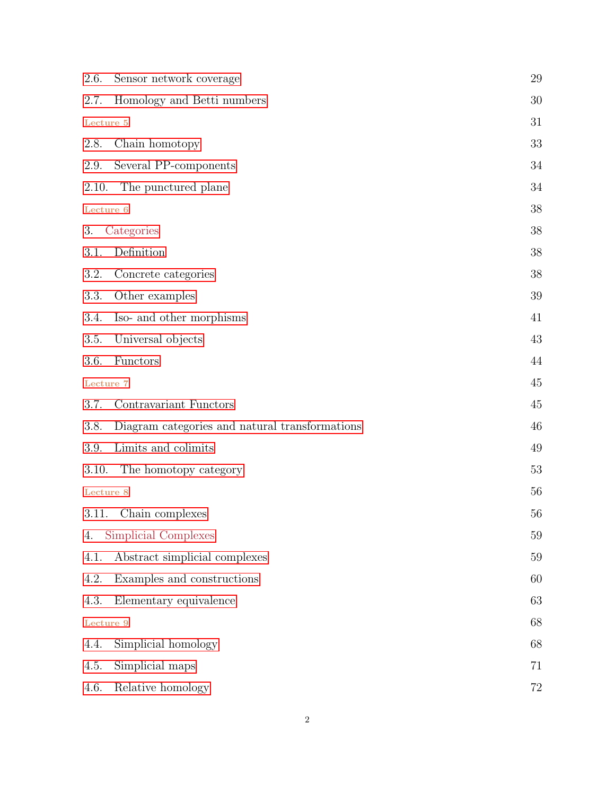| 2.6.      | Sensor network coverage                        | 29 |
|-----------|------------------------------------------------|----|
| 2.7.      | Homology and Betti numbers                     | 30 |
| Lecture 5 |                                                | 31 |
| 2.8.      | Chain homotopy                                 | 33 |
| 2.9.      | Several PP-components                          | 34 |
| 2.10.     | The punctured plane                            | 34 |
| Lecture 6 |                                                | 38 |
| 3.        | Categories                                     | 38 |
| 3.1.      | Definition                                     | 38 |
| 3.2.      | Concrete categories                            | 38 |
| 3.3.      | Other examples                                 | 39 |
| 3.4.      | Iso- and other morphisms                       | 41 |
| 3.5.      | Universal objects                              | 43 |
| 3.6.      | Functors                                       | 44 |
| Lecture 7 |                                                | 45 |
| 3.7.      | Contravariant Functors                         | 45 |
| 3.8.      | Diagram categories and natural transformations | 46 |
| 3.9.      | Limits and colimits                            | 49 |
| 3.10.     | The homotopy category                          | 53 |
| Lecture 8 |                                                | 56 |
| 3.11.     | Chain complexes                                | 56 |
| 4.        | Simplicial Complexes                           | 59 |
| 4.1.      | Abstract simplicial complexes                  | 59 |
| 4.2.      | Examples and constructions                     | 60 |
| 4.3.      | Elementary equivalence                         | 63 |
| Lecture 9 |                                                | 68 |
| 4.4.      | Simplicial homology                            | 68 |
| 4.5.      | Simplicial maps                                | 71 |
| 4.6.      | Relative homology                              | 72 |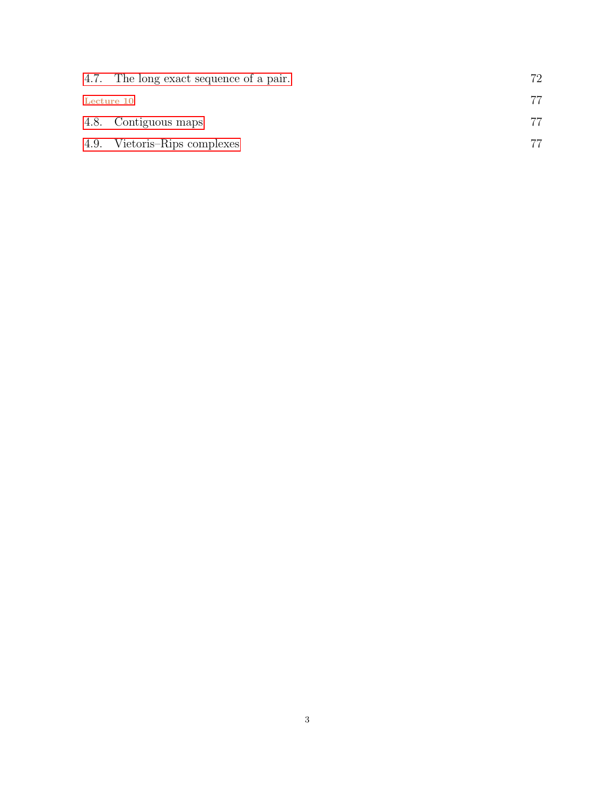|            | 4.7. The long exact sequence of a pair. | 72 |
|------------|-----------------------------------------|----|
| Lecture 10 |                                         |    |
|            | 4.8. Contiguous maps                    |    |
|            | 4.9. Vietoris–Rips complexes            |    |
|            |                                         |    |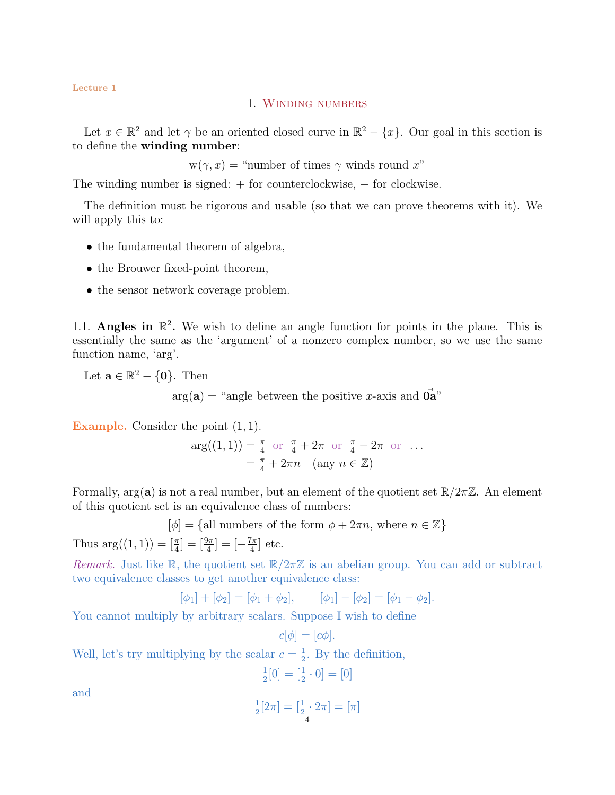<span id="page-3-0"></span>Lecture 1

## 1. Winding numbers

Let  $x \in \mathbb{R}^2$  and let  $\gamma$  be an oriented closed curve in  $\mathbb{R}^2 - \{x\}$ . Our goal in this section is to define the winding number:

 $w(\gamma, x) =$  "number of times  $\gamma$  winds round x"

The winding number is signed: + for counterclockwise, − for clockwise.

The definition must be rigorous and usable (so that we can prove theorems with it). We will apply this to:

- the fundamental theorem of algebra,
- the Brouwer fixed-point theorem,
- the sensor network coverage problem.

<span id="page-3-1"></span>1.1. Angles in  $\mathbb{R}^2$ . We wish to define an angle function for points in the plane. This is essentially the same as the 'argument' of a nonzero complex number, so we use the same function name, 'arg'.

Let  $\mathbf{a} \in \mathbb{R}^2 - \{\mathbf{0}\}$ . Then

 $arg(a) =$  "angle between the positive x-axis and  $\vec{0a}$ "

Example. Consider the point  $(1, 1)$ .

$$
\arg((1,1)) = \frac{\pi}{4} \text{ or } \frac{\pi}{4} + 2\pi \text{ or } \frac{\pi}{4} - 2\pi \text{ or } ...
$$

$$
= \frac{\pi}{4} + 2\pi n \quad (\text{any } n \in \mathbb{Z})
$$

Formally,  $\arg(\mathbf{a})$  is not a real number, but an element of the quotient set  $\mathbb{R}/2\pi\mathbb{Z}$ . An element of this quotient set is an equivalence class of numbers:

$$
[\phi] = \{ \text{all numbers of the form } \phi + 2\pi n, \text{ where } n \in \mathbb{Z} \}
$$

Thus  $\arg((1,1)) = \left[\frac{\pi}{4}\right] = \left[\frac{9\pi}{4}\right] = \left[-\frac{7\pi}{4}\right]$  $\frac{7\pi}{4}$  etc.

Remark. Just like R, the quotient set  $\mathbb{R}/2\pi\mathbb{Z}$  is an abelian group. You can add or subtract two equivalence classes to get another equivalence class:

$$
[\phi_1] + [\phi_2] = [\phi_1 + \phi_2],
$$
  $[\phi_1] - [\phi_2] = [\phi_1 - \phi_2].$ 

 $c[\phi] = [c\phi]$ 

You cannot multiply by arbitrary scalars. Suppose I wish to define

Well, let's try multiplying by the scalar 
$$
c = \frac{1}{2}
$$
. By the definition,

$$
\frac{1}{2} \cdot \frac{1}{2}
$$

$$
\frac{1}{2}[0] = [\frac{1}{2} \cdot 0] = [0]
$$

and

$$
\frac{1}{2}[2\pi] = \left[\frac{1}{2} \cdot 2\pi\right] = \left[\pi\right]
$$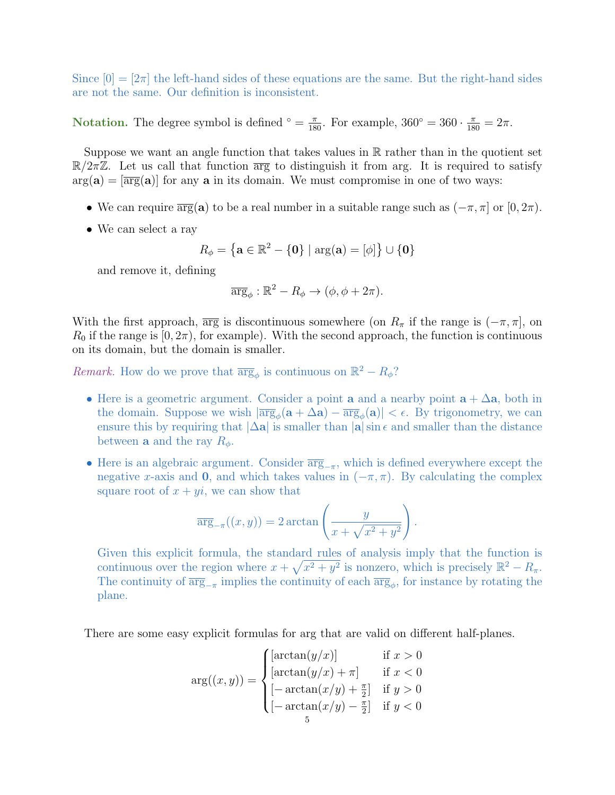Since  $[0] = [2\pi]$  the left-hand sides of these equations are the same. But the right-hand sides are not the same. Our definition is inconsistent.

Notation. The degree symbol is defined  $\degree = \frac{\pi}{180}$ . For example,  $360^{\circ} = 360 \cdot \frac{\pi}{180} = 2\pi$ .

Suppose we want an angle function that takes values in  $\mathbb R$  rather than in the quotient set  $\mathbb{R}/2\pi\mathbb{Z}$ . Let us call that function  $\overline{\arg}$  to distinguish it from arg. It is required to satisfy  $arg(a) = [\overline{arg}(a)]$  for any a in its domain. We must compromise in one of two ways:

- We can require  $\overline{\arg}(\mathbf{a})$  to be a real number in a suitable range such as  $(-\pi, \pi]$  or  $[0, 2\pi)$ .
- We can select a ray

$$
R_{\phi} = \left\{ \mathbf{a} \in \mathbb{R}^2 - \{ \mathbf{0} \} \mid \arg(\mathbf{a}) = [\phi] \right\} \cup \{ \mathbf{0} \}
$$

and remove it, defining

$$
\overline{\arg}_{\phi}: \mathbb{R}^2 - R_{\phi} \to (\phi, \phi + 2\pi).
$$

With the first approach,  $\overline{\arg}$  is discontinuous somewhere (on  $R_\pi$  if the range is  $(-\pi, \pi]$ , on  $R_0$  if the range is  $[0, 2\pi)$ , for example). With the second approach, the function is continuous on its domain, but the domain is smaller.

*Remark*. How do we prove that  $\overline{\arg}_{\phi}$  is continuous on  $\mathbb{R}^2 - R_{\phi}$ ?

- Here is a geometric argument. Consider a point **a** and a nearby point  $\mathbf{a} + \Delta \mathbf{a}$ , both in the domain. Suppose we wish  $|\overline{\arg}_{\phi}(a + \Delta a) - \overline{\arg}_{\phi}(a)| < \epsilon$ . By trigonometry, we can ensure this by requiring that  $|\Delta \mathbf{a}|$  is smaller than  $|\mathbf{a}| \sin \epsilon$  and smaller than the distance between **a** and the ray  $R_{\phi}$ .
- Here is an algebraic argument. Consider  $\overline{\arg}_{-\pi}$ , which is defined everywhere except the negative x-axis and 0, and which takes values in  $(-\pi, \pi)$ . By calculating the complex square root of  $x + yi$ , we can show that

$$
\overline{\arg}_{-\pi}((x,y)) = 2 \arctan\left(\frac{y}{x + \sqrt{x^2 + y^2}}\right).
$$

Given this explicit formula, the standard rules of analysis imply that the function is continuous over the region where  $x + \sqrt{x^2 + y^2}$  is nonzero, which is precisely  $\mathbb{R}^2 - R_{\pi}$ . The continuity of  $\overline{\arg}_{-\pi}$  implies the continuity of each  $\overline{\arg}_{\phi}$ , for instance by rotating the plane.

There are some easy explicit formulas for arg that are valid on different half-planes.

$$
\arg((x, y)) = \begin{cases}\n[\arctan(y/x)] & \text{if } x > 0 \\
[\arctan(y/x) + \pi] & \text{if } x < 0 \\
[-\arctan(x/y) + \frac{\pi}{2}] & \text{if } y > 0 \\
[-\arctan(x/y) - \frac{\pi}{2}] & \text{if } y < 0\n\end{cases}
$$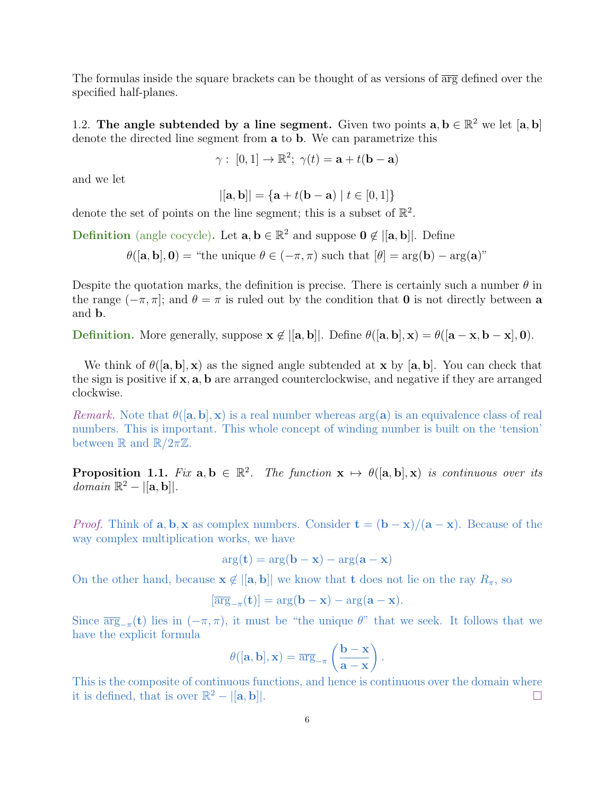The formulas inside the square brackets can be thought of as versions of  $\overline{\arg}$  defined over the specified half-planes.

<span id="page-5-0"></span>1.2. The angle subtended by a line segment. Given two points  $a, b \in \mathbb{R}^2$  we let  $[a, b]$ denote the directed line segment from a to b. We can parametrize this

$$
\gamma: [0,1] \to \mathbb{R}^2; \ \gamma(t) = \mathbf{a} + t(\mathbf{b} - \mathbf{a})
$$

and we let

$$
|[{\bf a}, {\bf b}]| = {\bf a} + t({\bf b} - {\bf a}) | t \in [0, 1] \}
$$

denote the set of points on the line segment; this is a subset of  $\mathbb{R}^2$ .

**Definition** (angle cocycle). Let  $\mathbf{a}, \mathbf{b} \in \mathbb{R}^2$  and suppose  $\mathbf{0} \notin |[\mathbf{a}, \mathbf{b}]|$ . Define

 $\theta([\mathbf{a}, \mathbf{b}], \mathbf{0}) =$  "the unique  $\theta \in (-\pi, \pi)$  such that  $[\theta] = \arg(\mathbf{b}) - \arg(\mathbf{a})$ "

Despite the quotation marks, the definition is precise. There is certainly such a number  $\theta$  in the range  $(-\pi, \pi]$ ; and  $\theta = \pi$  is ruled out by the condition that **0** is not directly between a and b.

Definition. More generally, suppose  $\mathbf{x} \notin |[\mathbf{a}, \mathbf{b}]|$ . Define  $\theta([\mathbf{a}, \mathbf{b}], \mathbf{x}) = \theta([\mathbf{a} - \mathbf{x}, \mathbf{b} - \mathbf{x}], \mathbf{0})$ .

We think of  $\theta([\mathbf{a}, \mathbf{b}], \mathbf{x})$  as the signed angle subtended at  $\mathbf{x}$  by  $[\mathbf{a}, \mathbf{b}]$ . You can check that the sign is positive if x, a, b are arranged counterclockwise, and negative if they are arranged clockwise.

*Remark.* Note that  $\theta([\mathbf{a}, \mathbf{b}], \mathbf{x})$  is a real number whereas  $\arg(\mathbf{a})$  is an equivalence class of real numbers. This is important. This whole concept of winding number is built on the 'tension' between  $\mathbb R$  and  $\mathbb R/2\pi\mathbb Z$ .

**Proposition 1.1.** Fix  $a, b \in \mathbb{R}^2$ . The function  $x \mapsto \theta([\mathbf{a}, \mathbf{b}], x)$  is continuous over its  $domain \mathbb{R}^2 - ||\mathbf{a}, \mathbf{b}||.$ 

*Proof.* Think of  $\mathbf{a}, \mathbf{b}, \mathbf{x}$  as complex numbers. Consider  $\mathbf{t} = (\mathbf{b} - \mathbf{x})/(\mathbf{a} - \mathbf{x})$ . Because of the way complex multiplication works, we have

$$
arg(\mathbf{t}) = arg(\mathbf{b} - \mathbf{x}) - arg(\mathbf{a} - \mathbf{x})
$$

On the other hand, because  $\mathbf{x} \notin [[a, b]]$  we know that **t** does not lie on the ray  $R_{\pi}$ , so

$$
[\overline{\arg}_{-\pi}(\mathbf{t})] = \arg(\mathbf{b} - \mathbf{x}) - \arg(\mathbf{a} - \mathbf{x}).
$$

Since  $\overline{\arg}_{-\pi}(\mathbf{t})$  lies in  $(-\pi, \pi)$ , it must be "the unique  $\theta$ " that we seek. It follows that we have the explicit formula

$$
\theta([\mathbf{a},\mathbf{b}],\mathbf{x}) = \overline{\arg}_{-\pi} \left( \frac{\mathbf{b} - \mathbf{x}}{\mathbf{a} - \mathbf{x}} \right).
$$

This is the composite of continuous functions, and hence is continuous over the domain where it is defined, that is over  $\mathbb{R}^2 - |[\mathbf{a}, \mathbf{b}]|$ .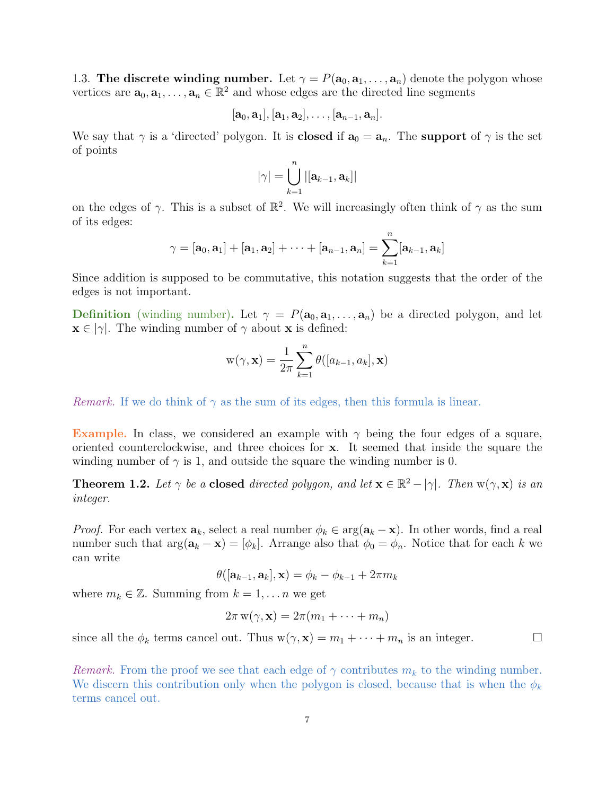<span id="page-6-0"></span>1.3. The discrete winding number. Let  $\gamma = P(\mathbf{a}_0, \mathbf{a}_1, \dots, \mathbf{a}_n)$  denote the polygon whose vertices are  $\mathbf{a}_0, \mathbf{a}_1, \ldots, \mathbf{a}_n \in \mathbb{R}^2$  and whose edges are the directed line segments

$$
[\mathbf{a}_0,\mathbf{a}_1],[\mathbf{a}_1,\mathbf{a}_2],\ldots,[\mathbf{a}_{n-1},\mathbf{a}_n].
$$

We say that  $\gamma$  is a 'directed' polygon. It is **closed** if  $\mathbf{a}_0 = \mathbf{a}_n$ . The **support** of  $\gamma$  is the set of points

$$
|\gamma| = \bigcup_{k=1}^n |[\mathbf{a}_{k-1}, \mathbf{a}_k]|
$$

on the edges of  $\gamma$ . This is a subset of  $\mathbb{R}^2$ . We will increasingly often think of  $\gamma$  as the sum of its edges:

$$
\gamma = [\mathbf{a}_0, \mathbf{a}_1] + [\mathbf{a}_1, \mathbf{a}_2] + \cdots + [\mathbf{a}_{n-1}, \mathbf{a}_n] = \sum_{k=1}^n [\mathbf{a}_{k-1}, \mathbf{a}_k]
$$

Since addition is supposed to be commutative, this notation suggests that the order of the edges is not important.

**Definition** (winding number). Let  $\gamma = P(\mathbf{a}_0, \mathbf{a}_1, \dots, \mathbf{a}_n)$  be a directed polygon, and let  $\mathbf{x} \in |\gamma|$ . The winding number of  $\gamma$  about  $\mathbf{x}$  is defined:

$$
w(\gamma, \mathbf{x}) = \frac{1}{2\pi} \sum_{k=1}^{n} \theta([a_{k-1}, a_k], \mathbf{x})
$$

*Remark.* If we do think of  $\gamma$  as the sum of its edges, then this formula is linear.

Example. In class, we considered an example with  $\gamma$  being the four edges of a square, oriented counterclockwise, and three choices for x. It seemed that inside the square the winding number of  $\gamma$  is 1, and outside the square the winding number is 0.

<span id="page-6-1"></span>**Theorem 1.2.** Let  $\gamma$  be a **closed** directed polygon, and let  $\mathbf{x} \in \mathbb{R}^2 - |\gamma|$ . Then  $w(\gamma, \mathbf{x})$  is an integer.

*Proof.* For each vertex  $\mathbf{a}_k$ , select a real number  $\phi_k \in \arg(\mathbf{a}_k - \mathbf{x})$ . In other words, find a real number such that  $\arg(\mathbf{a}_k - \mathbf{x}) = [\phi_k]$ . Arrange also that  $\phi_0 = \phi_n$ . Notice that for each k we can write

$$
\theta([\mathbf{a}_{k-1}, \mathbf{a}_k], \mathbf{x}) = \phi_k - \phi_{k-1} + 2\pi m_k
$$

where  $m_k \in \mathbb{Z}$ . Summing from  $k = 1, \ldots n$  we get

$$
2\pi w(\gamma, \mathbf{x}) = 2\pi(m_1 + \cdots + m_n)
$$

since all the  $\phi_k$  terms cancel out. Thus  $w(\gamma, x) = m_1 + \cdots + m_n$  is an integer.

Remark. From the proof we see that each edge of  $\gamma$  contributes  $m_k$  to the winding number. We discern this contribution only when the polygon is closed, because that is when the  $\phi_k$ terms cancel out.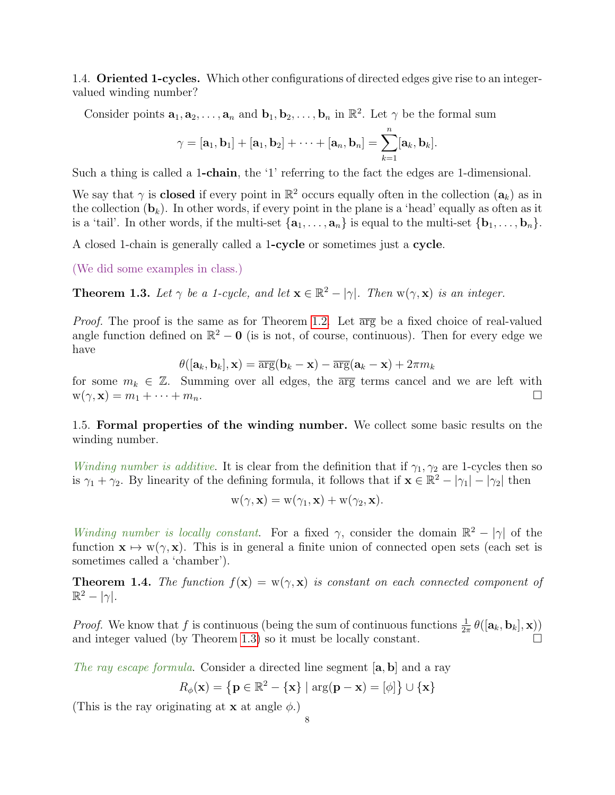<span id="page-7-0"></span>1.4. **Oriented 1-cycles.** Which other configurations of directed edges give rise to an integervalued winding number?

Consider points  $\mathbf{a}_1, \mathbf{a}_2, \ldots, \mathbf{a}_n$  and  $\mathbf{b}_1, \mathbf{b}_2, \ldots, \mathbf{b}_n$  in  $\mathbb{R}^2$ . Let  $\gamma$  be the formal sum

$$
\gamma=[\mathbf{a}_1,\mathbf{b}_1]+[\mathbf{a}_1,\mathbf{b}_2]+\cdots+[\mathbf{a}_n,\mathbf{b}_n]=\sum_{k=1}^n[\mathbf{a}_k,\mathbf{b}_k].
$$

Such a thing is called a 1-chain, the '1' referring to the fact the edges are 1-dimensional.

We say that  $\gamma$  is **closed** if every point in  $\mathbb{R}^2$  occurs equally often in the collection  $(a_k)$  as in the collection  $(b_k)$ . In other words, if every point in the plane is a 'head' equally as often as it is a 'tail'. In other words, if the multi-set  $\{a_1, \ldots, a_n\}$  is equal to the multi-set  $\{b_1, \ldots, b_n\}$ .

A closed 1-chain is generally called a 1-cycle or sometimes just a cycle.

(We did some examples in class.)

<span id="page-7-2"></span>**Theorem 1.3.** Let  $\gamma$  be a 1-cycle, and let  $\mathbf{x} \in \mathbb{R}^2 - |\gamma|$ . Then  $w(\gamma, \mathbf{x})$  is an integer.

*Proof.* The proof is the same as for Theorem [1.2.](#page-6-1) Let  $\overline{\arg}$  be a fixed choice of real-valued angle function defined on  $\mathbb{R}^2 - 0$  (is is not, of course, continuous). Then for every edge we have

$$
\theta([\mathbf{a}_k, \mathbf{b}_k], \mathbf{x}) = \overline{\arg}(\mathbf{b}_k - \mathbf{x}) - \overline{\arg}(\mathbf{a}_k - \mathbf{x}) + 2\pi m_k
$$

for some  $m_k \in \mathbb{Z}$ . Summing over all edges, the  $\overline{\arg}$  terms cancel and we are left with  $w(\gamma, \mathbf{x}) = m_1 + \cdots + m_n.$ 

<span id="page-7-1"></span>1.5. Formal properties of the winding number. We collect some basic results on the winding number.

Winding number is additive. It is clear from the definition that if  $\gamma_1, \gamma_2$  are 1-cycles then so is  $\gamma_1 + \gamma_2$ . By linearity of the defining formula, it follows that if  $\mathbf{x} \in \mathbb{R}^2 - |\gamma_1| - |\gamma_2|$  then

$$
w(\gamma, \mathbf{x}) = w(\gamma_1, \mathbf{x}) + w(\gamma_2, \mathbf{x}).
$$

Winding number is locally constant. For a fixed  $\gamma$ , consider the domain  $\mathbb{R}^2 - |\gamma|$  of the function  $\mathbf{x} \mapsto \mathbf{w}(\gamma, \mathbf{x})$ . This is in general a finite union of connected open sets (each set is sometimes called a 'chamber').

**Theorem 1.4.** The function  $f(\mathbf{x}) = w(\gamma, \mathbf{x})$  is constant on each connected component of  $\mathbb{R}^2 - |\gamma|$ .

*Proof.* We know that f is continuous (being the sum of continuous functions  $\frac{1}{2\pi} \theta([\mathbf{a}_k, \mathbf{b}_k], \mathbf{x})$ ) and integer valued (by Theorem [1.3\)](#page-7-2) so it must be locally constant.

The ray escape formula. Consider a directed line segment [a, b] and a ray

$$
R_{\phi}(\mathbf{x}) = \left\{ \mathbf{p} \in \mathbb{R}^2 - \left\{ \mathbf{x} \right\} \mid \arg(\mathbf{p} - \mathbf{x}) = [\phi] \right\} \cup \left\{ \mathbf{x} \right\}
$$

(This is the ray originating at **x** at angle  $\phi$ .)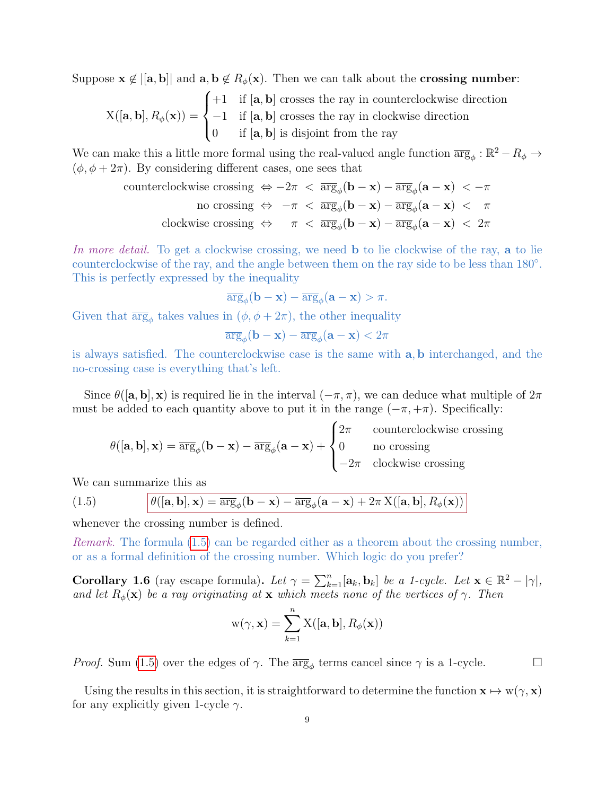Suppose  $\mathbf{x} \notin [[a, b]]$  and  $\mathbf{a}, \mathbf{b} \notin R_{\phi}(\mathbf{x})$ . Then we can talk about the crossing number:

$$
X([\mathbf{a}, \mathbf{b}], R_{\phi}(\mathbf{x})) = \begin{cases} +1 & \text{if } [\mathbf{a}, \mathbf{b}] \text{ crosses the ray in counterclockwise direction} \\ -1 & \text{if } [\mathbf{a}, \mathbf{b}] \text{ crosses the ray in clockwise direction} \\ 0 & \text{if } [\mathbf{a}, \mathbf{b}] \text{ is disjoint from the ray} \end{cases}
$$

We can make this a little more formal using the real-valued angle function  $\overline{\arg}_{\phi}: \mathbb{R}^2 - R_{\phi} \to$  $(\phi, \phi + 2\pi)$ . By considering different cases, one sees that

counterclockwise crossing

\n
$$
\Leftrightarrow -2\pi < \overline{\arg}_{\phi}(\mathbf{b} - \mathbf{x}) - \overline{\arg}_{\phi}(\mathbf{a} - \mathbf{x}) < -\pi
$$
\nno crossing

\n
$$
\Leftrightarrow -\pi < \overline{\arg}_{\phi}(\mathbf{b} - \mathbf{x}) - \overline{\arg}_{\phi}(\mathbf{a} - \mathbf{x}) < \pi
$$
\nclockwise crossing

\n
$$
\Leftrightarrow \pi < \overline{\arg}_{\phi}(\mathbf{b} - \mathbf{x}) - \overline{\arg}_{\phi}(\mathbf{a} - \mathbf{x}) < 2\pi
$$

In more detail. To get a clockwise crossing, we need **b** to lie clockwise of the ray, **a** to lie counterclockwise of the ray, and the angle between them on the ray side to be less than 180°. This is perfectly expressed by the inequality

$$
\overline{\arg}_{\phi}(\mathbf{b} - \mathbf{x}) - \overline{\arg}_{\phi}(\mathbf{a} - \mathbf{x}) > \pi.
$$

Given that  $\overline{\arg}_{\phi}$  takes values in  $(\phi, \phi + 2\pi)$ , the other inequality

$$
\overline{\arg}_{\phi}(\mathbf{b} - \mathbf{x}) - \overline{\arg}_{\phi}(\mathbf{a} - \mathbf{x}) < 2\pi
$$

is always satisfied. The counterclockwise case is the same with a, b interchanged, and the no-crossing case is everything that's left.

Since  $\theta([\mathbf{a}, \mathbf{b}], \mathbf{x})$  is required lie in the interval  $(-\pi, \pi)$ , we can deduce what multiple of  $2\pi$ must be added to each quantity above to put it in the range  $(-\pi, +\pi)$ . Specifically:

$$
\theta([\mathbf{a}, \mathbf{b}], \mathbf{x}) = \overline{\arg}_{\phi}(\mathbf{b} - \mathbf{x}) - \overline{\arg}_{\phi}(\mathbf{a} - \mathbf{x}) + \begin{cases} 2\pi & \text{counterclockwise crossing} \\ 0 & \text{no crossing} \\ -2\pi & \text{clockwise crossing} \end{cases}
$$

We can summarize this as

<span id="page-8-1"></span>(1.5) 
$$
\theta([\mathbf{a}, \mathbf{b}], \mathbf{x}) = \overline{\arg}_{\phi}(\mathbf{b} - \mathbf{x}) - \overline{\arg}_{\phi}(\mathbf{a} - \mathbf{x}) + 2\pi \mathbf{X}([\mathbf{a}, \mathbf{b}], R_{\phi}(\mathbf{x}))
$$

whenever the crossing number is defined.

Remark. The formula [\(1.5\)](#page-8-1) can be regarded either as a theorem about the crossing number, or as a formal definition of the crossing number. Which logic do you prefer?

<span id="page-8-0"></span>**Corollary 1.6** (ray escape formula). Let  $\gamma = \sum_{k=1}^{n} [\mathbf{a}_k, \mathbf{b}_k]$  be a 1-cycle. Let  $\mathbf{x} \in \mathbb{R}^2 - |\gamma|$ , and let  $R_{\phi}(\mathbf{x})$  be a ray originating at  $\mathbf{x}$  which meets none of the vertices of  $\gamma$ . Then

$$
w(\gamma, \mathbf{x}) = \sum_{k=1}^{n} X([\mathbf{a}, \mathbf{b}], R_{\phi}(\mathbf{x}))
$$

*Proof.* Sum [\(1.5\)](#page-8-1) over the edges of  $\gamma$ . The  $\overline{\arg}_{\phi}$  terms cancel since  $\gamma$  is a 1-cycle.

Using the results in this section, it is straightforward to determine the function  $\mathbf{x} \mapsto \mathbf{w}(\gamma, \mathbf{x})$ for any explicitly given 1-cycle  $\gamma$ .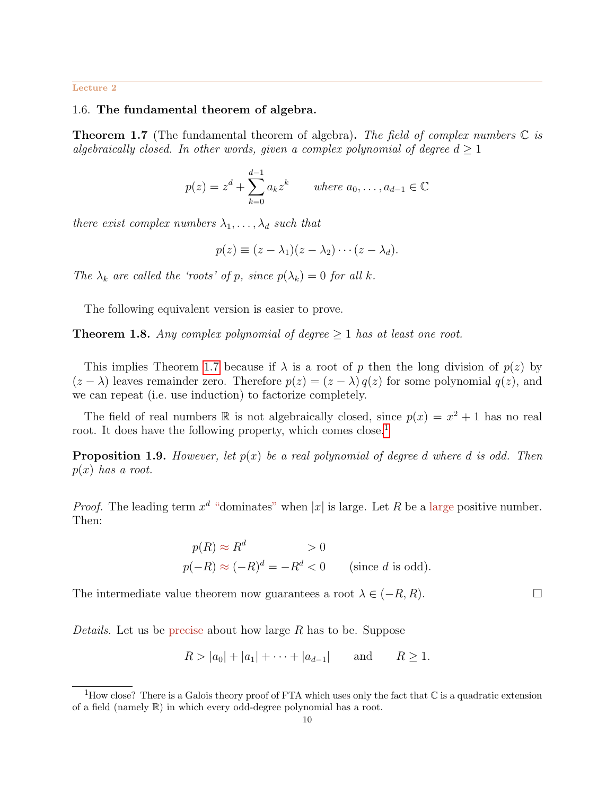#### <span id="page-9-0"></span>Lecture 2

## 1.6. The fundamental theorem of algebra.

<span id="page-9-1"></span>**Theorem 1.7** (The fundamental theorem of algebra). The field of complex numbers  $\mathbb{C}$  is algebraically closed. In other words, given a complex polynomial of degree  $d \geq 1$ 

$$
p(z) = zd + \sum_{k=0}^{d-1} a_k zk
$$
 where  $a_0, ..., a_{d-1} \in \mathbb{C}$ 

there exist complex numbers  $\lambda_1, \ldots, \lambda_d$  such that

$$
p(z) \equiv (z - \lambda_1)(z - \lambda_2) \cdots (z - \lambda_d).
$$

The  $\lambda_k$  are called the 'roots' of p, since  $p(\lambda_k) = 0$  for all k.

The following equivalent version is easier to prove.

<span id="page-9-3"></span>**Theorem 1.8.** Any complex polynomial of degree  $\geq 1$  has at least one root.

This implies Theorem [1.7](#page-9-1) because if  $\lambda$  is a root of p then the long division of  $p(z)$  by  $(z - \lambda)$  leaves remainder zero. Therefore  $p(z) = (z - \lambda) q(z)$  for some polynomial  $q(z)$ , and we can repeat (i.e. use induction) to factorize completely.

The field of real numbers  $\mathbb R$  is not algebraically closed, since  $p(x) = x^2 + 1$  has no real root. It does have the following property, which comes close.<sup>[1](#page-9-2)</sup>

**Proposition 1.9.** However, let  $p(x)$  be a real polynomial of degree d where d is odd. Then  $p(x)$  has a root.

*Proof.* The leading term  $x^d$  "dominates" when |x| is large. Let R be a large positive number. Then:

$$
p(R) \approx R^d > 0
$$
  

$$
p(-R) \approx (-R)^d = -R^d < 0
$$
 (since *d* is odd).

The intermediate value theorem now guarantees a root  $\lambda \in (-R, R)$ .

Details. Let us be precise about how large R has to be. Suppose

$$
R > |a_0| + |a_1| + \cdots + |a_{d-1}|
$$
 and  $R \ge 1$ .

<span id="page-9-2"></span><sup>&</sup>lt;sup>1</sup>How close? There is a Galois theory proof of FTA which uses only the fact that  $\mathbb C$  is a quadratic extension of a field (namely R) in which every odd-degree polynomial has a root.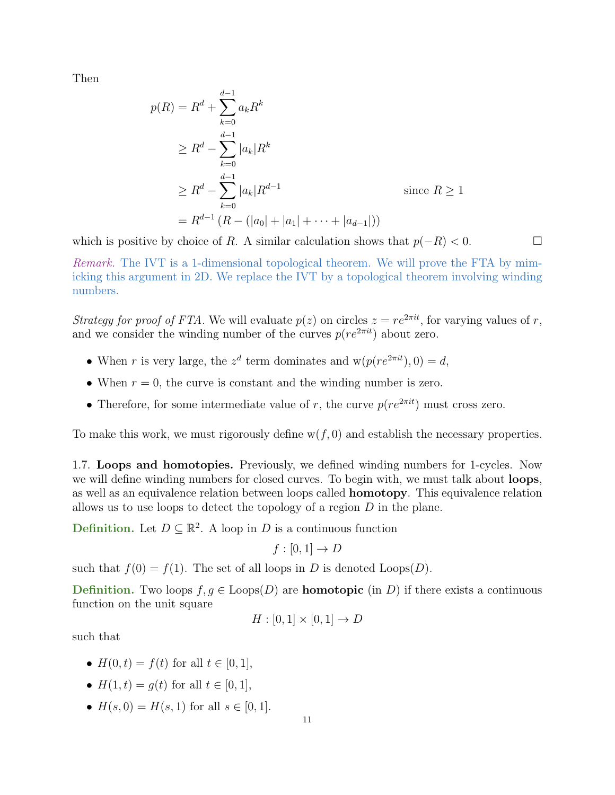Then

$$
p(R) = R^{d} + \sum_{k=0}^{d-1} a_{k} R^{k}
$$
  
\n
$$
\geq R^{d} - \sum_{k=0}^{d-1} |a_{k}| R^{k}
$$
  
\n
$$
\geq R^{d} - \sum_{k=0}^{d-1} |a_{k}| R^{d-1}
$$
 since  $R \geq 1$   
\n
$$
= R^{d-1} (R - (|a_{0}| + |a_{1}| + \dots + |a_{d-1}|))
$$

which is positive by choice of R. A similar calculation shows that  $p(-R) < 0$ .

Remark. The IVT is a 1-dimensional topological theorem. We will prove the FTA by mimicking this argument in 2D. We replace the IVT by a topological theorem involving winding numbers.

Strategy for proof of FTA. We will evaluate  $p(z)$  on circles  $z = re^{2\pi i t}$ , for varying values of r, and we consider the winding number of the curves  $p(re^{2\pi i t})$  about zero.

- When r is very large, the  $z^d$  term dominates and  $w(p(re^{2\pi it}), 0) = d$ ,
- When  $r = 0$ , the curve is constant and the winding number is zero.
- Therefore, for some intermediate value of r, the curve  $p(re^{2\pi i t})$  must cross zero.

To make this work, we must rigorously define  $w(f, 0)$  and establish the necessary properties.

<span id="page-10-0"></span>1.7. Loops and homotopies. Previously, we defined winding numbers for 1-cycles. Now we will define winding numbers for closed curves. To begin with, we must talk about **loops**, as well as an equivalence relation between loops called homotopy. This equivalence relation allows us to use loops to detect the topology of a region  $D$  in the plane.

Definition. Let  $D \subseteq \mathbb{R}^2$ . A loop in D is a continuous function

$$
f : [0,1] \to D
$$

such that  $f(0) = f(1)$ . The set of all loops in D is denoted Loops $(D)$ .

**Definition.** Two loops  $f, g \in \text{Loops}(D)$  are **homotopic** (in D) if there exists a continuous function on the unit square

$$
H : [0,1] \times [0,1] \to D
$$

such that

- $H(0, t) = f(t)$  for all  $t \in [0, 1]$ ,
- $H(1, t) = q(t)$  for all  $t \in [0, 1]$ ,
- $H(s, 0) = H(s, 1)$  for all  $s \in [0, 1]$ .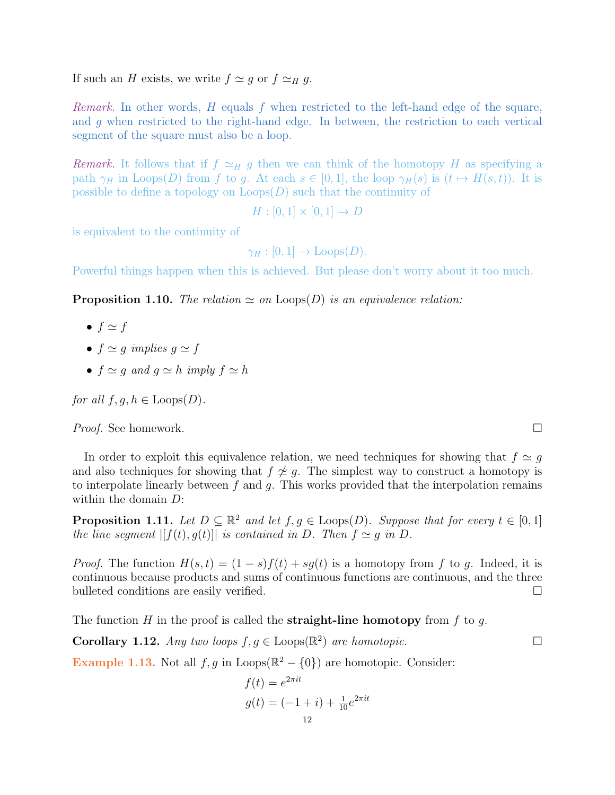If such an H exists, we write  $f \simeq g$  or  $f \simeq_H g$ .

*Remark.* In other words,  $H$  equals f when restricted to the left-hand edge of the square, and g when restricted to the right-hand edge. In between, the restriction to each vertical segment of the square must also be a loop.

*Remark.* It follows that if  $f \simeq_H g$  then we can think of the homotopy H as specifying a path  $\gamma_H$  in Loops(D) from f to g. At each  $s \in [0,1]$ , the loop  $\gamma_H(s)$  is  $(t \mapsto H(s,t))$ . It is possible to define a topology on  $\text{Loops}(D)$  such that the continuity of

 $H : [0, 1] \times [0, 1] \to D$ 

is equivalent to the continuity of

 $\gamma_H : [0, 1] \to \text{Loops}(D)$ .

Powerful things happen when this is achieved. But please don't worry about it too much.

**Proposition 1.10.** The relation  $\simeq$  on Loops(D) is an equivalence relation:

$$
\bullet\ f \simeq f
$$

- $f \simeq q$  implies  $q \simeq f$
- $f \simeq q$  and  $q \simeq h$  imply  $f \simeq h$

for all  $f, g, h \in \text{Loops}(D)$ .

Proof. See homework. □

In order to exploit this equivalence relation, we need techniques for showing that  $f \simeq q$ and also techniques for showing that  $f \not\cong g$ . The simplest way to construct a homotopy is to interpolate linearly between  $f$  and  $g$ . This works provided that the interpolation remains within the domain D:

**Proposition 1.11.** Let  $D \subseteq \mathbb{R}^2$  and let  $f, g \in \text{Loops}(D)$ . Suppose that for every  $t \in [0,1]$ the line segment  $|[f(t), g(t)]|$  is contained in D. Then  $f \simeq g$  in D.

*Proof.* The function  $H(s,t) = (1-s)f(t) + sq(t)$  is a homotopy from f to q. Indeed, it is continuous because products and sums of continuous functions are continuous, and the three bulleted conditions are easily verified.

The function H in the proof is called the **straight-line homotopy** from f to g.

**Corollary 1.12.** Any two loops  $f, g \in \text{Loops}(\mathbb{R}^2)$  are homotopic.

<span id="page-11-0"></span>**Example 1.13.** Not all  $f, g$  in Loops( $\mathbb{R}^2 - \{0\}$ ) are homotopic. Consider:

$$
f(t) = e^{2\pi it}
$$
  
 
$$
g(t) = (-1 + i) + \frac{1}{10}e^{2\pi it}
$$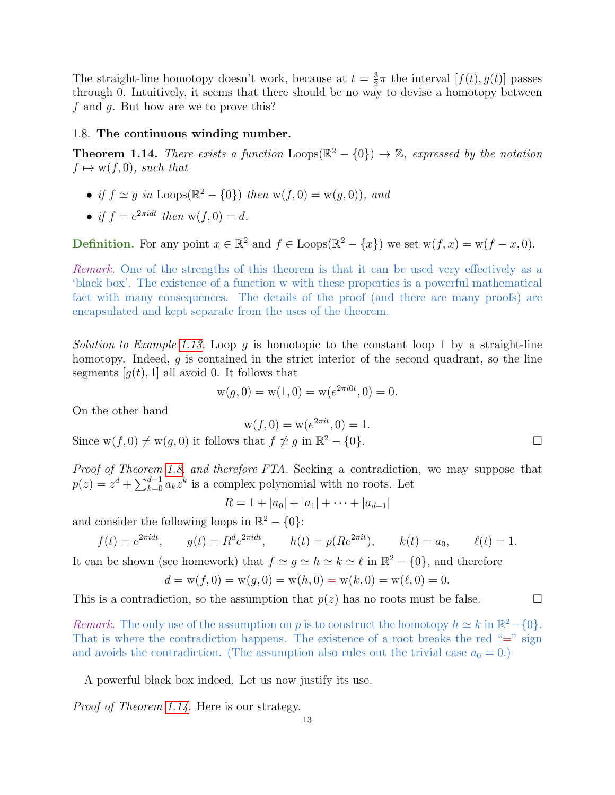The straight-line homotopy doesn't work, because at  $t = \frac{3}{2}$  $\frac{3}{2}\pi$  the interval  $[f(t), g(t)]$  passes through 0. Intuitively, it seems that there should be no way to devise a homotopy between f and g. But how are we to prove this?

#### <span id="page-12-0"></span>1.8. The continuous winding number.

<span id="page-12-1"></span>**Theorem 1.14.** There exists a function  $\text{Loops}(\mathbb{R}^2 - \{0\}) \to \mathbb{Z}$ , expressed by the notation  $f \mapsto w(f, 0)$ , such that

- if  $f \simeq g$  in Loops( $\mathbb{R}^2 \{0\}$ ) then  $w(f, 0) = w(g, 0)$ ), and
- if  $f = e^{2\pi i dt}$  then  $w(f, 0) = d$ .

**Definition.** For any point  $x \in \mathbb{R}^2$  and  $f \in \text{Loops}(\mathbb{R}^2 - \{x\})$  we set  $w(f, x) = w(f - x, 0)$ .

Remark. One of the strengths of this theorem is that it can be used very effectively as a 'black box'. The existence of a function w with these properties is a powerful mathematical fact with many consequences. The details of the proof (and there are many proofs) are encapsulated and kept separate from the uses of the theorem.

Solution to Example [1.13.](#page-11-0) Loop g is homotopic to the constant loop 1 by a straight-line homotopy. Indeed, q is contained in the strict interior of the second quadrant, so the line segments  $[q(t), 1]$  all avoid 0. It follows that

$$
w(g, 0) = w(1, 0) = w(e^{2\pi i 0t}, 0) = 0.
$$

On the other hand

$$
w(f, 0) = w(e^{2\pi i t}, 0) = 1.
$$

Since  $w(f, 0) \neq w(g, 0)$  it follows that  $f \not\approx g$  in  $\mathbb{R}^2 - \{0\}.$ 

Proof of Theorem [1.8,](#page-9-3) and therefore FTA. Seeking a contradiction, we may suppose that  $p(z) = z<sup>d</sup> + \sum_{k=0}^{d-1} a_k z<sup>k</sup>$  is a complex polynomial with no roots. Let

$$
R = 1 + |a_0| + |a_1| + \cdots + |a_{d-1}|
$$

and consider the following loops in  $\mathbb{R}^2 - \{0\}$ :

$$
f(t) = e^{2\pi i dt}
$$
,  $g(t) = R^d e^{2\pi i dt}$ ,  $h(t) = p(Re^{2\pi i t})$ ,  $k(t) = a_0$ ,  $\ell(t) = 1$ .

It can be shown (see homework) that  $f \simeq g \simeq h \simeq k \simeq \ell$  in  $\mathbb{R}^2 - \{0\}$ , and therefore

$$
d = w(f, 0) = w(g, 0) = w(h, 0) = w(k, 0) = w(\ell, 0) = 0.
$$

This is a contradiction, so the assumption that  $p(z)$  has no roots must be false.

Remark. The only use of the assumption on p is to construct the homotopy  $h \simeq k$  in  $\mathbb{R}^2 - \{0\}$ . That is where the contradiction happens. The existence of a root breaks the red " $=$ " sign and avoids the contradiction. (The assumption also rules out the trivial case  $a_0 = 0$ .)

A powerful black box indeed. Let us now justify its use.

Proof of Theorem [1.14.](#page-12-1) Here is our strategy.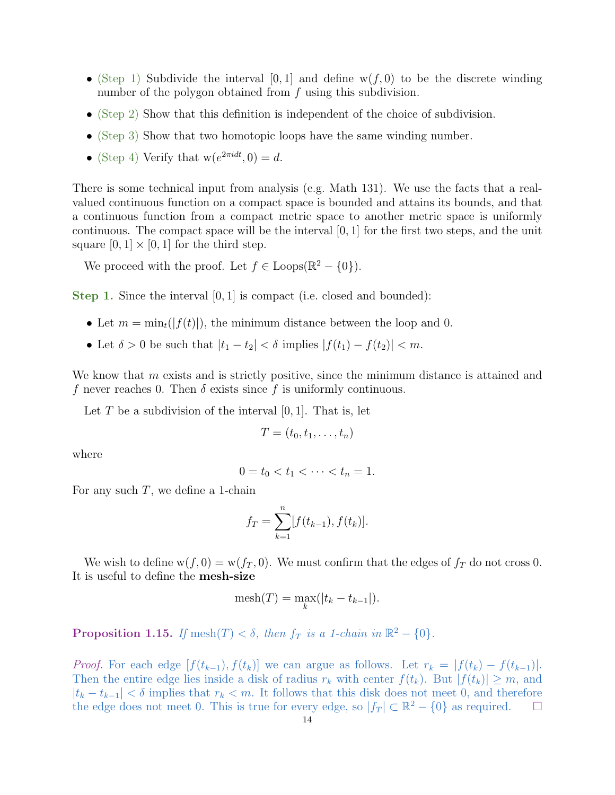- (Step 1) Subdivide the interval [0, 1] and define  $w(f, 0)$  to be the discrete winding number of the polygon obtained from f using this subdivision.
- (Step 2) Show that this definition is independent of the choice of subdivision.
- (Step 3) Show that two homotopic loops have the same winding number.
- (Step 4) Verify that  $w(e^{2\pi i dt}, 0) = d$ .

There is some technical input from analysis (e.g. Math 131). We use the facts that a realvalued continuous function on a compact space is bounded and attains its bounds, and that a continuous function from a compact metric space to another metric space is uniformly continuous. The compact space will be the interval  $[0, 1]$  for the first two steps, and the unit square  $[0, 1] \times [0, 1]$  for the third step.

We proceed with the proof. Let  $f \in \text{Loops}(\mathbb{R}^2 - \{0\})$ .

Step 1. Since the interval [0, 1] is compact (i.e. closed and bounded):

- Let  $m = \min_t(|f(t)|)$ , the minimum distance between the loop and 0.
- Let  $\delta > 0$  be such that  $|t_1 t_2| < \delta$  implies  $|f(t_1) f(t_2)| < m$ .

We know that m exists and is strictly positive, since the minimum distance is attained and f never reaches 0. Then  $\delta$  exists since f is uniformly continuous.

Let T be a subdivision of the interval  $[0, 1]$ . That is, let

$$
T=(t_0,t_1,\ldots,t_n)
$$

where

$$
0 = t_0 < t_1 < \cdots < t_n = 1.
$$

For any such  $T$ , we define a 1-chain

$$
f_T = \sum_{k=1}^n [f(t_{k-1}), f(t_k)].
$$

We wish to define  $w(f, 0) = w(f_T, 0)$ . We must confirm that the edges of  $f_T$  do not cross 0. It is useful to define the mesh-size

$$
\mathrm{mesh}(T)=\max_{k}(|t_k-t_{k-1}|).
$$

**Proposition 1.15.** If mesh $(T) < \delta$ , then  $f_T$  is a 1-chain in  $\mathbb{R}^2 - \{0\}$ .

*Proof.* For each edge  $[f(t_{k-1}), f(t_k)]$  we can argue as follows. Let  $r_k = |f(t_k) - f(t_{k-1})|$ . Then the entire edge lies inside a disk of radius  $r_k$  with center  $f(t_k)$ . But  $|f(t_k)| \geq m$ , and  $|t_k - t_{k-1}| < \delta$  implies that  $r_k < m$ . It follows that this disk does not meet 0, and therefore the edge does not meet 0. This is true for every edge, so  $|f_T| \subset \mathbb{R}^2 - \{0\}$  as required.  $\Box$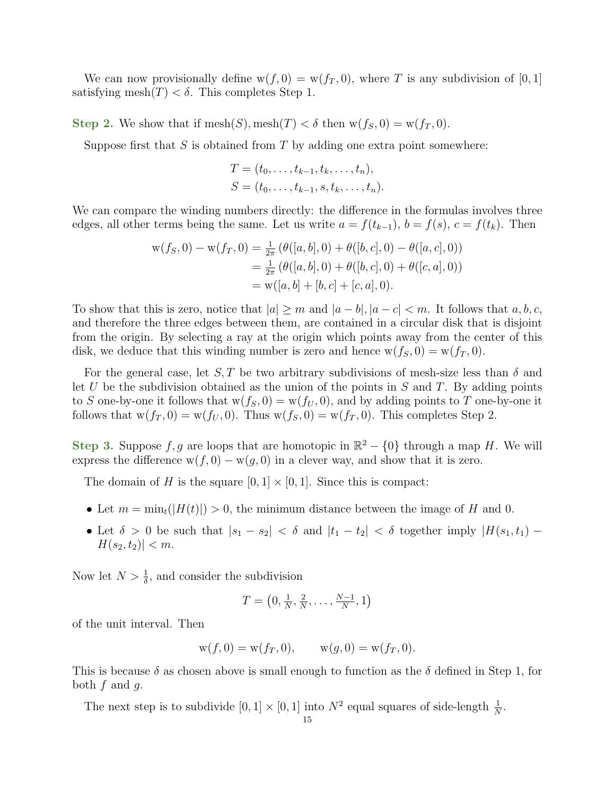We can now provisionally define  $w(f, 0) = w(f_T, 0)$ , where T is any subdivision of [0, 1] satisfying mesh $(T) < \delta$ . This completes Step 1.

Step 2. We show that if  $\text{mesh}(S)$ ,  $\text{mesh}(T) < \delta$  then  $w(f_S, 0) = w(f_T, 0)$ .

Suppose first that  $S$  is obtained from  $T$  by adding one extra point somewhere:

$$
T = (t_0, \dots, t_{k-1}, t_k, \dots, t_n),
$$
  
\n
$$
S = (t_0, \dots, t_{k-1}, s, t_k, \dots, t_n).
$$

We can compare the winding numbers directly: the difference in the formulas involves three edges, all other terms being the same. Let us write  $a = f(t_{k-1}), b = f(s), c = f(t_k)$ . Then

$$
w(f_S, 0) - w(f_T, 0) = \frac{1}{2\pi} \left( \theta([a, b], 0) + \theta([b, c], 0) - \theta([a, c], 0) \right)
$$
  
=  $\frac{1}{2\pi} \left( \theta([a, b], 0) + \theta([b, c], 0) + \theta([c, a], 0) \right)$   
=  $w([a, b] + [b, c] + [c, a], 0).$ 

To show that this is zero, notice that  $|a| \geq m$  and  $|a - b|, |a - c| < m$ . It follows that  $a, b, c$ , and therefore the three edges between them, are contained in a circular disk that is disjoint from the origin. By selecting a ray at the origin which points away from the center of this disk, we deduce that this winding number is zero and hence  $w(f_S, 0) = w(f_T, 0)$ .

For the general case, let  $S, T$  be two arbitrary subdivisions of mesh-size less than  $\delta$  and let U be the subdivision obtained as the union of the points in S and T. By adding points to S one-by-one it follows that  $w(f_S, 0) = w(f_U, 0)$ , and by adding points to T one-by-one it follows that  $w(f_T, 0) = w(f_U, 0)$ . Thus  $w(f_S, 0) = w(f_T, 0)$ . This completes Step 2.

Step 3. Suppose f, g are loops that are homotopic in  $\mathbb{R}^2 - \{0\}$  through a map H. We will express the difference  $w(f, 0) - w(g, 0)$  in a clever way, and show that it is zero.

The domain of H is the square  $[0, 1] \times [0, 1]$ . Since this is compact:

- Let  $m = \min_t (|H(t)|) > 0$ , the minimum distance between the image of H and 0.
- Let  $\delta > 0$  be such that  $|s_1 s_2| < \delta$  and  $|t_1 t_2| < \delta$  together imply  $|H(s_1, t_1) |H(s_2, t_2)| < m$ .

Now let  $N > \frac{1}{\delta}$ , and consider the subdivision

$$
T = \left(0, \frac{1}{N}, \frac{2}{N}, \dots, \frac{N-1}{N}, 1\right)
$$

of the unit interval. Then

$$
w(f, 0) = w(f_T, 0), \qquad w(g, 0) = w(f_T, 0).
$$

This is because  $\delta$  as chosen above is small enough to function as the  $\delta$  defined in Step 1, for both  $f$  and  $q$ .

The next step is to subdivide  $[0, 1] \times [0, 1]$  into  $N^2$  equal squares of side-length  $\frac{1}{N}$ .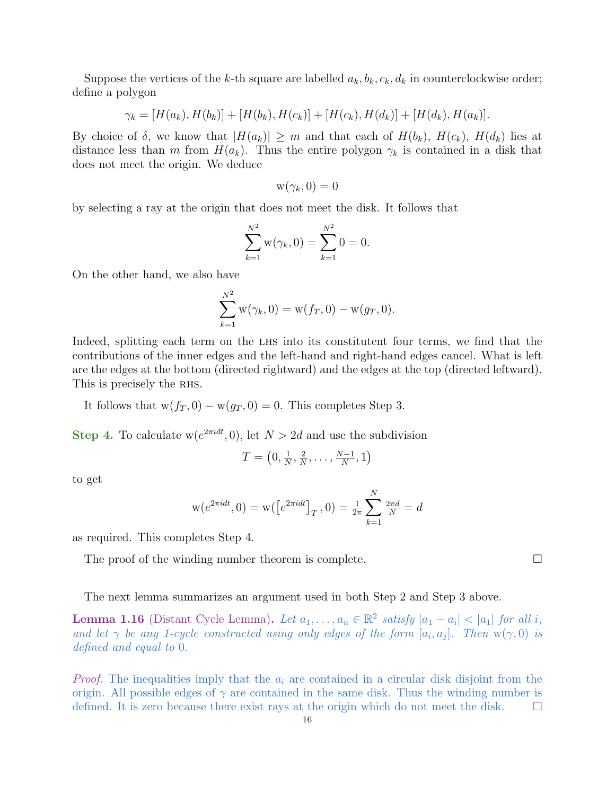Suppose the vertices of the k-th square are labelled  $a_k, b_k, c_k, d_k$  in counterclockwise order; define a polygon

$$
\gamma_k = [H(a_k), H(b_k)] + [H(b_k), H(c_k)] + [H(c_k), H(d_k)] + [H(d_k), H(a_k)].
$$

By choice of  $\delta$ , we know that  $|H(a_k)| \geq m$  and that each of  $H(b_k)$ ,  $H(c_k)$ ,  $H(d_k)$  lies at distance less than m from  $H(a_k)$ . Thus the entire polygon  $\gamma_k$  is contained in a disk that does not meet the origin. We deduce

$$
w(\gamma_k,0)=0
$$

by selecting a ray at the origin that does not meet the disk. It follows that

$$
\sum_{k=1}^{N^2} \mathbf{w}(\gamma_k, 0) = \sum_{k=1}^{N^2} 0 = 0.
$$

On the other hand, we also have

$$
\sum_{k=1}^{N^2} \mathbf{w}(\gamma_k, 0) = \mathbf{w}(f_T, 0) - \mathbf{w}(g_T, 0).
$$

Indeed, splitting each term on the LHS into its constitutent four terms, we find that the contributions of the inner edges and the left-hand and right-hand edges cancel. What is left are the edges at the bottom (directed rightward) and the edges at the top (directed leftward). This is precisely the RHS.

It follows that  $w(f_T, 0) - w(g_T, 0) = 0$ . This completes Step 3.

Step 4. To calculate  $w(e^{2\pi i dt}, 0)$ , let  $N > 2d$  and use the subdivision

$$
T = \left(0, \frac{1}{N}, \frac{2}{N}, \dots, \frac{N-1}{N}, 1\right)
$$

to get

$$
w(e^{2\pi i dt}, 0) = w([e^{2\pi i dt}]_T, 0) = \frac{1}{2\pi} \sum_{k=1}^N \frac{2\pi d}{N} = d
$$

as required. This completes Step 4.

The proof of the winding number theorem is complete.

The next lemma summarizes an argument used in both Step 2 and Step 3 above.

**Lemma 1.16** (Distant Cycle Lemma). Let  $a_1, \ldots, a_n \in \mathbb{R}^2$  satisfy  $|a_1 - a_i| < |a_1|$  for all i, and let  $\gamma$  be any 1-cycle constructed using only edges of the form  $[a_i, a_j]$ . Then  $w(\gamma, 0)$  is defined and equal to 0.

*Proof.* The inequalities imply that the  $a_i$  are contained in a circular disk disjoint from the origin. All possible edges of  $\gamma$  are contained in the same disk. Thus the winding number is defined. It is zero because there exist rays at the origin which do not meet the disk.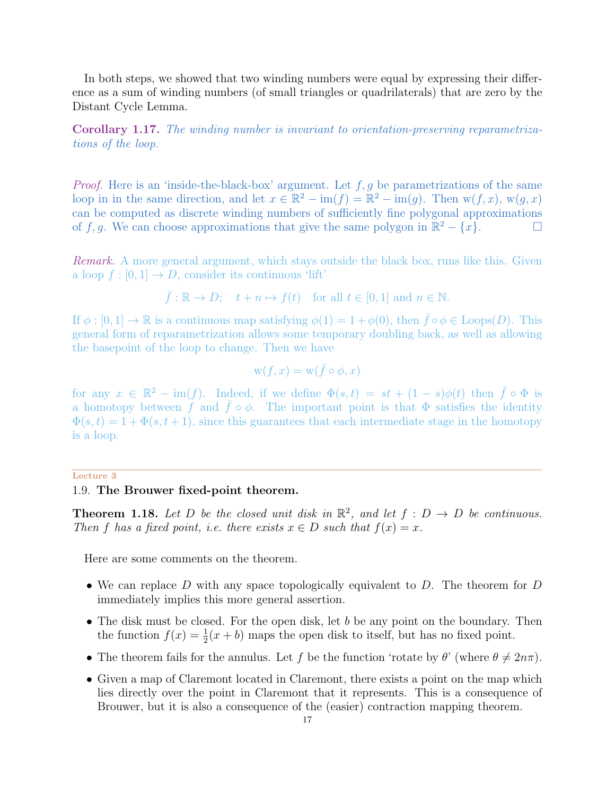In both steps, we showed that two winding numbers were equal by expressing their difference as a sum of winding numbers (of small triangles or quadrilaterals) that are zero by the Distant Cycle Lemma.

<span id="page-16-0"></span>Corollary 1.17. The winding number is invariant to orientation-preserving reparametrizations of the loop.

*Proof.* Here is an 'inside-the-black-box' argument. Let  $f, g$  be parametrizations of the same loop in in the same direction, and let  $x \in \mathbb{R}^2 - \text{im}(f) = \mathbb{R}^2 - \text{im}(g)$ . Then  $w(f, x)$ ,  $w(g, x)$ can be computed as discrete winding numbers of sufficiently fine polygonal approximations of f, g. We can choose approximations that give the same polygon in  $\mathbb{R}^2 - \{x\}$ .

Remark. A more general argument, which stays outside the black box, runs like this. Given a loop  $f : [0, 1] \to D$ , consider its continuous 'lift'

$$
\bar{f}: \mathbb{R} \to D;
$$
  $t + n \mapsto f(t)$  for all  $t \in [0, 1]$  and  $n \in \mathbb{N}$ .

If  $\phi : [0, 1] \to \mathbb{R}$  is a continuous map satisfying  $\phi(1) = 1 + \phi(0)$ , then  $\bar{f} \circ \phi \in \text{Loops}(D)$ . This general form of reparametrization allows some temporary doubling back, as well as allowing the basepoint of the loop to change. Then we have

$$
\mathbf{w}(f, x) = \mathbf{w}(\bar{f} \circ \phi, x)
$$

for any  $x \in \mathbb{R}^2 - \text{im}(f)$ . Indeed, if we define  $\Phi(s,t) = st + (1-s)\phi(t)$  then  $\bar{f} \circ \Phi$  is a homotopy between f and  $\bar{f} \circ \phi$ . The important point is that  $\Phi$  satisfies the identity  $\Phi(s,t) = 1 + \Phi(s,t+1)$ , since this guarantees that each intermediate stage in the homotopy is a loop.

# <span id="page-16-1"></span>Lecture 3

## 1.9. The Brouwer fixed-point theorem.

**Theorem 1.18.** Let D be the closed unit disk in  $\mathbb{R}^2$ , and let  $f : D \to D$  be continuous. Then f has a fixed point, i.e. there exists  $x \in D$  such that  $f(x) = x$ .

Here are some comments on the theorem.

- We can replace D with any space topologically equivalent to D. The theorem for D immediately implies this more general assertion.
- The disk must be closed. For the open disk, let b be any point on the boundary. Then the function  $f(x) = \frac{1}{2}(x + b)$  maps the open disk to itself, but has no fixed point.
- The theorem fails for the annulus. Let f be the function 'rotate by  $\theta$ ' (where  $\theta \neq 2n\pi$ ).
- Given a map of Claremont located in Claremont, there exists a point on the map which lies directly over the point in Claremont that it represents. This is a consequence of Brouwer, but it is also a consequence of the (easier) contraction mapping theorem.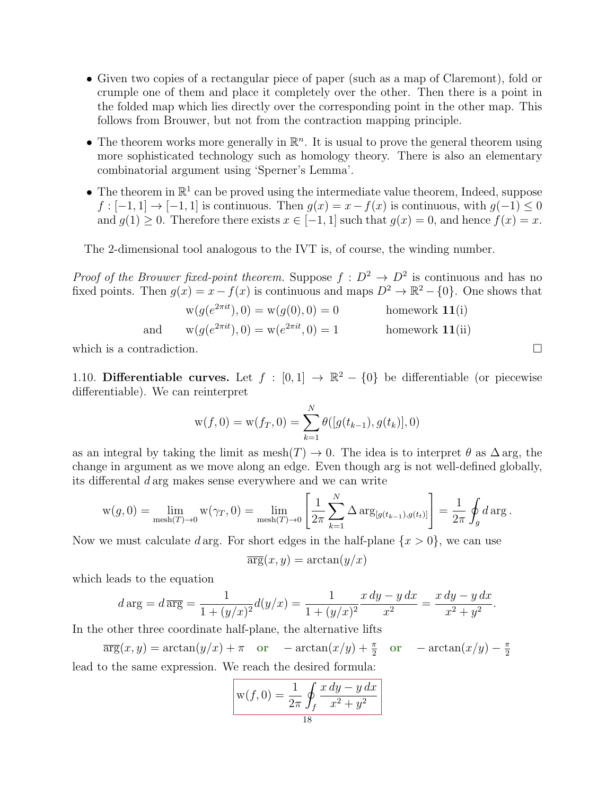- Given two copies of a rectangular piece of paper (such as a map of Claremont), fold or crumple one of them and place it completely over the other. Then there is a point in the folded map which lies directly over the corresponding point in the other map. This follows from Brouwer, but not from the contraction mapping principle.
- The theorem works more generally in  $\mathbb{R}^n$ . It is usual to prove the general theorem using more sophisticated technology such as homology theory. There is also an elementary combinatorial argument using 'Sperner's Lemma'.
- The theorem in  $\mathbb{R}^1$  can be proved using the intermediate value theorem, Indeed, suppose  $f: [-1, 1] \rightarrow [-1, 1]$  is continuous. Then  $g(x) = x - f(x)$  is continuous, with  $g(-1) \leq 0$ and  $g(1) \geq 0$ . Therefore there exists  $x \in [-1, 1]$  such that  $g(x) = 0$ , and hence  $f(x) = x$ .

The 2-dimensional tool analogous to the IVT is, of course, the winding number.

*Proof of the Brouwer fixed-point theorem.* Suppose  $f: D^2 \to D^2$  is continuous and has no fixed points. Then  $g(x) = x - f(x)$  is continuous and maps  $D^2 \to \mathbb{R}^2 - \{0\}$ . One shows that

$$
w(g(e^{2\pi it}), 0) = w(g(0), 0) = 0
$$
 homework 11(i)  
and  $w(g(e^{2\pi it}), 0) = w(e^{2\pi it}, 0) = 1$  homework 11(ii)

which is a contradiction.  $\Box$ 

<span id="page-17-0"></span>1.10. Differentiable curves. Let  $f : [0,1] \rightarrow \mathbb{R}^2 - \{0\}$  be differentiable (or piecewise differentiable). We can reinterpret

$$
w(f, 0) = w(f_T, 0) = \sum_{k=1}^{N} \theta([g(t_{k-1}), g(t_k)], 0)
$$

as an integral by taking the limit as  $\text{mesh}(T) \to 0$ . The idea is to interpret  $\theta$  as  $\Delta$  arg, the change in argument as we move along an edge. Even though arg is not well-defined globally, its differental d arg makes sense everywhere and we can write

$$
w(g, 0) = \lim_{\text{mesh}(T) \to 0} w(\gamma_T, 0) = \lim_{\text{mesh}(T) \to 0} \left[ \frac{1}{2\pi} \sum_{k=1}^N \Delta \arg_{[g(t_{k-1}), g(t_k)]} \right] = \frac{1}{2\pi} \oint_g d \arg.
$$

Now we must calculate d arg. For short edges in the half-plane  $\{x > 0\}$ , we can use

$$
\overline{\arg}(x, y) = \arctan(y/x)
$$

which leads to the equation

$$
d \arg = d \overline{\arg} = \frac{1}{1 + (y/x)^2} d(y/x) = \frac{1}{1 + (y/x)^2} \frac{x \, dy - y \, dx}{x^2} = \frac{x \, dy - y \, dx}{x^2 + y^2}.
$$

In the other three coordinate half-plane, the alternative lifts

$$
\overline{\arg}(x, y) = \arctan(y/x) + \pi \quad \text{or} \quad -\arctan(x/y) + \frac{\pi}{2} \quad \text{or} \quad -\arctan(x/y) - \frac{\pi}{2}
$$
  
lead to the same expression. We reach the desired formula:

$$
w(f, 0) = \frac{1}{2\pi} \oint_{f} \frac{x \, dy - y \, dx}{x^2 + y^2}
$$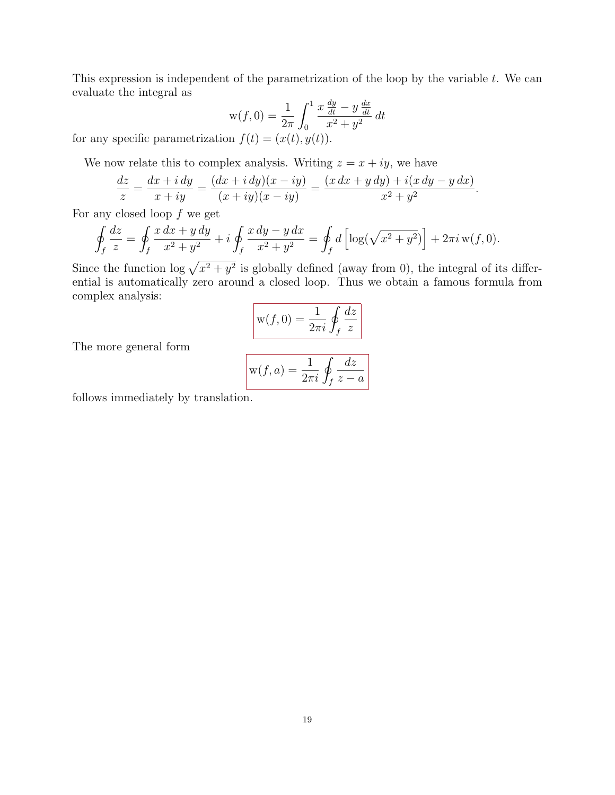This expression is independent of the parametrization of the loop by the variable t. We can evaluate the integral as

$$
w(f, 0) = \frac{1}{2\pi} \int_0^1 \frac{x \frac{dy}{dt} - y \frac{dx}{dt}}{x^2 + y^2} dt
$$

for any specific parametrization  $f(t) = (x(t), y(t))$ .

We now relate this to complex analysis. Writing  $z = x + iy$ , we have

$$
\frac{dz}{z} = \frac{dx + i dy}{x + iy} = \frac{(dx + i dy)(x - iy)}{(x + iy)(x - iy)} = \frac{(x dx + y dy) + i(x dy - y dx)}{x^2 + y^2}.
$$

For any closed loop  $f$  we get

$$
\oint_{f} \frac{dz}{z} = \oint_{f} \frac{x \, dx + y \, dy}{x^{2} + y^{2}} + i \oint_{f} \frac{x \, dy - y \, dx}{x^{2} + y^{2}} = \oint_{f} d \left[ \log(\sqrt{x^{2} + y^{2}}) \right] + 2\pi i \, w(f, 0).
$$

Since the function  $\log \sqrt{x^2 + y^2}$  is globally defined (away from 0), the integral of its differential is automatically zero around a closed loop. Thus we obtain a famous formula from complex analysis:

$$
w(f, 0) = \frac{1}{2\pi i} \oint_{f} \frac{dz}{z}
$$

The more general form

$$
w(f, a) = \frac{1}{2\pi i} \oint_{f} \frac{dz}{z - a}
$$

follows immediately by translation.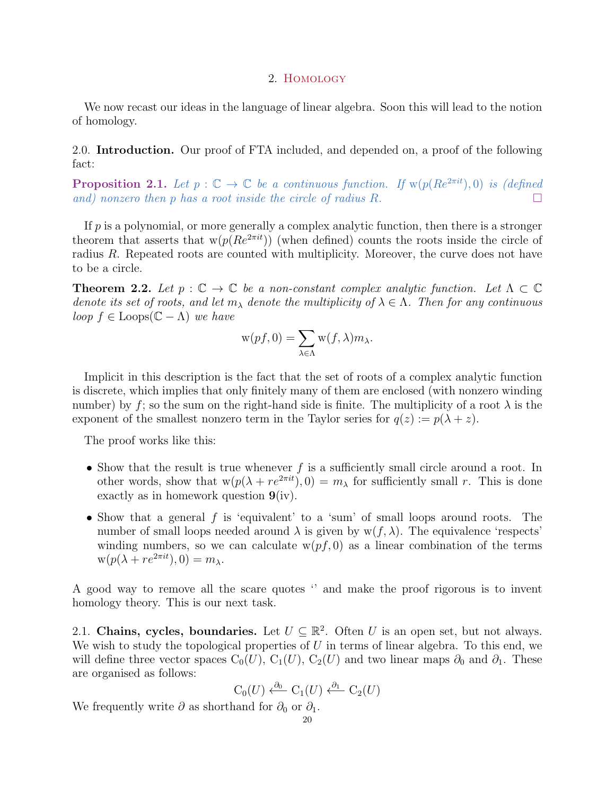#### 2. Homology

<span id="page-19-0"></span>We now recast our ideas in the language of linear algebra. Soon this will lead to the notion of homology.

<span id="page-19-1"></span>2.0. Introduction. Our proof of FTA included, and depended on, a proof of the following fact:

**Proposition 2.1.** Let  $p : \mathbb{C} \to \mathbb{C}$  be a continuous function. If  $w(p(Re^{2\pi i t}), 0)$  is (defined and) nonzero then p has a root inside the circle of radius R.

If  $p$  is a polynomial, or more generally a complex analytic function, then there is a stronger theorem that asserts that  $w(p(Re^{2\pi i t}))$  (when defined) counts the roots inside the circle of radius R. Repeated roots are counted with multiplicity. Moreover, the curve does not have to be a circle.

**Theorem 2.2.** Let  $p : \mathbb{C} \to \mathbb{C}$  be a non-constant complex analytic function. Let  $\Lambda \subset \mathbb{C}$ denote its set of roots, and let  $m_\lambda$  denote the multiplicity of  $\lambda \in \Lambda$ . Then for any continuous loop  $f \in \text{Loops}(\mathbb{C} - \Lambda)$  we have

$$
\mathbf{w}(pf,0)=\sum_{\lambda\in\Lambda}\mathbf{w}(f,\lambda)m_{\lambda}.
$$

Implicit in this description is the fact that the set of roots of a complex analytic function is discrete, which implies that only finitely many of them are enclosed (with nonzero winding number) by f; so the sum on the right-hand side is finite. The multiplicity of a root  $\lambda$  is the exponent of the smallest nonzero term in the Taylor series for  $q(z) := p(\lambda + z)$ .

The proof works like this:

- Show that the result is true whenever  $f$  is a sufficiently small circle around a root. In other words, show that  $w(p(\lambda + re^{2\pi it}), 0) = m_\lambda$  for sufficiently small r. This is done exactly as in homework question  $9(iv)$ .
- Show that a general f is 'equivalent' to a 'sum' of small loops around roots. The number of small loops needed around  $\lambda$  is given by  $w(f, \lambda)$ . The equivalence 'respects' winding numbers, so we can calculate  $w(pf, 0)$  as a linear combination of the terms  $w(p(\lambda + re^{2\pi it}), 0) = m_\lambda.$

A good way to remove all the scare quotes '' and make the proof rigorous is to invent homology theory. This is our next task.

<span id="page-19-2"></span>2.1. Chains, cycles, boundaries. Let  $U \subseteq \mathbb{R}^2$ . Often U is an open set, but not always. We wish to study the topological properties of  $U$  in terms of linear algebra. To this end, we will define three vector spaces  $C_0(U)$ ,  $C_1(U)$ ,  $C_2(U)$  and two linear maps  $\partial_0$  and  $\partial_1$ . These are organised as follows:

$$
C_0(U) \xleftarrow{\partial_0} C_1(U) \xleftarrow{\partial_1} C_2(U)
$$

We frequently write  $\partial$  as shorthand for  $\partial_0$  or  $\partial_1$ .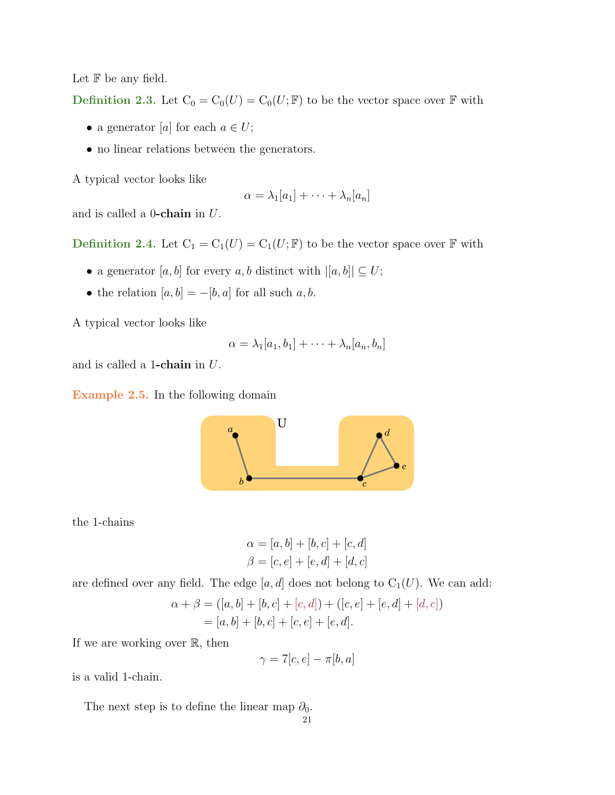Let  $F$  be any field.

Definition 2.3. Let  $C_0 = C_0(U) = C_0(U; \mathbb{F})$  to be the vector space over  $\mathbb{F}$  with

- a generator [a] for each  $a \in U$ ;
- no linear relations between the generators.

A typical vector looks like

$$
\alpha = \lambda_1[a_1] + \cdots + \lambda_n[a_n]
$$

and is called a  $0$ -chain in  $U$ .

Definition 2.4. Let  $C_1 = C_1(U) = C_1(U; \mathbb{F})$  to be the vector space over  $\mathbb{F}$  with

- $\bullet$  a generator  $[a,b]$  for every  $a,b$  distinct with  $|[a,b]|\subseteq U;$
- the relation  $[a, b] = -[b, a]$  for all such  $a, b$ .

A typical vector looks like

$$
\alpha = \lambda_1[a_1, b_1] + \cdots + \lambda_n[a_n, b_n]
$$

and is called a 1-chain in  $U$ .

Example 2.5. In the following domain



the 1-chains

$$
\alpha = [a, b] + [b, c] + [c, d]
$$
  

$$
\beta = [c, e] + [e, d] + [d, c]
$$

are defined over any field. The edge  $[a, d]$  does not belong to  $C_1(U)$ . We can add:

$$
\alpha + \beta = ([a, b] + [b, c] + [c, d]) + ([c, e] + [e, d] + [d, c])
$$
  
= [a, b] + [b, c] + [c, e] + [e, d].

If we are working over  $\mathbb{R}$ , then

$$
\gamma = 7[c, e] - \pi[b, a]
$$

is a valid 1-chain.

The next step is to define the linear map  $\partial_0$ .

$$
\overline{21}
$$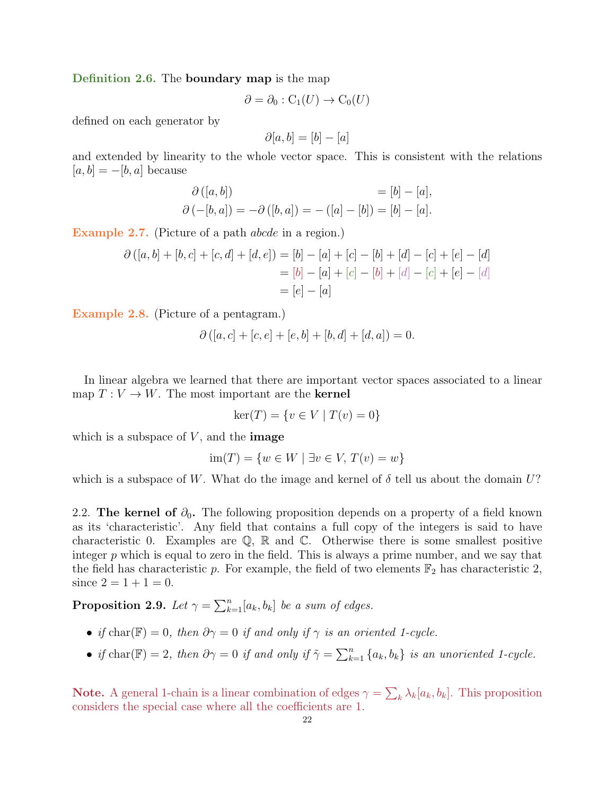Definition 2.6. The boundary map is the map

$$
\partial = \partial_0 : C_1(U) \to C_0(U)
$$

defined on each generator by

$$
\partial[a, b] = [b] - [a]
$$

and extended by linearity to the whole vector space. This is consistent with the relations  $[a, b] = -[b, a]$  because

$$
\partial ([a, b]) = [b] - [a], \n\partial (-[b, a]) = -\partial ([b, a]) = -([a] - [b]) = [b] - [a].
$$

Example 2.7. (Picture of a path *abcde* in a region.)

$$
\partial ([a, b] + [b, c] + [c, d] + [d, e]) = [b] - [a] + [c] - [b] + [d] - [c] + [e] - [d]
$$

$$
= [b] - [a] + [c] - [b] + [d] - [c] + [e] - [d]
$$

$$
= [e] - [a]
$$

Example 2.8. (Picture of a pentagram.)

$$
\partial ([a, c] + [c, e] + [e, b] + [b, d] + [d, a]) = 0.
$$

In linear algebra we learned that there are important vector spaces associated to a linear map  $T: V \to W$ . The most important are the **kernel** 

$$
ker(T) = \{ v \in V \mid T(v) = 0 \}
$$

which is a subspace of  $V$ , and the **image** 

$$
im(T) = \{w \in W \mid \exists v \in V, T(v) = w\}
$$

which is a subspace of W. What do the image and kernel of  $\delta$  tell us about the domain U?

<span id="page-21-0"></span>2.2. The kernel of  $\partial_0$ . The following proposition depends on a property of a field known as its 'characteristic'. Any field that contains a full copy of the integers is said to have characteristic 0. Examples are  $\mathbb{Q}$ ,  $\mathbb{R}$  and  $\mathbb{C}$ . Otherwise there is some smallest positive integer  $p$  which is equal to zero in the field. This is always a prime number, and we say that the field has characteristic p. For example, the field of two elements  $\mathbb{F}_2$  has characteristic 2, since  $2 = 1 + 1 = 0$ .

**Proposition 2.9.** Let  $\gamma = \sum_{k=1}^{n} [a_k, b_k]$  be a sum of edges.

- if char( $\mathbb{F}$ ) = 0, then  $\partial \gamma = 0$  if and only if  $\gamma$  is an oriented 1-cycle.
- if char( $\mathbb{F}) = 2$ , then  $\partial \gamma = 0$  if and only if  $\tilde{\gamma} = \sum_{k=1}^{n} \{a_k, b_k\}$  is an unoriented 1-cycle.

**Note.** A general 1-chain is a linear combination of edges  $\gamma = \sum_k \lambda_k [a_k, b_k]$ . This proposition considers the special case where all the coefficients are 1.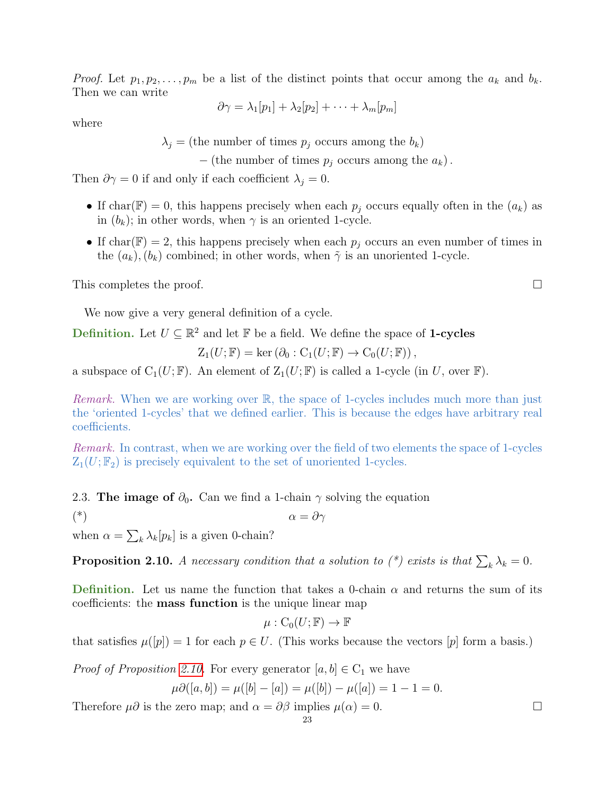*Proof.* Let  $p_1, p_2, \ldots, p_m$  be a list of the distinct points that occur among the  $a_k$  and  $b_k$ . Then we can write

$$
\partial \gamma = \lambda_1[p_1] + \lambda_2[p_2] + \cdots + \lambda_m[p_m]
$$

where

 $\lambda_j$  = (the number of times  $p_j$  occurs among the  $b_k$ )

 $-$  (the number of times  $p_j$  occurs among the  $a_k$ ).

Then  $\partial \gamma = 0$  if and only if each coefficient  $\lambda_j = 0$ .

- If char(F) = 0, this happens precisely when each  $p_i$  occurs equally often in the  $(a_k)$  as in  $(b_k)$ ; in other words, when  $\gamma$  is an oriented 1-cycle.
- If char( $\mathbb{F}$ ) = 2, this happens precisely when each  $p_i$  occurs an even number of times in the  $(a_k)$ ,  $(b_k)$  combined; in other words, when  $\tilde{\gamma}$  is an unoriented 1-cycle.

This completes the proof.

We now give a very general definition of a cycle.

**Definition.** Let  $U \subseteq \mathbb{R}^2$  and let  $\mathbb{F}$  be a field. We define the space of **1-cycles** 

$$
Z_1(U; \mathbb{F}) = \ker (\partial_0 : C_1(U; \mathbb{F}) \to C_0(U; \mathbb{F})),
$$

a subspace of  $C_1(U; \mathbb{F})$ . An element of  $Z_1(U; \mathbb{F})$  is called a 1-cycle (in U, over  $\mathbb{F}$ ).

*Remark.* When we are working over  $\mathbb{R}$ , the space of 1-cycles includes much more than just the 'oriented 1-cycles' that we defined earlier. This is because the edges have arbitrary real coefficients.

Remark. In contrast, when we are working over the field of two elements the space of 1-cycles  $Z_1(U; \mathbb{F}_2)$  is precisely equivalent to the set of unoriented 1-cycles.

<span id="page-22-0"></span>2.3. The image of  $\partial_0$ . Can we find a 1-chain  $\gamma$  solving the equation

(\*)  $\alpha = \partial \gamma$ 

when  $\alpha = \sum_{k} \lambda_k[p_k]$  is a given 0-chain?

<span id="page-22-1"></span>**Proposition 2.10.** A necessary condition that a solution to  $(*)$  exists is that  $\sum_{k} \lambda_k = 0$ .

Definition. Let us name the function that takes a 0-chain  $\alpha$  and returns the sum of its coefficients: the mass function is the unique linear map

$$
\mu: \mathrm{C}_0(U; \mathbb{F}) \to \mathbb{F}
$$

that satisfies  $\mu([p]) = 1$  for each  $p \in U$ . (This works because the vectors  $[p]$  form a basis.)

*Proof of Proposition [2.10.](#page-22-1)* For every generator  $[a, b] \in C_1$  we have

$$
\mu \partial([a, b]) = \mu([b] - [a]) = \mu([b]) - \mu([a]) = 1 - 1 = 0.
$$

Therefore  $\mu\partial$  is the zero map; and  $\alpha = \partial\beta$  implies  $\mu(\alpha) = 0$ .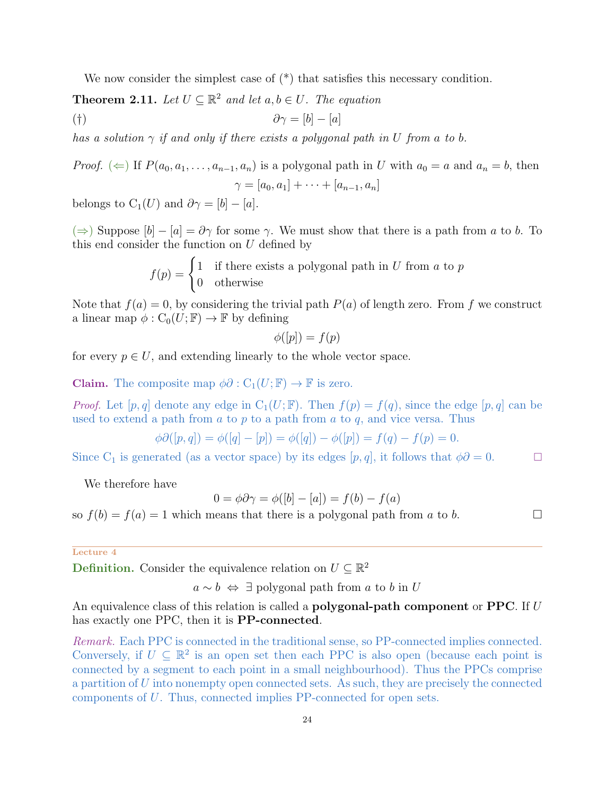We now consider the simplest case of  $(*)$  that satisfies this necessary condition.

**Theorem 2.11.** Let  $U \subseteq \mathbb{R}^2$  and let  $a, b \in U$ . The equation

<span id="page-23-0"></span>
$$
(\dagger) \qquad \qquad \partial \gamma = [b] - [a]
$$

has a solution  $\gamma$  if and only if there exists a polygonal path in U from a to b.

*Proof.*  $(\Leftarrow)$  If  $P(a_0, a_1, \ldots, a_{n-1}, a_n)$  is a polygonal path in U with  $a_0 = a$  and  $a_n = b$ , then  $\gamma = [a_0, a_1] + \cdots + [a_{n-1}, a_n]$ 

belongs to  $C_1(U)$  and  $\partial \gamma = [b] - [a]$ .

( $\Rightarrow$ ) Suppose  $[b] - [a] = \partial \gamma$  for some  $\gamma$ . We must show that there is a path from a to b. To this end consider the function on  $U$  defined by

> $f(p) = \begin{cases} 1 & \text{if there exists a polygonal path in } U \text{ from } a \text{ to } p \end{cases}$ 0 otherwise

Note that  $f(a) = 0$ , by considering the trivial path  $P(a)$  of length zero. From f we construct a linear map  $\phi: C_0(U; \mathbb{F}) \to \mathbb{F}$  by defining

$$
\phi([p]) = f(p)
$$

for every  $p \in U$ , and extending linearly to the whole vector space.

**Claim.** The composite map  $\phi \partial : C_1(U; \mathbb{F}) \to \mathbb{F}$  is zero.

*Proof.* Let  $[p, q]$  denote any edge in  $C_1(U; \mathbb{F})$ . Then  $f(p) = f(q)$ , since the edge  $[p, q]$  can be used to extend a path from  $a$  to  $p$  to a path from  $a$  to  $q$ , and vice versa. Thus

$$
\phi \partial ([p, q]) = \phi([q] - [p]) = \phi([q]) - \phi([p]) = f(q) - f(p) = 0.
$$

Since C<sub>1</sub> is generated (as a vector space) by its edges  $[p, q]$ , it follows that  $\phi \partial = 0$ .

We therefore have

$$
0 = \phi \partial \gamma = \phi([b] - [a]) = f(b) - f(a)
$$

so  $f(b) = f(a) = 1$  which means that there is a polygonal path from a to b.

#### Lecture 4

**Definition.** Consider the equivalence relation on  $U \subseteq \mathbb{R}^2$ 

 $a \sim b \Leftrightarrow \exists$  polygonal path from a to b in U

An equivalence class of this relation is called a **polygonal-path component** or **PPC**. If U has exactly one PPC, then it is **PP-connected**.

Remark. Each PPC is connected in the traditional sense, so PP-connected implies connected. Conversely, if  $U \subseteq \mathbb{R}^2$  is an open set then each PPC is also open (because each point is connected by a segment to each point in a small neighbourhood). Thus the PPCs comprise a partition of  $U$  into nonempty open connected sets. As such, they are precisely the connected components of U. Thus, connected implies PP-connected for open sets.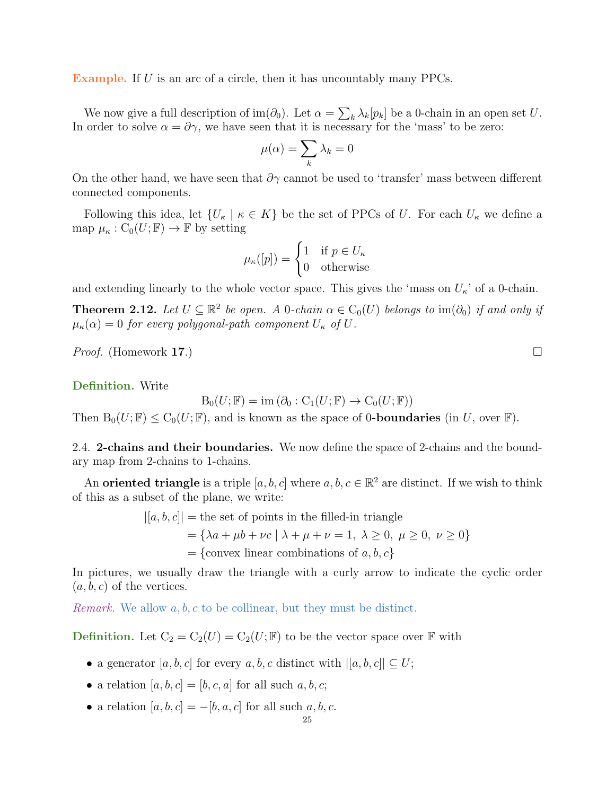Example. If U is an arc of a circle, then it has uncountably many PPCs.

We now give a full description of im( $\partial_0$ ). Let  $\alpha = \sum_k \lambda_k[p_k]$  be a 0-chain in an open set U. In order to solve  $\alpha = \partial \gamma$ , we have seen that it is necessary for the 'mass' to be zero:

$$
\mu(\alpha) = \sum_{k} \lambda_k = 0
$$

On the other hand, we have seen that  $\partial \gamma$  cannot be used to 'transfer' mass between different connected components.

Following this idea, let  $\{U_{\kappa} \mid \kappa \in K\}$  be the set of PPCs of U. For each  $U_{\kappa}$  we define a map  $\mu_{\kappa}: C_0(U; \mathbb{F}) \to \mathbb{F}$  by setting

$$
\mu_{\kappa}([p]) = \begin{cases} 1 & \text{if } p \in U_{\kappa} \\ 0 & \text{otherwise} \end{cases}
$$

and extending linearly to the whole vector space. This gives the 'mass on  $U_{\kappa}$ ' of a 0-chain.

**Theorem 2.12.** Let  $U \subseteq \mathbb{R}^2$  be open. A 0-chain  $\alpha \in C_0(U)$  belongs to  $\text{im}(\partial_0)$  if and only if  $\mu_{\kappa}(\alpha) = 0$  for every polygonal-path component  $U_{\kappa}$  of  $U$ .

*Proof.* (Homework 17.)

Definition. Write

 $B_0(U; \mathbb{F}) = \text{im} (\partial_0 : C_1(U; \mathbb{F}) \to C_0(U; \mathbb{F}))$ 

Then  $B_0(U; \mathbb{F}) \leq C_0(U; \mathbb{F})$ , and is known as the space of 0-boundaries (in U, over  $\mathbb{F}$ ).

<span id="page-24-0"></span>2.4. 2-chains and their boundaries. We now define the space of 2-chains and the boundary map from 2-chains to 1-chains.

An **oriented triangle** is a triple  $[a, b, c]$  where  $a, b, c \in \mathbb{R}^2$  are distinct. If we wish to think of this as a subset of the plane, we write:

$$
[a, b, c] | =
$$
the set of points in the filled-in triangle  

$$
= {\lambda a + \mu b + \nu c | \lambda + \mu + \nu = 1, \lambda \ge 0, \mu \ge 0, \nu \ge 0 }
$$

$$
= {\text{convex linear combinations of } a, b, c }
$$

In pictures, we usually draw the triangle with a curly arrow to indicate the cyclic order  $(a, b, c)$  of the vertices.

*Remark.* We allow  $a, b, c$  to be collinear, but they must be distinct.

**Definition.** Let  $C_2 = C_2(U) = C_2(U; \mathbb{F})$  to be the vector space over  $\mathbb{F}$  with

- a generator [a, b, c] for every a, b, c distinct with  $|[a, b, c]| \subseteq U;$
- a relation  $[a, b, c] = [b, c, a]$  for all such  $a, b, c$ ;
- a relation  $[a, b, c] = -[b, a, c]$  for all such  $a, b, c$ .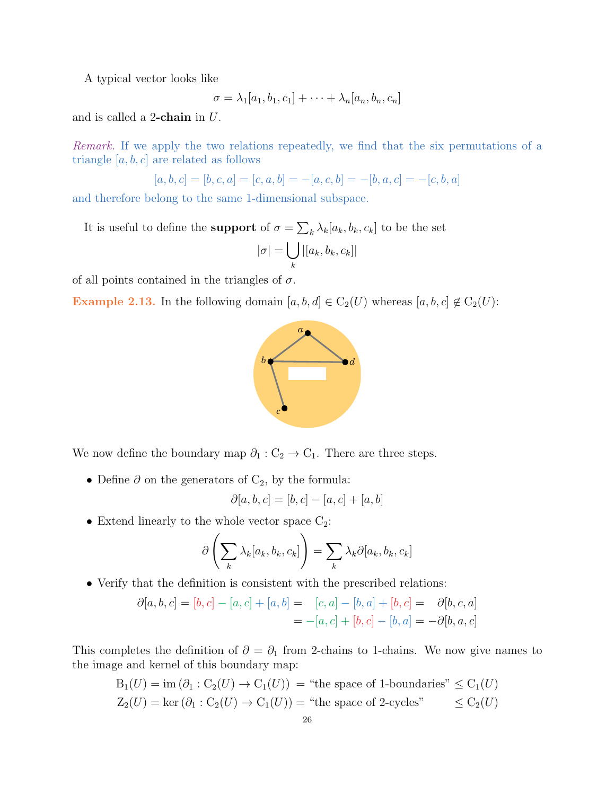A typical vector looks like

$$
\sigma = \lambda_1[a_1, b_1, c_1] + \cdots + \lambda_n[a_n, b_n, c_n]
$$

and is called a 2-chain in U.

Remark. If we apply the two relations repeatedly, we find that the six permutations of a triangle  $[a, b, c]$  are related as follows

$$
[a, b, c] = [b, c, a] = [c, a, b] = -[a, c, b] = -[b, a, c] = -[c, b, a]
$$

and therefore belong to the same 1-dimensional subspace.

It is useful to define the **support** of  $\sigma = \sum_{k} \lambda_k [a_k, b_k, c_k]$  to be the set

$$
|\sigma| = \bigcup_{k} |[a_k, b_k, c_k]|
$$

of all points contained in the triangles of  $\sigma$ .

Example 2.13. In the following domain  $[a, b, d] \in C_2(U)$  whereas  $[a, b, c] \notin C_2(U)$ :



We now define the boundary map  $\partial_1: C_2 \to C_1$ . There are three steps.

• Define  $\partial$  on the generators of  $C_2$ , by the formula:

$$
\partial[a,b,c] = [b,c] - [a,c] + [a,b]
$$

• Extend linearly to the whole vector space  $C_2$ :

$$
\partial \left( \sum_{k} \lambda_{k} [a_{k}, b_{k}, c_{k}]\right) = \sum_{k} \lambda_{k} \partial [a_{k}, b_{k}, c_{k}]
$$

• Verify that the definition is consistent with the prescribed relations:

$$
\partial[a, b, c] = [b, c] - [a, c] + [a, b] = [c, a] - [b, a] + [b, c] = \partial[b, c, a]
$$
  
= -[a, c] + [b, c] - [b, a] = -\partial[b, a, c]

This completes the definition of  $\partial = \partial_1$  from 2-chains to 1-chains. We now give names to the image and kernel of this boundary map:

$$
B_1(U) = \text{im } (\partial_1 : C_2(U) \to C_1(U)) = \text{``the space of 1-boundaries''} \leq C_1(U)
$$
  

$$
Z_2(U) = \text{ker } (\partial_1 : C_2(U) \to C_1(U)) = \text{``the space of 2-cycles''} \leq C_2(U)
$$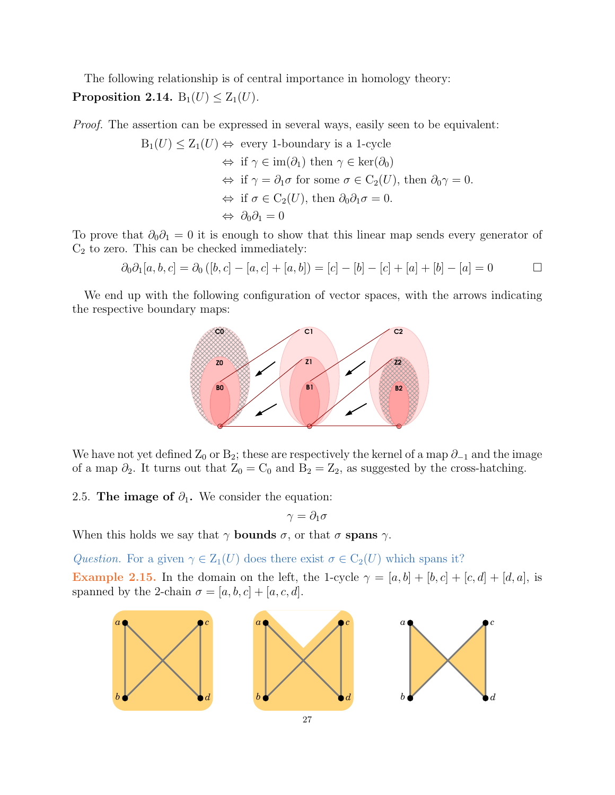The following relationship is of central importance in homology theory: Proposition 2.14.  $B_1(U) \leq Z_1(U)$ .

Proof. The assertion can be expressed in several ways, easily seen to be equivalent:

$$
B_1(U) \le Z_1(U) \Leftrightarrow \text{ every 1-boundary is a 1-cycle}
$$
  
\n
$$
\Leftrightarrow \text{ if } \gamma \in \text{im}(\partial_1) \text{ then } \gamma \in \text{ker}(\partial_0)
$$
  
\n
$$
\Leftrightarrow \text{ if } \gamma = \partial_1 \sigma \text{ for some } \sigma \in C_2(U), \text{ then } \partial_0 \gamma = 0.
$$
  
\n
$$
\Leftrightarrow \text{ if } \sigma \in C_2(U), \text{ then } \partial_0 \partial_1 \sigma = 0.
$$
  
\n
$$
\Leftrightarrow \partial_0 \partial_1 = 0
$$

To prove that  $\partial_0 \partial_1 = 0$  it is enough to show that this linear map sends every generator of  $\mathrm{C}_2$  to zero. This can be checked immediately:

$$
\partial_0 \partial_1[a, b, c] = \partial_0 ([b, c] - [a, c] + [a, b]) = [c] - [b] - [c] + [a] + [b] - [a] = 0 \qquad \Box
$$

We end up with the following configuration of vector spaces, with the arrows indicating the respective boundary maps:



We have not yet defined  $Z_0$  or  $B_2$ ; these are respectively the kernel of a map  $\partial_{-1}$  and the image of a map  $\partial_2$ . It turns out that  $Z_0 = C_0$  and  $B_2 = Z_2$ , as suggested by the cross-hatching.

<span id="page-26-0"></span>2.5. The image of  $\partial_1$ . We consider the equation:

$$
\gamma=\partial_1\sigma
$$

When this holds we say that  $\gamma$  bounds  $\sigma$ , or that  $\sigma$  spans  $\gamma$ .

<span id="page-26-1"></span>Question. For a given  $\gamma \in Z_1(U)$  does there exist  $\sigma \in C_2(U)$  which spans it? Example 2.15. In the domain on the left, the 1-cycle  $\gamma = [a, b] + [b, c] + [c, d] + [d, a]$ , is spanned by the 2-chain  $\sigma = [a, b, c] + [a, c, d]$ .

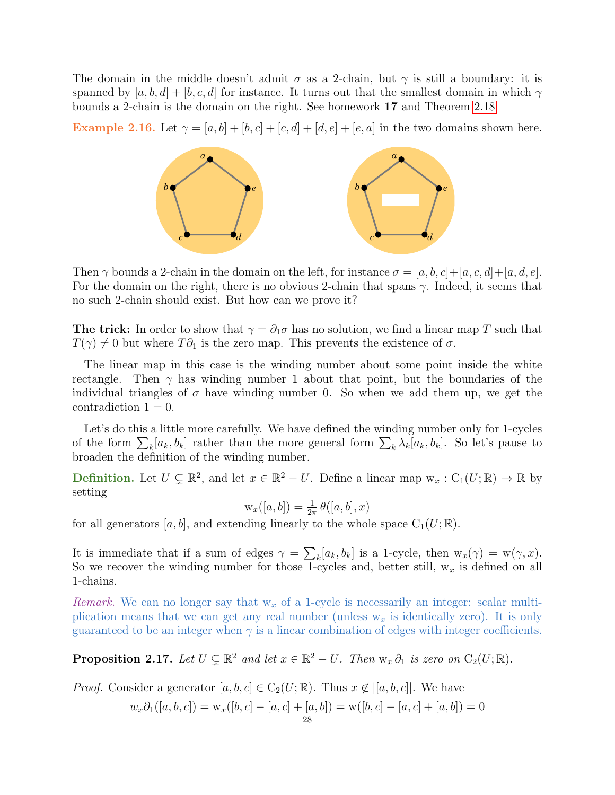The domain in the middle doesn't admit  $\sigma$  as a 2-chain, but  $\gamma$  is still a boundary: it is spanned by  $[a, b, d] + [b, c, d]$  for instance. It turns out that the smallest domain in which  $\gamma$ bounds a 2-chain is the domain on the right. See homework 17 and Theorem [2.18.](#page-28-1)

Example 2.16. Let  $\gamma = [a, b] + [b, c] + [c, d] + [d, e] + [e, a]$  in the two domains shown here.



Then  $\gamma$  bounds a 2-chain in the domain on the left, for instance  $\sigma = [a, b, c] + [a, c, d] + [a, d, e]$ . For the domain on the right, there is no obvious 2-chain that spans  $\gamma$ . Indeed, it seems that no such 2-chain should exist. But how can we prove it?

**The trick:** In order to show that  $\gamma = \partial_1 \sigma$  has no solution, we find a linear map T such that  $T(\gamma) \neq 0$  but where  $T \partial_1$  is the zero map. This prevents the existence of  $\sigma$ .

The linear map in this case is the winding number about some point inside the white rectangle. Then  $\gamma$  has winding number 1 about that point, but the boundaries of the individual triangles of  $\sigma$  have winding number 0. So when we add them up, we get the contradiction  $1 = 0$ .

Let's do this a little more carefully. We have defined the winding number only for 1-cycles of the form  $\sum_{k}[a_k, b_k]$  rather than the more general form  $\sum_{k} \lambda_k [a_k, b_k]$ . So let's pause to broaden the definition of the winding number.

**Definition.** Let  $U \subsetneq \mathbb{R}^2$ , and let  $x \in \mathbb{R}^2 - U$ . Define a linear map  $w_x : C_1(U; \mathbb{R}) \to \mathbb{R}$  by setting

$$
\mathbf{w}_x([a,b]) = \frac{1}{2\pi} \theta([a,b],x)
$$

for all generators [a, b], and extending linearly to the whole space  $C_1(U;\mathbb{R})$ .

It is immediate that if a sum of edges  $\gamma = \sum_k [a_k, b_k]$  is a 1-cycle, then  $w_x(\gamma) = w(\gamma, x)$ . So we recover the winding number for those 1-cycles and, better still,  $w_x$  is defined on all 1-chains.

Remark. We can no longer say that  $w_x$  of a 1-cycle is necessarily an integer: scalar multiplication means that we can get any real number (unless  $w_x$  is identically zero). It is only guaranteed to be an integer when  $\gamma$  is a linear combination of edges with integer coefficients.

<span id="page-27-0"></span>**Proposition 2.17.** Let  $U \subsetneq \mathbb{R}^2$  and let  $x \in \mathbb{R}^2 - U$ . Then  $w_x \partial_1$  is zero on  $C_2(U; \mathbb{R})$ .

*Proof.* Consider a generator  $[a, b, c] \in C_2(U; \mathbb{R})$ . Thus  $x \notin |[a, b, c]|$ . We have

$$
w_x \partial_1([a, b, c]) = w_x([b, c] - [a, c] + [a, b]) = w([b, c] - [a, c] + [a, b]) = 0
$$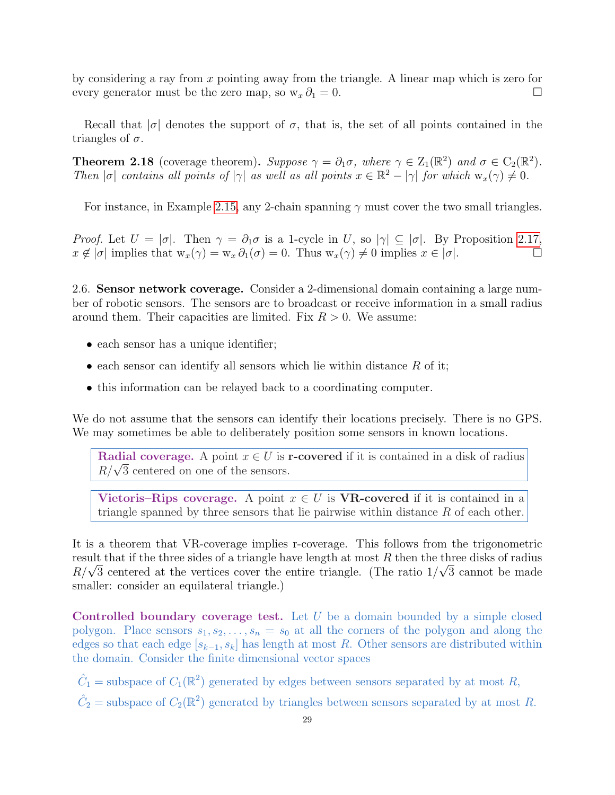by considering a ray from x pointing away from the triangle. A linear map which is zero for every generator must be the zero map, so  $w_x \partial_1 = 0$ .

Recall that  $|\sigma|$  denotes the support of  $\sigma$ , that is, the set of all points contained in the triangles of  $\sigma$ .

<span id="page-28-1"></span>**Theorem 2.18** (coverage theorem). Suppose  $\gamma = \partial_1 \sigma$ , where  $\gamma \in Z_1(\mathbb{R}^2)$  and  $\sigma \in C_2(\mathbb{R}^2)$ . Then  $|\sigma|$  contains all points of  $|\gamma|$  as well as all points  $x \in \mathbb{R}^2 - |\gamma|$  for which  $w_x(\gamma) \neq 0$ .

For instance, in Example [2.15,](#page-26-1) any 2-chain spanning  $\gamma$  must cover the two small triangles.

Proof. Let  $U = |\sigma|$ . Then  $\gamma = \partial_1 \sigma$  is a 1-cycle in U, so  $|\gamma| \subseteq |\sigma|$ . By Proposition [2.17,](#page-27-0)  $x \notin |\sigma|$  implies that  $w_x(\gamma) = w_x \partial_1(\sigma) = 0$ . Thus  $w_x(\gamma) \neq 0$  implies  $x \in |\sigma|$ .

<span id="page-28-0"></span>2.6. Sensor network coverage. Consider a 2-dimensional domain containing a large number of robotic sensors. The sensors are to broadcast or receive information in a small radius around them. Their capacities are limited. Fix  $R > 0$ . We assume:

- each sensor has a unique identifier;
- each sensor can identify all sensors which lie within distance  $R$  of it;
- this information can be relayed back to a coordinating computer.

We do not assume that the sensors can identify their locations precisely. There is no GPS. We may sometimes be able to deliberately position some sensors in known locations.

Radial coverage. A point  $x \in U$  is r-covered if it is contained in a disk of radius **Radial coverage.** A point  $x \in U$  is i<br> $R/\sqrt{3}$  centered on one of the sensors.

Vietoris–Rips coverage. A point  $x \in U$  is VR-covered if it is contained in a triangle spanned by three sensors that lie pairwise within distance R of each other.

It is a theorem that VR-coverage implies r-coverage. This follows from the trigonometric result that if the three sides of a triangle have length at most R then the three disks of radius result that if the three sides of a triangle have length at most  $R$  then the three disks of radius  $R/\sqrt{3}$  centered at the vertices cover the entire triangle. (The ratio  $1/\sqrt{3}$  cannot be made smaller: consider an equilateral triangle.)

Controlled boundary coverage test. Let U be a domain bounded by a simple closed polygon. Place sensors  $s_1, s_2, \ldots, s_n = s_0$  at all the corners of the polygon and along the edges so that each edge  $[s_{k-1}, s_k]$  has length at most R. Other sensors are distributed within the domain. Consider the finite dimensional vector spaces

 $\hat{C}_1$  = subspace of  $C_1(\mathbb{R}^2)$  generated by edges between sensors separated by at most R,  $\hat{C}_2$  = subspace of  $C_2(\mathbb{R}^2)$  generated by triangles between sensors separated by at most R.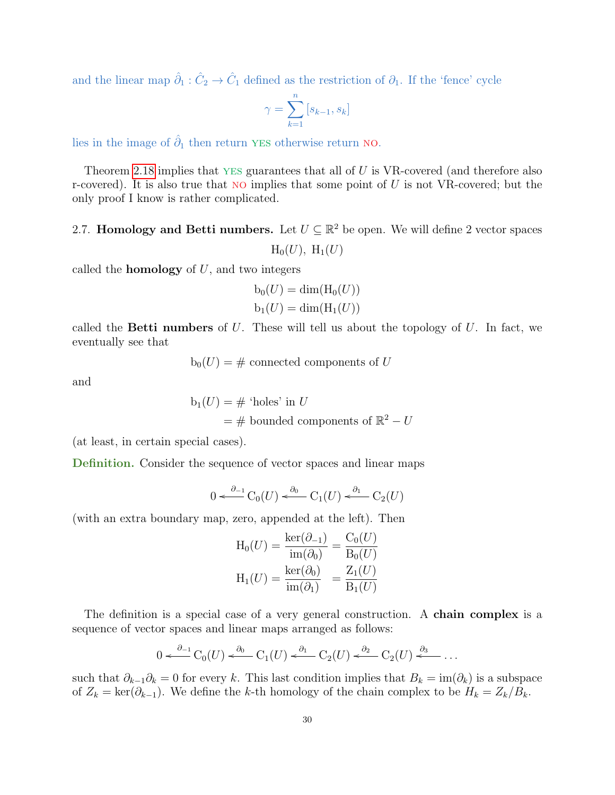and the linear map  $\hat{\partial}_1 : \hat{C}_2 \to \hat{C}_1$  defined as the restriction of  $\partial_1$ . If the 'fence' cycle

$$
\gamma = \sum_{k=1}^{n} [s_{k-1}, s_k]
$$

lies in the image of  $\hat{\partial}_1$  then return YES otherwise return NO.

Theorem [2.18](#page-28-1) implies that  $YES$  guarantees that all of U is VR-covered (and therefore also r-covered). It is also true that NO implies that some point of  $U$  is not VR-covered; but the only proof I know is rather complicated.

# <span id="page-29-0"></span>2.7. Homology and Betti numbers. Let  $U \subseteq \mathbb{R}^2$  be open. We will define 2 vector spaces  $H_0(U)$ ,  $H_1(U)$

called the **homology** of  $U$ , and two integers

$$
b_0(U) = \dim(\mathrm{H}_0(U))
$$
  

$$
b_1(U) = \dim(\mathrm{H}_1(U))
$$

called the **Betti numbers** of  $U$ . These will tell us about the topology of  $U$ . In fact, we eventually see that

$$
b_0(U) = #
$$
 connected components of U

and

$$
b_1(U) = # 'holes' in U
$$
  
= # bounded components of  $\mathbb{R}^2 - U$ 

(at least, in certain special cases).

Definition. Consider the sequence of vector spaces and linear maps

$$
0 \xleftarrow{\partial_{-1}} C_0(U) \xleftarrow{\partial_0} C_1(U) \xleftarrow{\partial_1} C_2(U)
$$

(with an extra boundary map, zero, appended at the left). Then

$$
H_0(U) = \frac{\ker(\partial_{-1})}{\text{im}(\partial_0)} = \frac{C_0(U)}{B_0(U)}
$$

$$
H_1(U) = \frac{\ker(\partial_0)}{\text{im}(\partial_1)} = \frac{Z_1(U)}{B_1(U)}
$$

The definition is a special case of a very general construction. A **chain complex** is a sequence of vector spaces and linear maps arranged as follows:

$$
0 \xleftarrow{\partial_{-1}} C_0(U) \xleftarrow{\partial_0} C_1(U) \xleftarrow{\partial_1} C_2(U) \xleftarrow{\partial_2} C_2(U) \xleftarrow{\partial_3} \dots
$$

such that  $\partial_{k-1}\partial_k = 0$  for every k. This last condition implies that  $B_k = \text{im}(\partial_k)$  is a subspace of  $Z_k = \text{ker}(\partial_{k-1})$ . We define the k-th homology of the chain complex to be  $H_k = Z_k/B_k$ .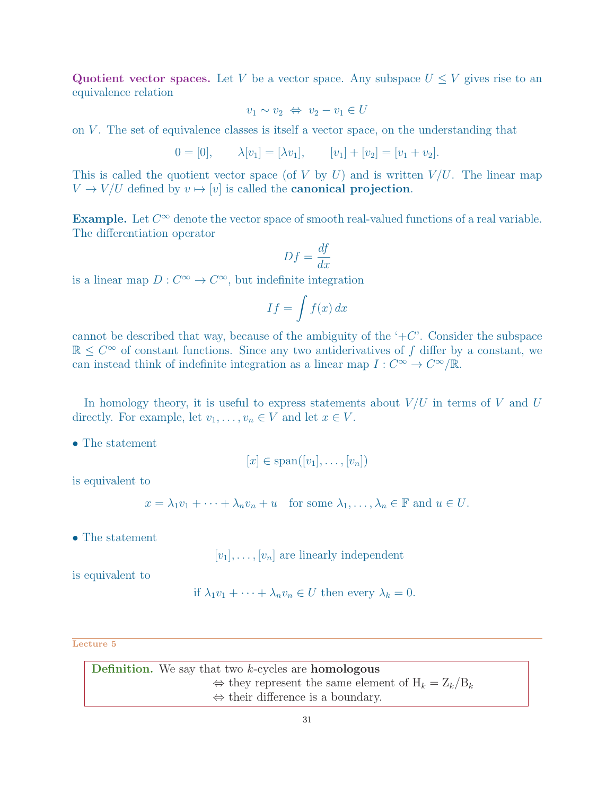Quotient vector spaces. Let V be a vector space. Any subspace  $U \leq V$  gives rise to an equivalence relation

$$
v_1 \sim v_2 \iff v_2 - v_1 \in U
$$

on V. The set of equivalence classes is itself a vector space, on the understanding that

$$
0 = [0], \qquad \lambda[v_1] = [\lambda v_1], \qquad [v_1] + [v_2] = [v_1 + v_2].
$$

This is called the quotient vector space (of V by U) and is written  $V/U$ . The linear map  $V \rightarrow V/U$  defined by  $v \mapsto [v]$  is called the **canonical projection**.

Example. Let  $C^{\infty}$  denote the vector space of smooth real-valued functions of a real variable. The differentiation operator

$$
Df = \frac{df}{dx}
$$

is a linear map  $D: C^{\infty} \to C^{\infty}$ , but indefinite integration

$$
If = \int f(x) \, dx
$$

cannot be described that way, because of the ambiguity of the  $+C$ . Consider the subspace  $\mathbb{R} \leq C^{\infty}$  of constant functions. Since any two antiderivatives of f differ by a constant, we can instead think of indefinite integration as a linear map  $I: C^{\infty} \to C^{\infty}/\mathbb{R}$ .

In homology theory, it is useful to express statements about  $V/U$  in terms of V and U directly. For example, let  $v_1, \ldots, v_n \in V$  and let  $x \in V$ .

• The statement

$$
[x] \in \mathrm{span}([v_1], \ldots, [v_n])
$$

is equivalent to

$$
x = \lambda_1 v_1 + \dots + \lambda_n v_n + u
$$
 for some  $\lambda_1, \dots, \lambda_n \in \mathbb{F}$  and  $u \in U$ .

• The statement

 $[v_1], \ldots, [v_n]$  are linearly independent

is equivalent to

if 
$$
\lambda_1 v_1 + \cdots + \lambda_n v_n \in U
$$
 then every  $\lambda_k = 0$ .

#### Lecture 5

**Definition.** We say that two  $k$ -cycles are **homologous** ⇔ they represent the same element of  $H_k = Z_k/B_k$ ⇔ their difference is a boundary.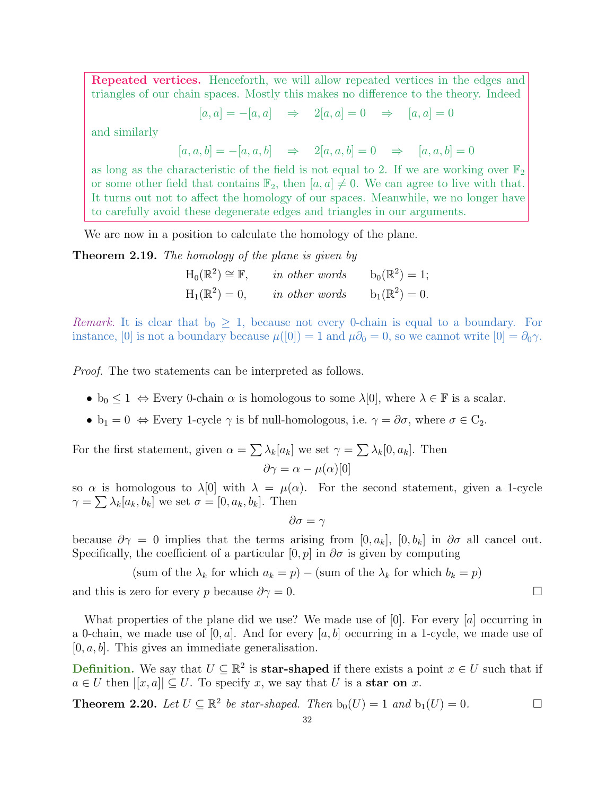Repeated vertices. Henceforth, we will allow repeated vertices in the edges and triangles of our chain spaces. Mostly this makes no difference to the theory. Indeed

 $[a, a] = -[a, a] \Rightarrow 2[a, a] = 0 \Rightarrow [a, a] = 0$ 

and similarly

 $[a, a, b] = -[a, a, b] \Rightarrow 2[a, a, b] = 0 \Rightarrow [a, a, b] = 0$ 

as long as the characteristic of the field is not equal to 2. If we are working over  $\mathbb{F}_2$ or some other field that contains  $\mathbb{F}_2$ , then  $[a, a] \neq 0$ . We can agree to live with that. It turns out not to affect the homology of our spaces. Meanwhile, we no longer have to carefully avoid these degenerate edges and triangles in our arguments.

We are now in a position to calculate the homology of the plane.

**Theorem 2.19.** The homology of the plane is given by

 $H_0(\mathbb{R}^2) \cong \mathbb{F}$ , in other words  $b_0(\mathbb{R}^2) = 1$ ;  $H_1(\mathbb{R}^2) = 0$ , in other words  $b_1(\mathbb{R}^2) = 0$ .

Remark. It is clear that  $b_0 \geq 1$ , because not every 0-chain is equal to a boundary. For instance, [0] is not a boundary because  $\mu([0]) = 1$  and  $\mu\partial_0 = 0$ , so we cannot write  $[0] = \partial_0\gamma$ .

Proof. The two statements can be interpreted as follows.

- $b_0 \leq 1 \Leftrightarrow$  Every 0-chain  $\alpha$  is homologous to some  $\lambda[0]$ , where  $\lambda \in \mathbb{F}$  is a scalar.
- $b_1 = 0 \Leftrightarrow$  Every 1-cycle  $\gamma$  is bf null-homologous, i.e.  $\gamma = \partial \sigma$ , where  $\sigma \in C_2$ .

For the first statement, given  $\alpha = \sum_{k} \lambda_k [a_k]$  we set  $\gamma = \sum_{k} \lambda_k [0, a_k]$ . Then  $\partial \gamma = \alpha - \mu(\alpha)[0]$ 

so  $\alpha$  is homologous to  $\lambda[0]$  with  $\lambda = \mu(\alpha)$ . For the second statement, given a 1-cycle  $\gamma = \sum_{k} \lambda_k [a_k, b_k]$  we set  $\sigma = [0, a_k, b_k]$ . Then

 $\partial \sigma = \gamma$ 

because  $\partial \gamma = 0$  implies that the terms arising from [0,  $a_k$ ], [0,  $b_k$ ] in  $\partial \sigma$  all cancel out. Specifically, the coefficient of a particular  $[0, p]$  in  $\partial \sigma$  is given by computing

(sum of the  $\lambda_k$  for which  $a_k = p$ ) – (sum of the  $\lambda_k$  for which  $b_k = p$ ) and this is zero for every p because  $\partial \gamma = 0$ .

What properties of the plane did we use? We made use of [0]. For every [a] occurring in a 0-chain, we made use of  $[0, a]$ . And for every  $[a, b]$  occurring in a 1-cycle, we made use of  $[0, a, b]$ . This gives an immediate generalisation.

**Definition.** We say that  $U \subseteq \mathbb{R}^2$  is **star-shaped** if there exists a point  $x \in U$  such that if  $a \in U$  then  $[[x, a]] \subseteq U$ . To specify x, we say that U is a star on x.

**Theorem 2.20.** Let  $U \subseteq \mathbb{R}^2$  be star-shaped. Then  $b_0(U) = 1$  and  $b_1(U) = 0$ .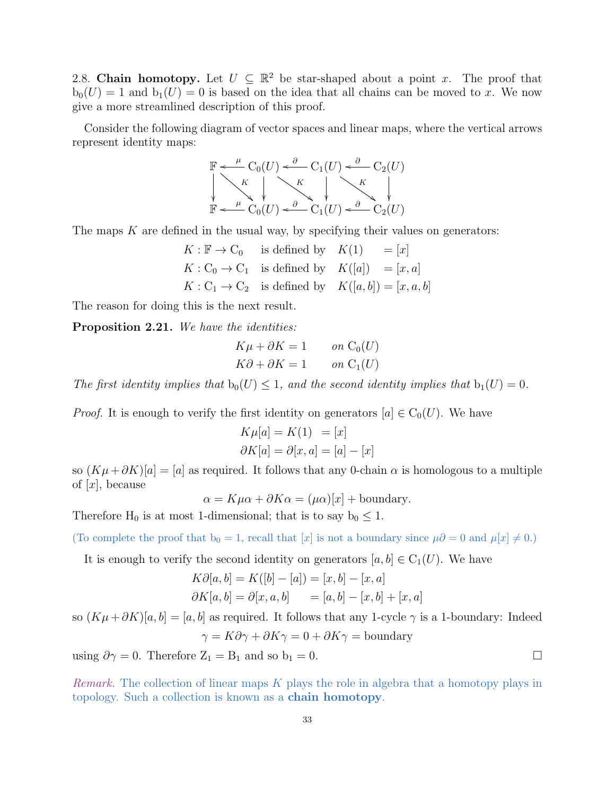<span id="page-32-0"></span>2.8. Chain homotopy. Let  $U \subseteq \mathbb{R}^2$  be star-shaped about a point x. The proof that  $b_0(U) = 1$  and  $b_1(U) = 0$  is based on the idea that all chains can be moved to x. We now give a more streamlined description of this proof.

Consider the following diagram of vector spaces and linear maps, where the vertical arrows represent identity maps:

F K ! C0(U) µ o K \$ C1(U) <sup>∂</sup> o K \$ C2(U) <sup>∂</sup> o F C0(U) µ o C1(U) <sup>∂</sup> <sup>o</sup> C2(U) <sup>∂</sup> o

The maps  $K$  are defined in the usual way, by specifying their values on generators:

$$
K: \mathbb{F} \to \mathcal{C}_0 \quad \text{is defined by} \quad K(1) = [x]
$$
  

$$
K: \mathcal{C}_0 \to \mathcal{C}_1 \quad \text{is defined by} \quad K([a]) = [x, a]
$$
  

$$
K: \mathcal{C}_1 \to \mathcal{C}_2 \quad \text{is defined by} \quad K([a, b]) = [x, a, b]
$$

The reason for doing this is the next result.

Proposition 2.21. We have the identities:

$$
K\mu + \partial K = 1 \qquad on \ C_0(U)
$$
  

$$
K\partial + \partial K = 1 \qquad on \ C_1(U)
$$

The first identity implies that  $b_0(U) \leq 1$ , and the second identity implies that  $b_1(U) = 0$ .

*Proof.* It is enough to verify the first identity on generators  $[a] \in C_0(U)$ . We have

$$
K\mu[a] = K(1) = [x]
$$
  

$$
\partial K[a] = \partial[x, a] = [a] - [x]
$$

so  $(K\mu+\partial K)[a] = [a]$  as required. It follows that any 0-chain  $\alpha$  is homologous to a multiple of  $[x]$ , because

 $\alpha = K\mu\alpha + \partial K\alpha = (\mu\alpha)[x] + \text{boundary}.$ 

Therefore  $H_0$  is at most 1-dimensional; that is to say  $b_0 \leq 1$ .

(To complete the proof that  $b_0 = 1$ , recall that  $[x]$  is not a boundary since  $\mu \partial = 0$  and  $\mu[x] \neq 0$ .)

It is enough to verify the second identity on generators  $[a, b] \in C_1(U)$ . We have

$$
K\partial[a, b] = K([b] - [a]) = [x, b] - [x, a]
$$
  

$$
\partial K[a, b] = \partial[x, a, b] = [a, b] - [x, b] + [x, a]
$$

so  $(K\mu+\partial K)[a, b] = [a, b]$  as required. It follows that any 1-cycle  $\gamma$  is a 1-boundary: Indeed  $\gamma = K\partial\gamma + \partial K\gamma = 0 + \partial K\gamma =$ boundary

using  $\partial \gamma = 0$ . Therefore  $Z_1 = B_1$  and so  $b_1 = 0$ .

Remark. The collection of linear maps K plays the role in algebra that a homotopy plays in topology. Such a collection is known as a chain homotopy.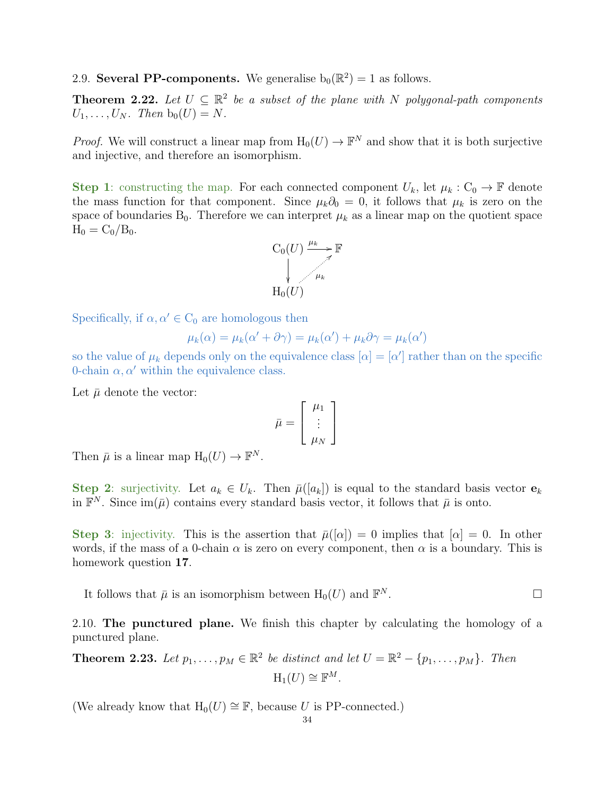<span id="page-33-0"></span>2.9. Several PP-components. We generalise  $b_0(\mathbb{R}^2) = 1$  as follows.

<span id="page-33-3"></span>**Theorem 2.22.** Let  $U \subseteq \mathbb{R}^2$  be a subset of the plane with N polygonal-path components  $U_1, \ldots, U_N$ . Then  $b_0(U) = N$ .

*Proof.* We will construct a linear map from  $H_0(U) \to \mathbb{F}^N$  and show that it is both surjective and injective, and therefore an isomorphism.

Step 1: constructing the map. For each connected component  $U_k$ , let  $\mu_k : C_0 \to \mathbb{F}$  denote the mass function for that component. Since  $\mu_k \partial_0 = 0$ , it follows that  $\mu_k$  is zero on the space of boundaries  $B_0$ . Therefore we can interpret  $\mu_k$  as a linear map on the quotient space  $H_0 = C_0/B_0$ .



Specifically, if  $\alpha, \alpha' \in C_0$  are homologous then

$$
\mu_k(\alpha) = \mu_k(\alpha' + \partial \gamma) = \mu_k(\alpha') + \mu_k \partial \gamma = \mu_k(\alpha')
$$

so the value of  $\mu_k$  depends only on the equivalence class  $[\alpha] = [\alpha']$  rather than on the specific 0-chain  $\alpha, \alpha'$  within the equivalence class.

Let  $\bar{\mu}$  denote the vector:

$$
\bar{\mu} = \left[ \begin{array}{c} \mu_1 \\ \vdots \\ \mu_N \end{array} \right]
$$

Then  $\bar{\mu}$  is a linear map  $H_0(U) \to \mathbb{F}^N$ .

Step 2: surjectivity. Let  $a_k \in U_k$ . Then  $\bar{\mu}([a_k])$  is equal to the standard basis vector  $e_k$ in  $\mathbb{F}^N$ . Since  $\text{im}(\bar{\mu})$  contains every standard basis vector, it follows that  $\bar{\mu}$  is onto.

Step 3: injectivity. This is the assertion that  $\bar{\mu}([\alpha]) = 0$  implies that  $[\alpha] = 0$ . In other words, if the mass of a 0-chain  $\alpha$  is zero on every component, then  $\alpha$  is a boundary. This is homework question 17.

It follows that  $\bar{\mu}$  is an isomorphism between  $H_0(U)$  and  $\mathbb{F}^N$ .  $N$  .  $\Box$ 

<span id="page-33-1"></span>2.10. The punctured plane. We finish this chapter by calculating the homology of a punctured plane.

<span id="page-33-2"></span>**Theorem 2.23.** Let  $p_1, \ldots, p_M \in \mathbb{R}^2$  be distinct and let  $U = \mathbb{R}^2 - \{p_1, \ldots, p_M\}$ . Then  $H_1(U) \cong \mathbb{F}^M$ .

(We already know that  $H_0(U) \cong \mathbb{F}$ , because U is PP-connected.)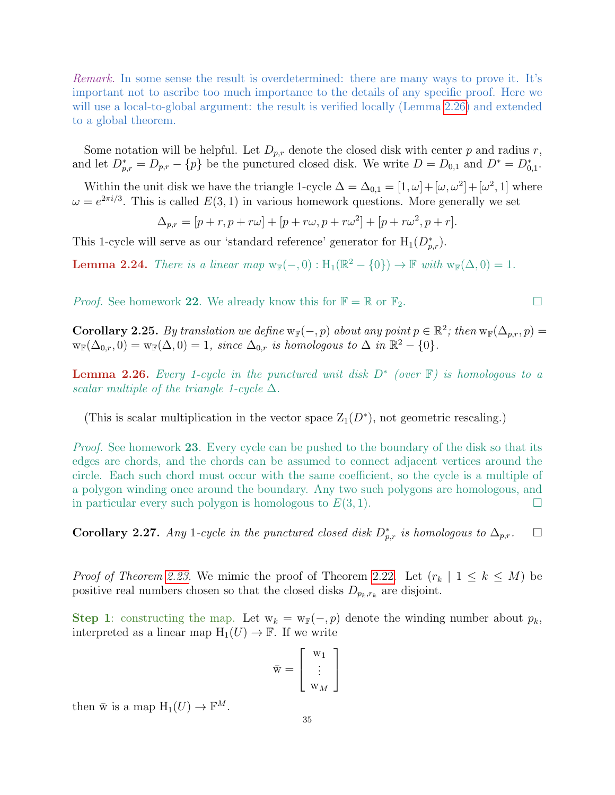Remark. In some sense the result is overdetermined: there are many ways to prove it. It's important not to ascribe too much importance to the details of any specific proof. Here we will use a local-to-global argument: the result is verified locally (Lemma [2.26\)](#page-34-0) and extended to a global theorem.

Some notation will be helpful. Let  $D_{p,r}$  denote the closed disk with center p and radius r, and let  $D_{p,r}^* = D_{p,r} - \{p\}$  be the punctured closed disk. We write  $D = D_{0,1}$  and  $D^* = D_{0,1}^*$ .

Within the unit disk we have the triangle 1-cycle  $\Delta = \Delta_{0,1} = [1, \omega] + [\omega, \omega^2] + [\omega^2, 1]$  where  $\omega = e^{2\pi i/3}$ . This is called  $E(3, 1)$  in various homework questions. More generally we set

$$
\Delta_{p,r} = [p+r, p+r\omega] + [p+r\omega, p+r\omega^2] + [p+r\omega^2, p+r].
$$

This 1-cycle will serve as our 'standard reference' generator for  $H_1(D_{p,r}^*)$ .

**Lemma 2.24.** There is a linear map  $w_{\mathbb{F}}(-,0) : H_1(\mathbb{R}^2 - \{0\}) \to \mathbb{F}$  with  $w_{\mathbb{F}}(\Delta,0) = 1$ .

*Proof.* See homework 22. We already know this for  $\mathbb{F} = \mathbb{R}$  or  $\mathbb{F}_2$ .

**Corollary 2.25.** By translation we define  $w_{\mathbb{F}}(-, p)$  about any point  $p \in \mathbb{R}^2$ ; then  $w_{\mathbb{F}}(\Delta_{p,r}, p) =$  $w_{\mathbb{F}}(\Delta_{0,r},0)=w_{\mathbb{F}}(\Delta,0)=1$ , since  $\Delta_{0,r}$  is homologous to  $\Delta$  in  $\mathbb{R}^2-\{0\}.$ 

<span id="page-34-0"></span>**Lemma 2.26.** Every 1-cycle in the punctured unit disk  $D^*$  (over  $\mathbb{F}$ ) is homologous to a scalar multiple of the triangle 1-cycle  $\Delta$ .

(This is scalar multiplication in the vector space  $Z_1(D^*)$ , not geometric rescaling.)

Proof. See homework 23. Every cycle can be pushed to the boundary of the disk so that its edges are chords, and the chords can be assumed to connect adjacent vertices around the circle. Each such chord must occur with the same coefficient, so the cycle is a multiple of a polygon winding once around the boundary. Any two such polygons are homologous, and in particular every such polygon is homologous to  $E(3, 1)$ .

Corollary 2.27. Any 1-cycle in the punctured closed disk  $D_{p,r}^*$  is homologous to  $\Delta_{p,r}$ .  $\Box$ 

*Proof of Theorem [2.23.](#page-33-2)* We mimic the proof of Theorem [2.22.](#page-33-3) Let  $(r_k | 1 \le k \le M)$  be positive real numbers chosen so that the closed disks  $D_{p_k,r_k}$  are disjoint.

Step 1: constructing the map. Let  $w_k = w_{\mathbb{F}}(-, p)$  denote the winding number about  $p_k$ , interpreted as a linear map  $H_1(U) \to \mathbb{F}$ . If we write

$$
\bar{\mathbf{w}} = \left[ \begin{array}{c} \mathbf{w}_1 \\ \vdots \\ \mathbf{w}_M \end{array} \right]
$$

then  $\bar{w}$  is a map  $H_1(U) \to \mathbb{F}^M$ .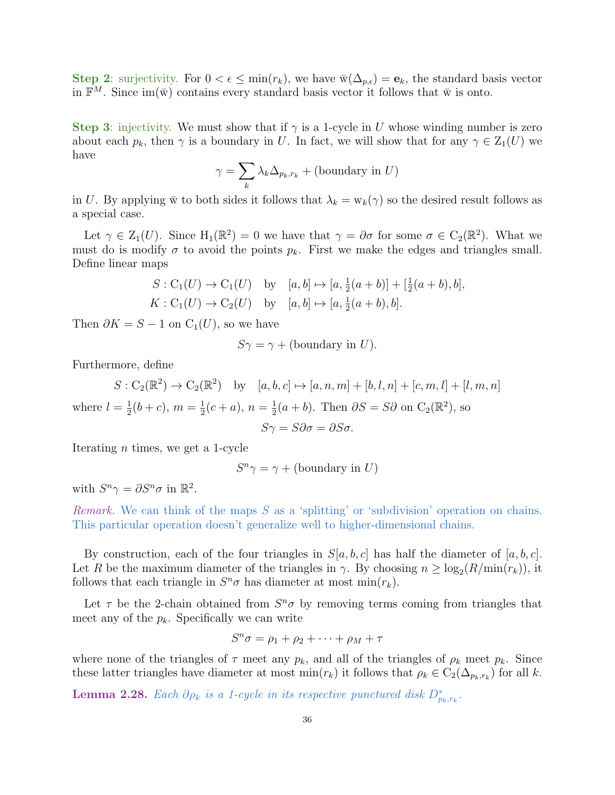Step 2: surjectivity. For  $0 < \epsilon \le \min(r_k)$ , we have  $\bar{w}(\Delta_{p,\epsilon}) = e_k$ , the standard basis vector in  $\mathbb{F}^M$ . Since  $\text{im}(\bar{w})$  contains every standard basis vector it follows that  $\bar{w}$  is onto.

Step 3: injectivity. We must show that if  $\gamma$  is a 1-cycle in U whose winding number is zero about each  $p_k$ , then  $\gamma$  is a boundary in U. In fact, we will show that for any  $\gamma \in Z_1(U)$  we have

$$
\gamma = \sum_{k} \lambda_k \Delta_{p_k, r_k} + (\text{boundary in } U)
$$

in U. By applying  $\bar{w}$  to both sides it follows that  $\lambda_k = w_k(\gamma)$  so the desired result follows as a special case.

Let  $\gamma \in Z_1(U)$ . Since  $H_1(\mathbb{R}^2) = 0$  we have that  $\gamma = \partial \sigma$  for some  $\sigma \in C_2(\mathbb{R}^2)$ . What we must do is modify  $\sigma$  to avoid the points  $p_k$ . First we make the edges and triangles small. Define linear maps

$$
S: C_1(U) \to C_1(U) \text{ by } [a, b] \mapsto [a, \frac{1}{2}(a+b)] + [\frac{1}{2}(a+b), b],
$$
  

$$
K: C_1(U) \to C_2(U) \text{ by } [a, b] \mapsto [a, \frac{1}{2}(a+b), b].
$$

Then  $\partial K = S - 1$  on  $C_1(U)$ , so we have

 $S\gamma = \gamma + (boundary \text{ in } U).$ 

Furthermore, define

$$
S: C_2(\mathbb{R}^2) \to C_2(\mathbb{R}^2) \text{ by } [a, b, c] \mapsto [a, n, m] + [b, l, n] + [c, m, l] + [l, m, n]
$$
  
where  $l = \frac{1}{2}(b + c)$ ,  $m = \frac{1}{2}(c + a)$ ,  $n = \frac{1}{2}(a + b)$ . Then  $\partial S = S\partial$  on  $C_2(\mathbb{R}^2)$ , so  

$$
S\gamma = S\partial\sigma = \partial S\sigma.
$$

Iterating n times, we get a 1-cycle

$$
S^n \gamma = \gamma + (\text{boundary in } U)
$$

with  $S^n \gamma = \partial S^n \sigma$  in  $\mathbb{R}^2$ .

Remark. We can think of the maps  $S$  as a 'splitting' or 'subdivision' operation on chains. This particular operation doesn't generalize well to higher-dimensional chains.

By construction, each of the four triangles in  $S[a, b, c]$  has half the diameter of  $[a, b, c]$ . Let R be the maximum diameter of the triangles in  $\gamma$ . By choosing  $n \geq \log_2(R/\min(r_k))$ , it follows that each triangle in  $S^n \sigma$  has diameter at most min $(r_k)$ .

Let  $\tau$  be the 2-chain obtained from  $S^n\sigma$  by removing terms coming from triangles that meet any of the  $p_k$ . Specifically we can write

$$
S^n \sigma = \rho_1 + \rho_2 + \dots + \rho_M + \tau
$$

where none of the triangles of  $\tau$  meet any  $p_k$ , and all of the triangles of  $\rho_k$  meet  $p_k$ . Since these latter triangles have diameter at most  $\min(r_k)$  it follows that  $\rho_k \in C_2(\Delta_{p_k,r_k})$  for all k.

<span id="page-35-0"></span>**Lemma 2.28.** Each  $\partial \rho_k$  is a 1-cycle in its respective punctured disk  $D^*_{p_k,r_k}$ .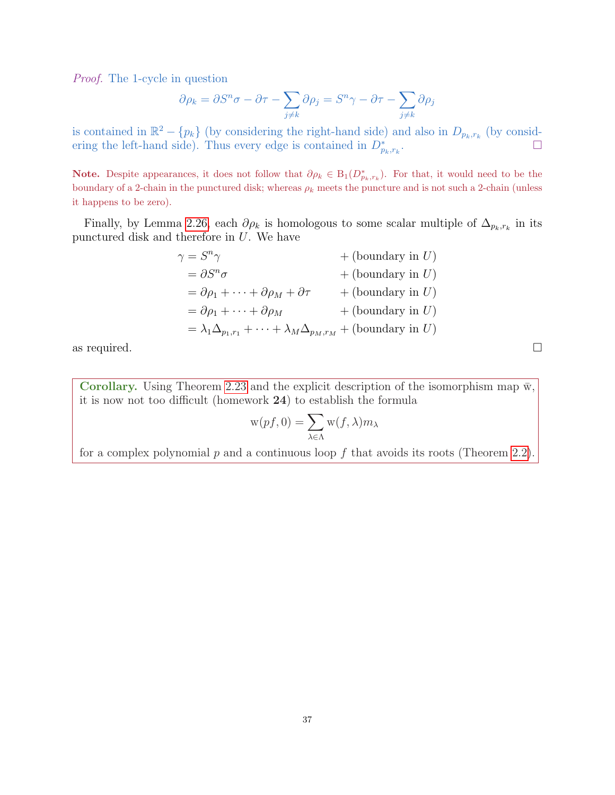Proof. The 1-cycle in question

$$
\partial \rho_k = \partial S^n \sigma - \partial \tau - \sum_{j \neq k} \partial \rho_j = S^n \gamma - \partial \tau - \sum_{j \neq k} \partial \rho_j
$$

is contained in  $\mathbb{R}^2 - \{p_k\}$  (by considering the right-hand side) and also in  $D_{p_k,r_k}$  (by considering the left-hand side). Thus every edge is contained in  $D_{p_k,r_k}^*$ .

Note. Despite appearances, it does not follow that  $\partial \rho_k \in B_1(D^*_{p_k,r_k})$ . For that, it would need to be the boundary of a 2-chain in the punctured disk; whereas  $\rho_k$  meets the puncture and is not such a 2-chain (unless it happens to be zero).

Finally, by Lemma [2.26,](#page-34-0) each  $\partial \rho_k$  is homologous to some scalar multiple of  $\Delta_{p_k,r_k}$  in its punctured disk and therefore in U. We have

| $\gamma=S^n\gamma$                                                                             | $+$ (boundary in U) |
|------------------------------------------------------------------------------------------------|---------------------|
| $= \partial S^n \sigma$                                                                        | $+$ (boundary in U) |
| $= \partial \rho_1 + \cdots + \partial \rho_M + \partial \tau$                                 | $+$ (boundary in U) |
| $= \partial \rho_1 + \cdots + \partial \rho_M$                                                 | $+$ (boundary in U) |
| $= \lambda_1 \Delta_{p_1,r_1} + \cdots + \lambda_M \Delta_{p_M,r_M} + (\text{boundary in } U)$ |                     |

as required.  $\square$ 

Corollary. Using Theorem [2.23](#page-33-0) and the explicit description of the isomorphism map  $\bar{w}$ , it is now not too difficult (homework 24) to establish the formula

$$
\mathbf{w}(pf,0)=\sum_{\lambda\in\Lambda}\mathbf{w}(f,\lambda)m_{\lambda}
$$

for a complex polynomial  $p$  and a continuous loop  $f$  that avoids its roots (Theorem [2.2\)](#page-19-0).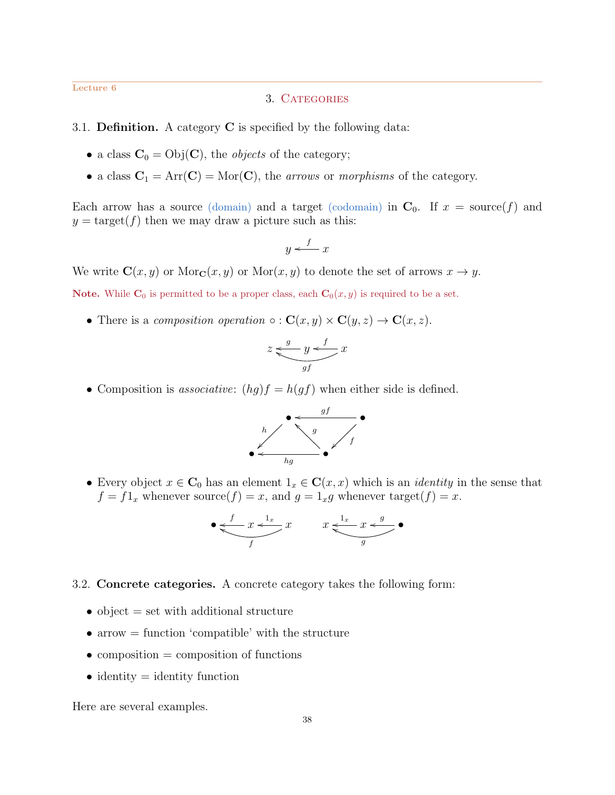### Lecture 6

## 3. CATEGORIES

## 3.1. **Definition.** A category  $C$  is specified by the following data:

- a class  $C_0 = \text{Obj}(C)$ , the *objects* of the category;
- a class  $C_1 = Arr(C) = Mor(C)$ , the *arrows* or *morphisms* of the category.

Each arrow has a source (domain) and a target (codomain) in  $C_0$ . If  $x = \text{source}(f)$  and  $y = \text{target}(f)$  then we may draw a picture such as this:

$$
y \xleftarrow{f} x
$$

We write  $\mathbf{C}(x, y)$  or  $\text{Mor}_{\mathbf{C}}(x, y)$  or  $\text{Mor}(x, y)$  to denote the set of arrows  $x \to y$ .

**Note.** While  $\mathbf{C}_0$  is permitted to be a proper class, each  $\mathbf{C}_0(x, y)$  is required to be a set.

• There is a composition operation  $\circ : \mathbf{C}(x, y) \times \mathbf{C}(y, z) \to \mathbf{C}(x, z)$ .

$$
z \xleftarrow{g} y \xleftarrow{f} x
$$

• Composition is *associative:*  $(hg)f = h(gf)$  when either side is defined.



• Every object  $x \in \mathbb{C}_0$  has an element  $1_x \in \mathbb{C}(x, x)$  which is an *identity* in the sense that  $f = f1_x$  whenever source $(f) = x$ , and  $g = 1_x g$  whenever target $(f) = x$ .

$$
\bullet \underbrace{\underbrace{f}_{x} \underbrace{1_x}_{f} x \qquad x \underbrace{1_x}_{g} \underbrace{x \leftarrow g}_{g} \bullet
$$

- 3.2. Concrete categories. A concrete category takes the following form:
	- object  $=$  set with additional structure
	- $\bullet$  arrow  $=$  function 'compatible' with the structure
	- $\bullet$  composition = composition of functions
	- identity  $=$  identity function

Here are several examples.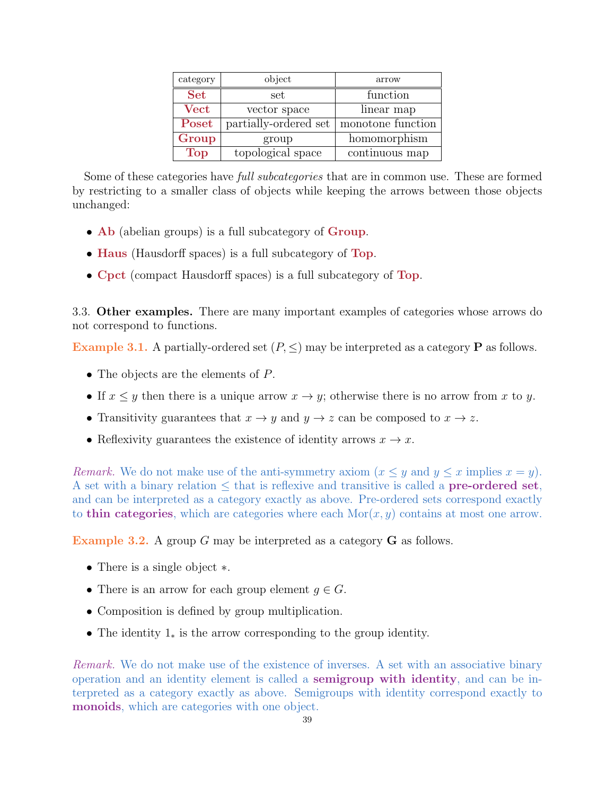| category              | object                | arrow             |
|-----------------------|-----------------------|-------------------|
| <b>Set</b>            | set                   | function          |
| $\operatorname{Vect}$ | vector space          | linear map        |
| Poset                 | partially-ordered set | monotone function |
| Group                 | group                 | homomorphism      |
| <b>Top</b>            | topological space     | continuous map    |

Some of these categories have *full subcategories* that are in common use. These are formed by restricting to a smaller class of objects while keeping the arrows between those objects unchanged:

- Ab (abelian groups) is a full subcategory of Group.
- Haus (Hausdorff spaces) is a full subcategory of Top.
- Cpct (compact Hausdorff spaces) is a full subcategory of Top.

3.3. Other examples. There are many important examples of categories whose arrows do not correspond to functions.

Example 3.1. A partially-ordered set  $(P, \leq)$  may be interpreted as a category **P** as follows.

- The objects are the elements of P.
- If  $x \leq y$  then there is a unique arrow  $x \to y$ ; otherwise there is no arrow from x to y.
- Transitivity guarantees that  $x \to y$  and  $y \to z$  can be composed to  $x \to z$ .
- Reflexivity guarantees the existence of identity arrows  $x \to x$ .

Remark. We do not make use of the anti-symmetry axiom  $(x \leq y$  and  $y \leq x$  implies  $x = y$ ). A set with a binary relation  $\leq$  that is reflexive and transitive is called a **pre-ordered set**, and can be interpreted as a category exactly as above. Pre-ordered sets correspond exactly to thin categories, which are categories where each  $\text{Mor}(x, y)$  contains at most one arrow.

<span id="page-38-0"></span>Example 3.2. A group G may be interpreted as a category G as follows.

- There is a single object ∗.
- There is an arrow for each group element  $g \in G$ .
- Composition is defined by group multiplication.
- The identity 1<sup>∗</sup> is the arrow corresponding to the group identity.

Remark. We do not make use of the existence of inverses. A set with an associative binary operation and an identity element is called a semigroup with identity, and can be interpreted as a category exactly as above. Semigroups with identity correspond exactly to monoids, which are categories with one object.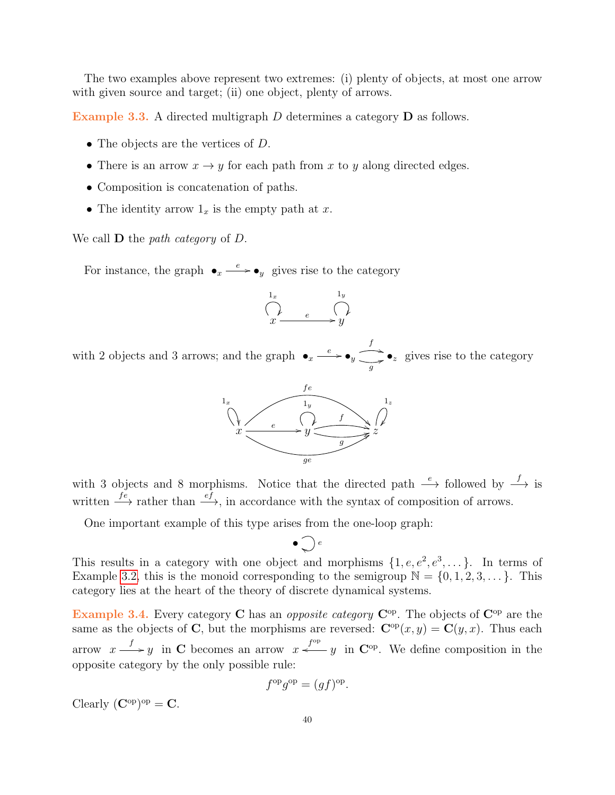The two examples above represent two extremes: (i) plenty of objects, at most one arrow with given source and target; (ii) one object, plenty of arrows.

Example 3.3. A directed multigraph D determines a category D as follows.

- The objects are the vertices of D.
- There is an arrow  $x \to y$  for each path from x to y along directed edges.
- Composition is concatenation of paths.
- The identity arrow  $1_x$  is the empty path at x.

We call  $D$  the *path category* of  $D$ .

For instance, the graph  $\bullet_x \xrightarrow{e} \bullet_y$  gives rise to the category

$$
\bigcap_{x \xrightarrow{1_x} e} \bigcap_{y \atop x \to y}
$$

with 2 objects and 3 arrows; and the graph  $\bullet_x \xrightarrow{e} \bullet_y$  $\sum_{g}$   $\bullet$ <sub>z</sub> gives rise to the category



with 3 objects and 8 morphisms. Notice that the directed path  $\xrightarrow{e}$  followed by  $\xrightarrow{f}$  is written  $\xrightarrow{fe}$  rather than  $\xrightarrow{ef}$ , in accordance with the syntax of composition of arrows.

One important example of this type arises from the one-loop graph:

$$
\bullet \bigcirc e
$$

This results in a category with one object and morphisms  $\{1, e, e^2, e^3, \dots\}$ . In terms of Example [3.2,](#page-38-0) this is the monoid corresponding to the semigroup  $\mathbb{N} = \{0, 1, 2, 3, \dots\}$ . This category lies at the heart of the theory of discrete dynamical systems.

Example 3.4. Every category C has an *opposite category*  $C^{op}$ . The objects of  $C^{op}$  are the same as the objects of C, but the morphisms are reversed:  $\mathbf{C}^{\mathrm{op}}(x, y) = \mathbf{C}(y, x)$ . Thus each arrow  $x \xrightarrow{f} y$  in C becomes an arrow  $x \xleftarrow{f^{op}} y$  in C<sup>op</sup>. We define composition in the opposite category by the only possible rule:

$$
f^{\rm op}g^{\rm op} = (gf)^{\rm op}.
$$

Clearly  $(\mathbf{C}^{\mathrm{op}})^{\mathrm{op}} = \mathbf{C}.$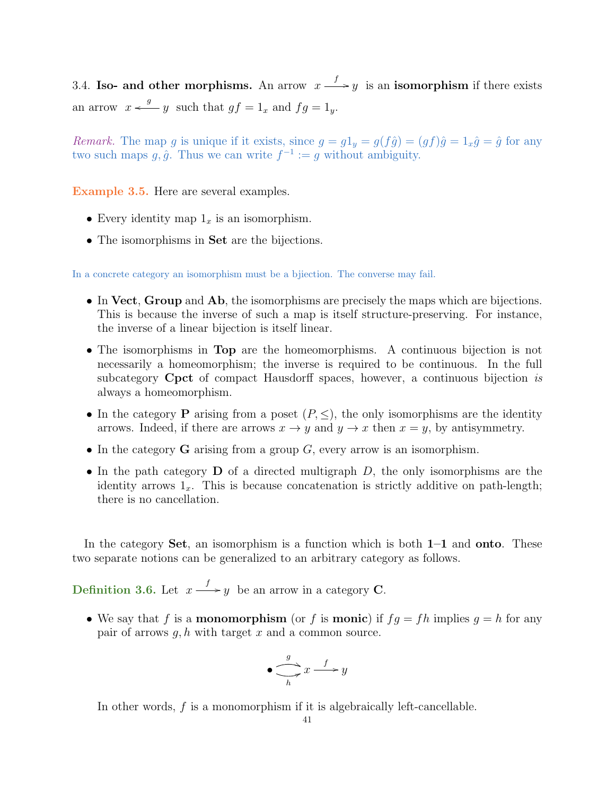3.4. Iso- and other morphisms. An arrow  $x \stackrel{f}{\longrightarrow} y$  is an isomorphism if there exists an arrow  $x \stackrel{g}{\longleftarrow} y$  such that  $gf = 1_x$  and  $fg = 1_y$ .

Remark. The map g is unique if it exists, since  $g = g1_y = g(f\hat{g}) = (gf)\hat{g} = 1_x\hat{g} = \hat{g}$  for any two such maps  $g, \hat{g}$ . Thus we can write  $f^{-1} := g$  without ambiguity.

Example 3.5. Here are several examples.

- Every identity map  $1_x$  is an isomorphism.
- The isomorphisms in **Set** are the bijections.

In a concrete category an isomorphism must be a bjiection. The converse may fail.

- In Vect, Group and Ab, the isomorphisms are precisely the maps which are bijections. This is because the inverse of such a map is itself structure-preserving. For instance, the inverse of a linear bijection is itself linear.
- The isomorphisms in Top are the homeomorphisms. A continuous bijection is not necessarily a homeomorphism; the inverse is required to be continuous. In the full subcategory **Cpct** of compact Hausdorff spaces, however, a continuous bijection is always a homeomorphism.
- In the category **P** arising from a poset  $(P, \leq)$ , the only isomorphisms are the identity arrows. Indeed, if there are arrows  $x \to y$  and  $y \to x$  then  $x = y$ , by antisymmetry.
- In the category  $\bf{G}$  arising from a group  $G$ , every arrow is an isomorphism.
- In the path category  $\bf{D}$  of a directed multigraph  $D$ , the only isomorphisms are the identity arrows  $1_x$ . This is because concatenation is strictly additive on path-length; there is no cancellation.

In the category **Set**, an isomorphism is a function which is both  $1-1$  and **onto**. These two separate notions can be generalized to an arbitrary category as follows.

**Definition 3.6.** Let  $x \xrightarrow{f} y$  be an arrow in a category **C**.

• We say that f is a **monomorphism** (or f is **monic**) if  $fg = fh$  implies  $g = h$  for any pair of arrows  $q, h$  with target x and a common source.

$$
\bullet \xrightarrow[h]{g} x \xrightarrow{f} y
$$

In other words, f is a monomorphism if it is algebraically left-cancellable.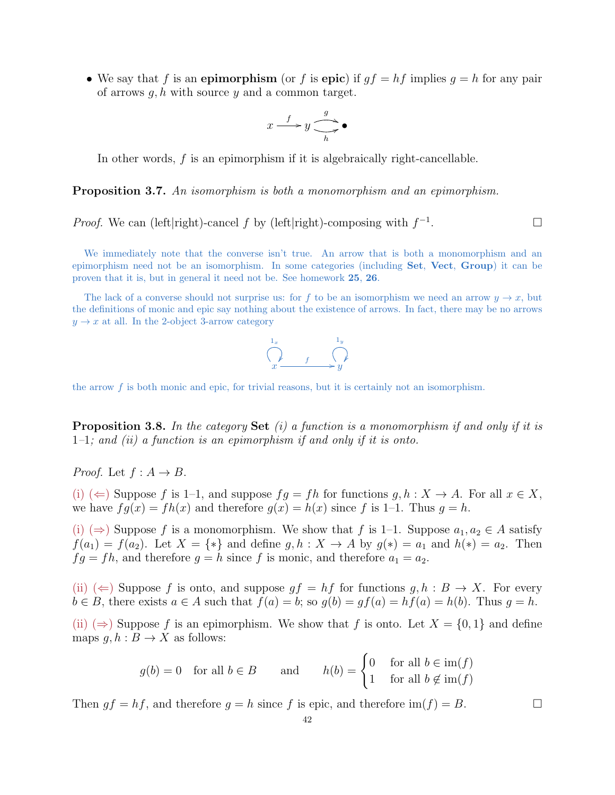• We say that f is an epimorphism (or f is epic) if  $qf = hf$  implies  $q = h$  for any pair of arrows  $q, h$  with source  $y$  and a common target.

$$
x \xrightarrow{f} y \xrightarrow{g} \bullet
$$

In other words, f is an epimorphism if it is algebraically right-cancellable.

**Proposition 3.7.** An isomorphism is both a monomorphism and an epimorphism.

*Proof.* We can (left|right)-cancel 
$$
f
$$
 by (left|right)-composing with  $f^{-1}$ .

We immediately note that the converse isn't true. An arrow that is both a monomorphism and an epimorphism need not be an isomorphism. In some categories (including Set, Vect, Group) it can be proven that it is, but in general it need not be. See homework 25, 26.

The lack of a converse should not surprise us: for f to be an isomorphism we need an arrow  $y \to x$ , but the definitions of monic and epic say nothing about the existence of arrows. In fact, there may be no arrows  $y \rightarrow x$  at all. In the 2-object 3-arrow category



the arrow  $f$  is both monic and epic, for trivial reasons, but it is certainly not an isomorphism.

**Proposition 3.8.** In the category **Set** (i) a function is a monomorphism if and only if it is  $1-1$ ; and (ii) a function is an epimorphism if and only if it is onto.

*Proof.* Let  $f : A \rightarrow B$ .

(i) ( $\Leftarrow$ ) Suppose f is 1–1, and suppose  $fq = fh$  for functions  $q, h: X \to A$ . For all  $x \in X$ , we have  $fg(x) = fh(x)$  and therefore  $g(x) = h(x)$  since f is 1-1. Thus  $g = h$ .

(i)  $(\Rightarrow)$  Suppose f is a monomorphism. We show that f is 1–1. Suppose  $a_1, a_2 \in A$  satisfy  $f(a_1) = f(a_2)$ . Let  $X = \{*\}$  and define  $g, h: X \to A$  by  $g(*) = a_1$  and  $h(*) = a_2$ . Then  $fg = fh$ , and therefore  $g = h$  since f is monic, and therefore  $a_1 = a_2$ .

(ii)  $(\Leftarrow)$  Suppose f is onto, and suppose  $gf = hf$  for functions  $g, h : B \to X$ . For every  $b \in B$ , there exists  $a \in A$  such that  $f(a) = b$ ; so  $g(b) = gf(a) = hf(a) = h(b)$ . Thus  $g = h$ .

(ii)  $(\Rightarrow)$  Suppose f is an epimorphism. We show that f is onto. Let  $X = \{0, 1\}$  and define maps  $g, h : B \to X$  as follows:

$$
g(b) = 0
$$
 for all  $b \in B$  and  $h(b) = \begin{cases} 0 & \text{for all } b \in \text{im}(f) \\ 1 & \text{for all } b \notin \text{im}(f) \end{cases}$ 

Then  $gf = hf$ , and therefore  $g = h$  since f is epic, and therefore  $\text{im}(f) = B$ .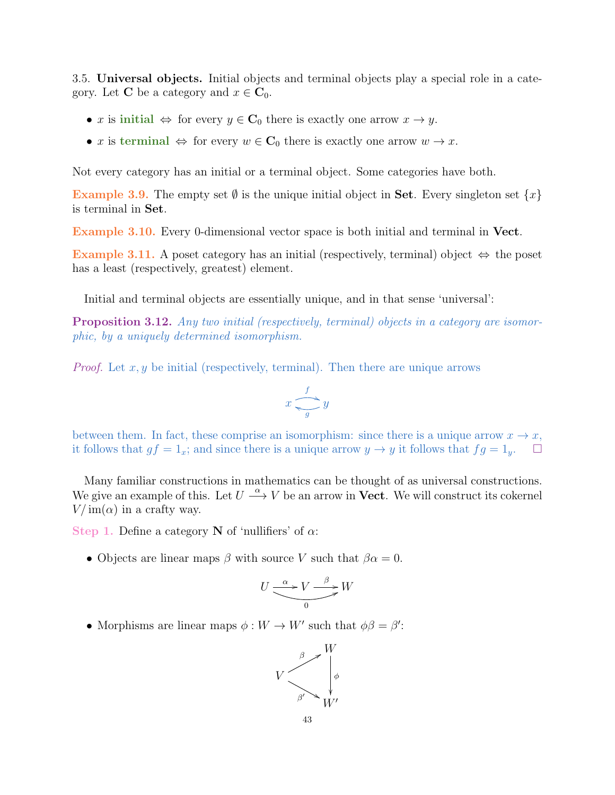3.5. Universal objects. Initial objects and terminal objects play a special role in a category. Let **C** be a category and  $x \in \mathbf{C}_0$ .

- x is initial  $\Leftrightarrow$  for every  $y \in \mathbf{C}_0$  there is exactly one arrow  $x \to y$ .
- x is terminal  $\Leftrightarrow$  for every  $w \in \mathbb{C}_0$  there is exactly one arrow  $w \to x$ .

Not every category has an initial or a terminal object. Some categories have both.

Example 3.9. The empty set  $\emptyset$  is the unique initial object in **Set**. Every singleton set  $\{x\}$ is terminal in Set.

Example 3.10. Every 0-dimensional vector space is both initial and terminal in Vect.

Example 3.11. A poset category has an initial (respectively, terminal) object  $\Leftrightarrow$  the poset has a least (respectively, greatest) element.

Initial and terminal objects are essentially unique, and in that sense 'universal':

Proposition 3.12. Any two initial (respectively, terminal) objects in a category are isomorphic, by a uniquely determined isomorphism.

*Proof.* Let  $x, y$  be initial (respectively, terminal). Then there are unique arrows

$$
x \xrightarrow{f} y
$$

between them. In fact, these comprise an isomorphism: since there is a unique arrow  $x \to x$ , it follows that  $gf = 1_x$ ; and since there is a unique arrow  $y \to y$  it follows that  $fg = 1_y$ .

Many familiar constructions in mathematics can be thought of as universal constructions. We give an example of this. Let  $U \stackrel{\alpha}{\longrightarrow} V$  be an arrow in **Vect**. We will construct its cokernel  $V/\text{im}(\alpha)$  in a crafty way.

Step 1. Define a category N of 'nullifiers' of  $\alpha$ :

• Objects are linear maps  $\beta$  with source V such that  $\beta \alpha = 0$ .

$$
U \xrightarrow{\alpha} V \xrightarrow{\beta} W
$$

• Morphisms are linear maps  $\phi: W \to W'$  such that  $\phi \beta = \beta'$ :

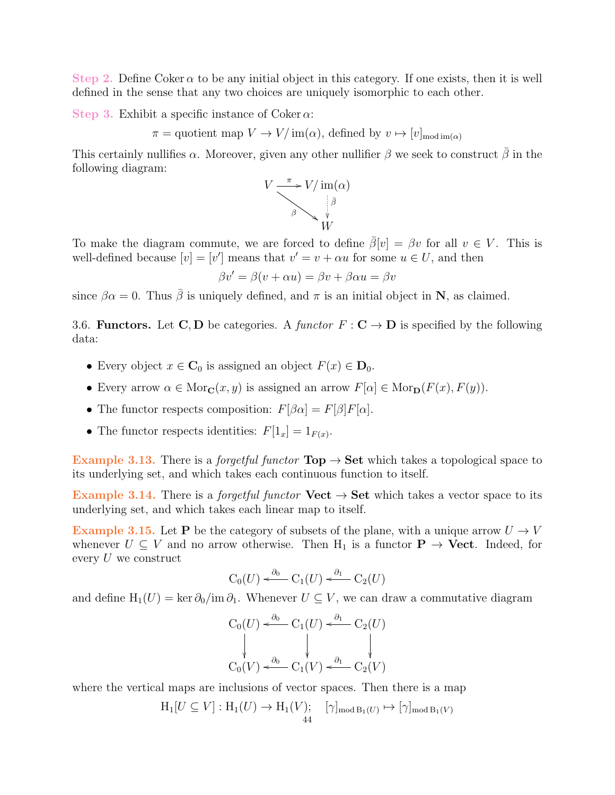Step 2. Define Coker  $\alpha$  to be any initial object in this category. If one exists, then it is well defined in the sense that any two choices are uniquely isomorphic to each other.

Step 3. Exhibit a specific instance of Coker  $\alpha$ :

 $\pi =$  quotient map  $V \to V/\text{im}(\alpha)$ , defined by  $v \mapsto [v]_{\text{mod im}(\alpha)}$ 

This certainly nullifies  $\alpha$ . Moreover, given any other nullifier  $\beta$  we seek to construct  $\beta$  in the following diagram:



To make the diagram commute, we are forced to define  $\bar{\beta}[v] = \beta v$  for all  $v \in V$ . This is well-defined because  $[v] = [v']$  means that  $v' = v + \alpha u$  for some  $u \in U$ , and then

$$
\beta v' = \beta(v + \alpha u) = \beta v + \beta \alpha u = \beta v
$$

since  $\beta \alpha = 0$ . Thus  $\bar{\beta}$  is uniquely defined, and  $\pi$  is an initial object in N, as claimed.

3.6. Functors. Let C, D be categories. A functor  $F : \mathbf{C} \to \mathbf{D}$  is specified by the following data:

- Every object  $x \in \mathbf{C}_0$  is assigned an object  $F(x) \in \mathbf{D}_0$ .
- Every arrow  $\alpha \in \text{Mor}_{\mathbf{C}}(x, y)$  is assigned an arrow  $F[\alpha] \in \text{Mor}_{\mathbf{D}}(F(x), F(y)).$
- The functor respects composition:  $F[\beta \alpha] = F[\beta]F[\alpha]$ .
- The functor respects identities:  $F[1_x] = 1_{F(x)}$ .

Example 3.13. There is a *forgetful functor*  $\text{Top} \rightarrow \text{Set}$  which takes a topological space to its underlying set, and which takes each continuous function to itself.

Example 3.14. There is a *forgetful functor*  $Vect \rightarrow Set$  which takes a vector space to its underlying set, and which takes each linear map to itself.

Example 3.15. Let P be the category of subsets of the plane, with a unique arrow  $U \rightarrow V$ whenever  $U \subseteq V$  and no arrow otherwise. Then  $H_1$  is a functor  $P \to$  Vect. Indeed, for every U we construct

$$
C_0(U) \xleftarrow{\partial_0} C_1(U) \xleftarrow{\partial_1} C_2(U)
$$

and define  $H_1(U) = \ker \partial_0 / \mathrm{im} \partial_1$ . Whenever  $U \subseteq V$ , we can draw a commutative diagram

$$
C_0(U) \xleftarrow{\partial_0} C_1(U) \xleftarrow{\partial_1} C_2(U)
$$
  
\n
$$
\downarrow \qquad \qquad \downarrow \qquad \qquad \downarrow
$$
  
\n
$$
C_0(V) \xleftarrow{\partial_0} C_1(V) \xleftarrow{\partial_1} C_2(V)
$$

where the vertical maps are inclusions of vector spaces. Then there is a map

$$
H_1[U \subseteq V]: H_1(U) \to H_1(V); \quad [\gamma]_{\text{mod }B_1(U)} \mapsto [\gamma]_{\text{mod }B_1(V)}
$$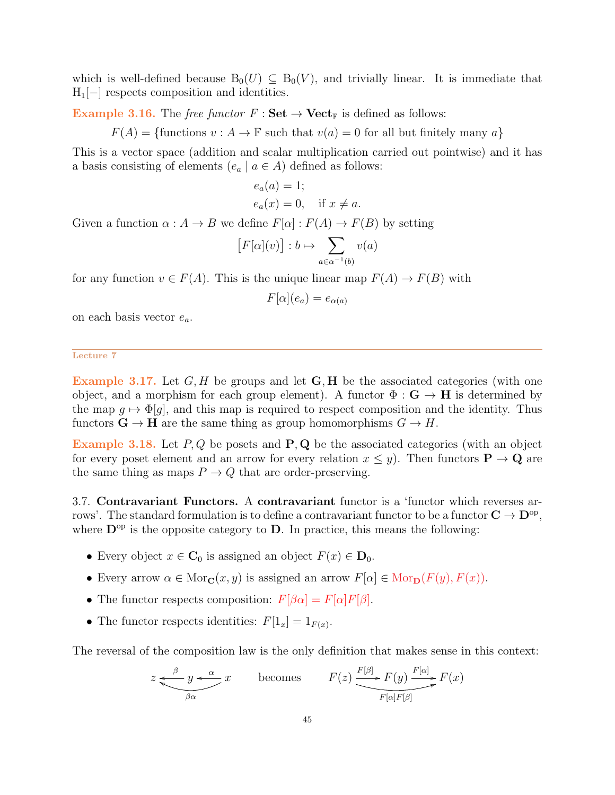which is well-defined because  $B_0(U) \subseteq B_0(V)$ , and trivially linear. It is immediate that  $H_1[-]$  respects composition and identities.

**Example 3.16.** The free functor  $F : \mathbf{Set} \to \mathbf{Vect}_{\mathbb{F}}$  is defined as follows:

 $F(A) = \{$  functions  $v : A \to \mathbb{F}$  such that  $v(a) = 0$  for all but finitely many a}

This is a vector space (addition and scalar multiplication carried out pointwise) and it has a basis consisting of elements  $(e_a \mid a \in A)$  defined as follows:

$$
e_a(a) = 1;
$$
  
\n
$$
e_a(x) = 0, \text{ if } x \neq a.
$$

Given a function  $\alpha : A \to B$  we define  $F[\alpha] : F(A) \to F(B)$  by setting

$$
[F[\alpha](v)]:b\mapsto \sum_{a\in \alpha^{-1}(b)}v(a)
$$

for any function  $v \in F(A)$ . This is the unique linear map  $F(A) \to F(B)$  with

$$
F[\alpha](e_a) = e_{\alpha(a)}
$$

on each basis vector  $e_a$ .

Lecture 7

Example 3.17. Let  $G, H$  be groups and let  $G, H$  be the associated categories (with one object, and a morphism for each group element). A functor  $\Phi : G \to H$  is determined by the map  $q \mapsto \Phi[q]$ , and this map is required to respect composition and the identity. Thus functors  $\mathbf{G} \to \mathbf{H}$  are the same thing as group homomorphisms  $G \to H$ .

Example 3.18. Let  $P, Q$  be posets and  $P, Q$  be the associated categories (with an object for every poset element and an arrow for every relation  $x \leq y$ . Then functors  $P \to Q$  are the same thing as maps  $P \to Q$  that are order-preserving.

3.7. Contravariant Functors. A contravariant functor is a 'functor which reverses arrows'. The standard formulation is to define a contravariant functor to be a functor  $C \to D^{\rm op}$ , where  $\mathbf{D}^{\mathrm{op}}$  is the opposite category to  $\mathbf{D}$ . In practice, this means the following:

- Every object  $x \in \mathbf{C}_0$  is assigned an object  $F(x) \in \mathbf{D}_0$ .
- Every arrow  $\alpha \in \text{Mor}_{\mathbf{C}}(x, y)$  is assigned an arrow  $F[\alpha] \in \text{Mor}_{\mathbf{D}}(F(y), F(x))$ .
- The functor respects composition:  $F[\beta \alpha] = F[\alpha]F[\beta]$ .
- The functor respects identities:  $F[1_x] = 1_{F(x)}$ .

The reversal of the composition law is the only definition that makes sense in this context:

$$
z \underbrace{\xleftarrow{\beta} y \xleftarrow{\alpha}} x \qquad \text{becomes} \qquad F(z) \underbrace{\xrightarrow{F[\beta]} F(y) \xrightarrow{F[\alpha]} F(x)} F(x)
$$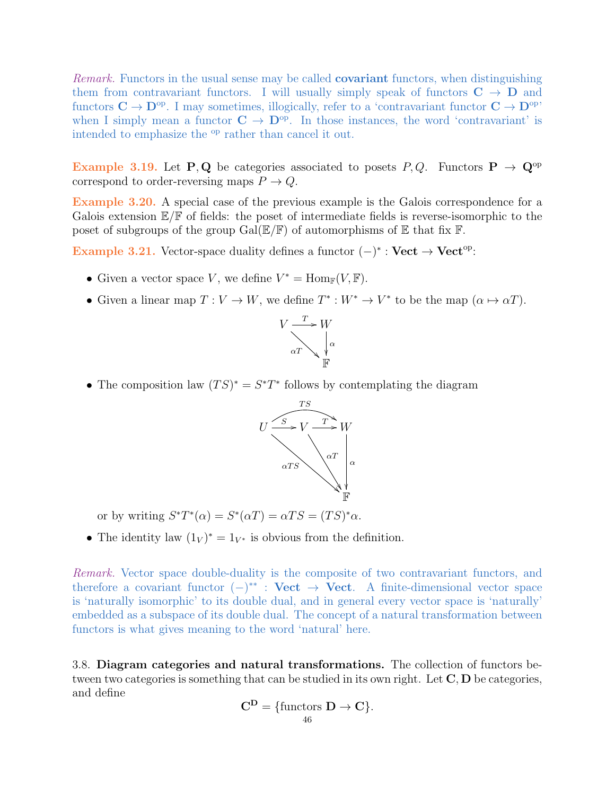Remark. Functors in the usual sense may be called **covariant** functors, when distinguishing them from contravariant functors. I will usually simply speak of functors  $C \rightarrow D$  and functors  $C \to D^{\text{op}}$ . I may sometimes, illogically, refer to a 'contravariant functor  $C \to D^{\text{op}}$ ' when I simply mean a functor  $C \to D^{op}$ . In those instances, the word 'contravariant' is intended to emphasize the <sup>op</sup> rather than cancel it out.

Example 3.19. Let P, Q be categories associated to posets P, Q. Functors  $P \rightarrow Q^{\text{op}}$ correspond to order-reversing maps  $P \to Q$ .

Example 3.20. A special case of the previous example is the Galois correspondence for a Galois extension  $\mathbb{E}/\mathbb{F}$  of fields: the poset of intermediate fields is reverse-isomorphic to the poset of subgroups of the group  $Gal(\mathbb{E}/\mathbb{F})$  of automorphisms of  $\mathbb E$  that fix  $\mathbb F$ .

Example 3.21. Vector-space duality defines a functor  $(-)^* :$  Vect  $\rightarrow$  Vect<sup>op</sup>:

- Given a vector space V, we define  $V^* = \text{Hom}_{\mathbb{F}}(V, \mathbb{F})$ .
- Given a linear map  $T: V \to W$ , we define  $T^*: W^* \to V^*$  to be the map  $(\alpha \mapsto \alpha T)$ .



• The composition law  $(TS)^* = S^*T^*$  follows by contemplating the diagram



or by writing  $S^*T^*(\alpha) = S^*(\alpha T) = \alpha TS = (TS)^*\alpha$ .

• The identity law  $(1_V)^* = 1_{V^*}$  is obvious from the definition.

Remark. Vector space double-duality is the composite of two contravariant functors, and therefore a covariant functor  $(-)^{**}$  : Vect  $\rightarrow$  Vect. A finite-dimensional vector space is 'naturally isomorphic' to its double dual, and in general every vector space is 'naturally' embedded as a subspace of its double dual. The concept of a natural transformation between functors is what gives meaning to the word 'natural' here.

3.8. Diagram categories and natural transformations. The collection of functors between two categories is something that can be studied in its own right. Let  $\mathbf{C}, \mathbf{D}$  be categories, and define

$$
C^D = \{\text{functors } D \to C\}.
$$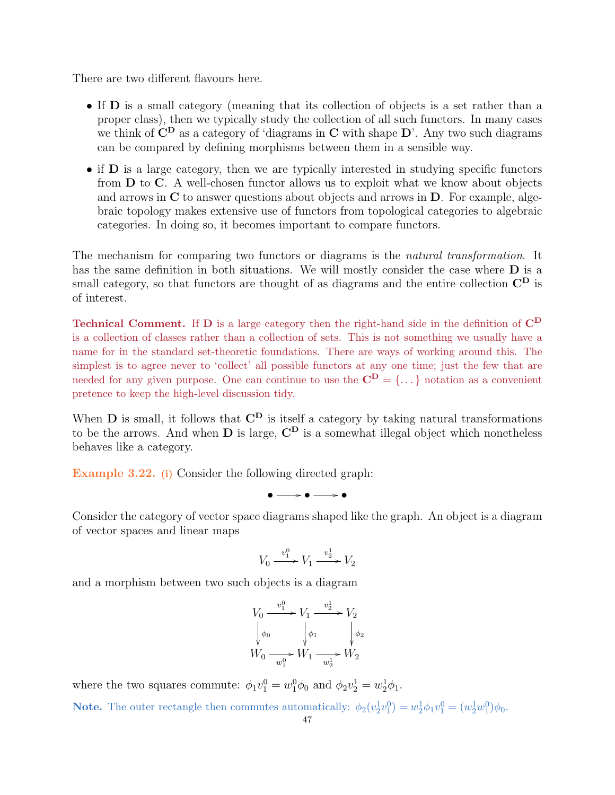There are two different flavours here.

- If D is a small category (meaning that its collection of objects is a set rather than a proper class), then we typically study the collection of all such functors. In many cases we think of  $\mathbf{C}^{\mathbf{D}}$  as a category of 'diagrams in  $\mathbf{C}$  with shape  $\mathbf{D}'$ . Any two such diagrams can be compared by defining morphisms between them in a sensible way.
- if D is a large category, then we are typically interested in studying specific functors from D to C. A well-chosen functor allows us to exploit what we know about objects and arrows in C to answer questions about objects and arrows in D. For example, algebraic topology makes extensive use of functors from topological categories to algebraic categories. In doing so, it becomes important to compare functors.

The mechanism for comparing two functors or diagrams is the natural transformation. It has the same definition in both situations. We will mostly consider the case where **D** is a small category, so that functors are thought of as diagrams and the entire collection  $\mathbf{C}^{\mathbf{D}}$  is of interest.

Technical Comment. If D is a large category then the right-hand side in the definition of  $C^D$ is a collection of classes rather than a collection of sets. This is not something we usually have a name for in the standard set-theoretic foundations. There are ways of working around this. The simplest is to agree never to 'collect' all possible functors at any one time; just the few that are needed for any given purpose. One can continue to use the  $\mathbf{C}^{\mathbf{D}} = \{\dots\}$  notation as a convenient pretence to keep the high-level discussion tidy.

When  $D$  is small, it follows that  $C^D$  is itself a category by taking natural transformations to be the arrows. And when  $D$  is large,  $C^D$  is a somewhat illegal object which nonetheless behaves like a category.

<span id="page-46-0"></span>Example 3.22. (i) Consider the following directed graph:

 $\bullet \longrightarrow \bullet \longrightarrow \bullet$ 

Consider the category of vector space diagrams shaped like the graph. An object is a diagram of vector spaces and linear maps

$$
V_0 \xrightarrow{v_1^0} V_1 \xrightarrow{v_2^1} V_2
$$

and a morphism between two such objects is a diagram

$$
V_0 \xrightarrow{v_1^0} V_1 \xrightarrow{v_2^1} V_2
$$
  

$$
\downarrow \phi_0
$$
  

$$
W_0 \xrightarrow{w_1^0} W_1 \xrightarrow{w_2^1} W_2
$$

where the two squares commute:  $\phi_1 v_1^0 = w_1^0 \phi_0$  and  $\phi_2 v_2^1 = w_2^1 \phi_1$ .

**Note.** The outer rectangle then commutes automatically:  $\phi_2(v_2^1v_1^0) = w_2^1\phi_1v_1^0 = (w_2^1w_1^0)\phi_0$ .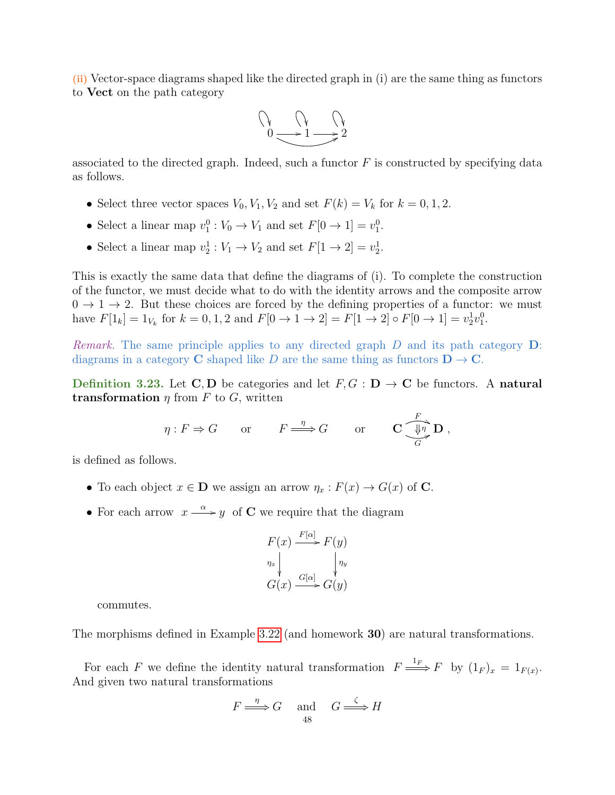(ii) Vector-space diagrams shaped like the directed graph in (i) are the same thing as functors to Vect on the path category



associated to the directed graph. Indeed, such a functor  $F$  is constructed by specifying data as follows.

- Select three vector spaces  $V_0$ ,  $V_1$ ,  $V_2$  and set  $F(k) = V_k$  for  $k = 0, 1, 2$ .
- Select a linear map  $v_1^0: V_0 \to V_1$  and set  $F[0 \to 1] = v_1^0$ .
- Select a linear map  $v_2^1 : V_1 \to V_2$  and set  $F[1 \to 2] = v_2^1$ .

This is exactly the same data that define the diagrams of (i). To complete the construction of the functor, we must decide what to do with the identity arrows and the composite arrow  $0 \rightarrow 1 \rightarrow 2$ . But these choices are forced by the defining properties of a functor: we must have  $F[1_k] = 1_{V_k}$  for  $k = 0, 1, 2$  and  $F[0 \to 1 \to 2] = F[1 \to 2] \circ F[0 \to 1] = v_2^1 v_1^0$ .

*Remark.* The same principle applies to any directed graph  $D$  and its path category  $D$ : diagrams in a category C shaped like D are the same thing as functors  $D \to C$ .

Definition 3.23. Let C, D be categories and let  $F, G : D \to C$  be functors. A natural **transformation**  $\eta$  from F to G, written

$$
\eta: F \Rightarrow G
$$
 or  $F \xrightarrow{\eta} G$  or  $C \xrightarrow{\overline{\{n\}} \ } D$ ,

is defined as follows.

- To each object  $x \in \mathbf{D}$  we assign an arrow  $\eta_x : F(x) \to G(x)$  of C.
- For each arrow  $x \xrightarrow{\alpha} y$  of C we require that the diagram

$$
F(x) \xrightarrow{F[\alpha]} F(y)
$$
  
\n
$$
\eta_x \downarrow \qquad \qquad \downarrow \eta_y
$$
  
\n
$$
G(x) \xrightarrow{G[\alpha]} G(y)
$$

commutes.

The morphisms defined in Example [3.22](#page-46-0) (and homework **30**) are natural transformations.

For each F we define the identity natural transformation  $F \stackrel{1_F}{\Longrightarrow} F$  by  $(1_F)_x = 1_{F(x)}$ . And given two natural transformations

$$
F \xrightarrow{\eta} G \quad \text{and} \quad G \xrightarrow{\zeta} H
$$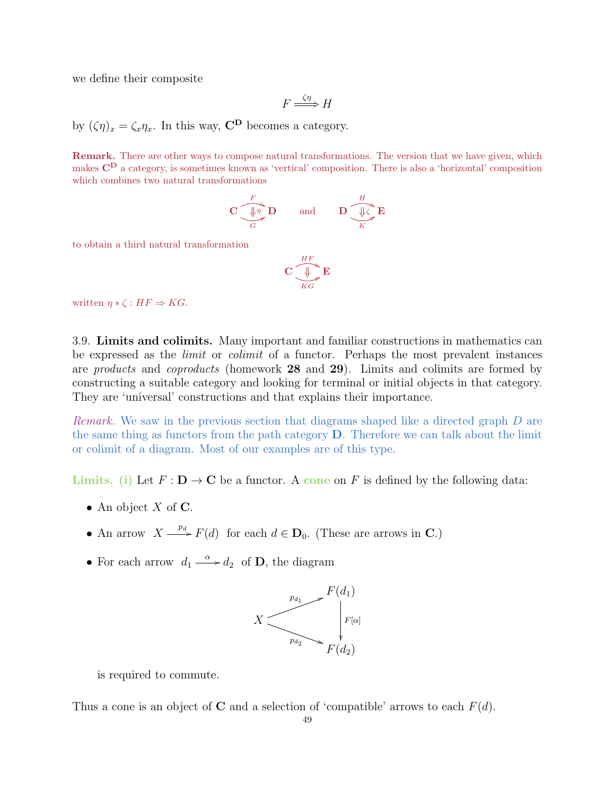we define their composite

$$
F \stackrel{\zeta \eta}{\Longrightarrow} H
$$

by  $(\zeta \eta)_x = \zeta_x \eta_x$ . In this way,  $\mathbf{C}^{\mathbf{D}}$  becomes a category.

Remark. There are other ways to compose natural transformations. The version that we have given, which makes  $\mathbb{C}^{\mathbf{D}}$  a category, is sometimes known as 'vertical' composition. There is also a 'horizontal' composition which combines two natural transformations

$$
\mathbf{C} \underbrace{\overbrace{\Downarrow{\eta}}^{F}}_{G} \mathbf{D} \qquad \text{and} \qquad \mathbf{D} \underbrace{\overbrace{\Downarrow{\zeta}}^{H}}_{K} \mathbf{E}
$$

to obtain a third natural transformation

$$
\mathbf{C}\underbrace{\overset{HF}{\bigcup}}_{KG}\mathbf{E}
$$

written  $\eta * \zeta : HF \Rightarrow KG.$ 

3.9. Limits and colimits. Many important and familiar constructions in mathematics can be expressed as the *limit* or *colimit* of a functor. Perhaps the most prevalent instances are products and coproducts (homework 28 and 29). Limits and colimits are formed by constructing a suitable category and looking for terminal or initial objects in that category. They are 'universal' constructions and that explains their importance.

Remark. We saw in the previous section that diagrams shaped like a directed graph D are the same thing as functors from the path category D. Therefore we can talk about the limit or colimit of a diagram. Most of our examples are of this type.

Limits. (i) Let  $F: D \to C$  be a functor. A cone on F is defined by the following data:

- An object  $X$  of  $C$ .
- An arrow  $X \xrightarrow{p_d} F(d)$  for each  $d \in \mathbf{D}_0$ . (These are arrows in C.)
- For each arrow  $d_1 \stackrel{\alpha}{\longrightarrow} d_2$  of **D**, the diagram



is required to commute.

Thus a cone is an object of C and a selection of 'compatible' arrows to each  $F(d)$ .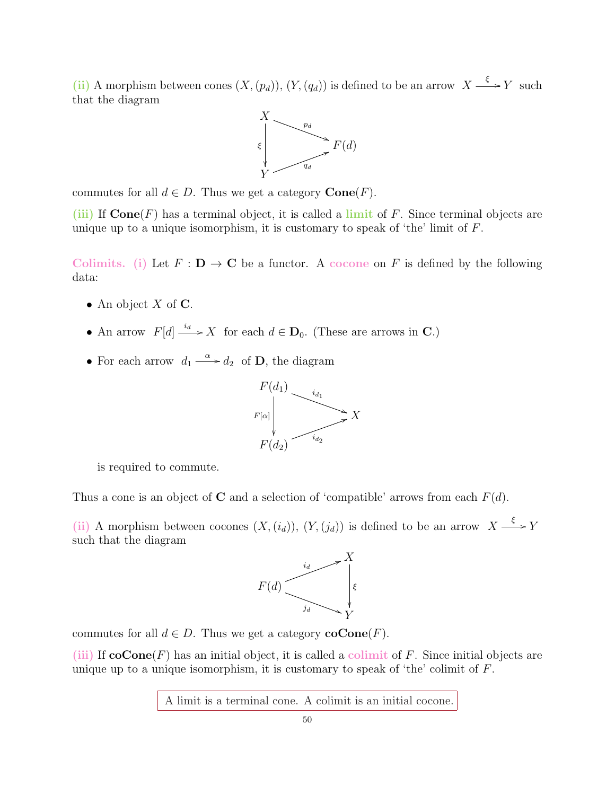(ii) A morphism between cones  $(X,(p_d)), (Y,(q_d))$  is defined to be an arrow  $X \xrightarrow{\xi} Y$  such that the diagram



commutes for all  $d \in D$ . Thus we get a category  $Cone(F)$ .

(iii) If  $\text{Cone}(F)$  has a terminal object, it is called a limit of F. Since terminal objects are unique up to a unique isomorphism, it is customary to speak of 'the' limit of  $F$ .

Colimits. (i) Let  $F: \mathbf{D} \to \mathbf{C}$  be a functor. A cocone on F is defined by the following data:

- An object  $X$  of  $C$ .
- An arrow  $F[d] \xrightarrow{i_d} X$  for each  $d \in \mathbf{D}_0$ . (These are arrows in C.)
- For each arrow  $d_1 \stackrel{\alpha}{\longrightarrow} d_2$  of **D**, the diagram



is required to commute.

Thus a cone is an object of **C** and a selection of 'compatible' arrows from each  $F(d)$ .

(ii) A morphism between cocones  $(X, (i_d)), (Y, (j_d))$  is defined to be an arrow  $X \xrightarrow{\xi} Y$ such that the diagram



commutes for all  $d \in D$ . Thus we get a category  $\mathbf{coCone}(F)$ .

(iii) If  $\mathbf{coCone}(F)$  has an initial object, it is called a colimit of F. Since initial objects are unique up to a unique isomorphism, it is customary to speak of 'the' colimit of F.

A limit is a terminal cone. A colimit is an initial cocone.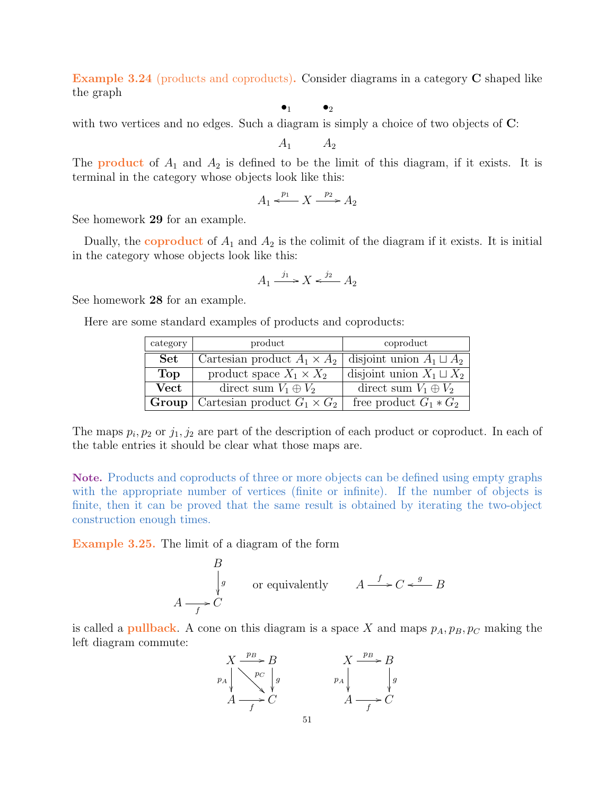Example 3.24 (products and coproducts). Consider diagrams in a category C shaped like the graph

 $\bullet_1$   $\bullet_2$ 

with two vertices and no edges. Such a diagram is simply a choice of two objects of  $\mathbb{C}$ :

 $A_1 \qquad A_2$ 

The **product** of  $A_1$  and  $A_2$  is defined to be the limit of this diagram, if it exists. It is terminal in the category whose objects look like this:

$$
A_1 \xleftarrow{p_1} X \xrightarrow{p_2} A_2
$$

See homework 29 for an example.

Dually, the coproduct of  $A_1$  and  $A_2$  is the colimit of the diagram if it exists. It is initial in the category whose objects look like this:

$$
A_1 \xrightarrow{j_1} X \xleftarrow{j_2} A_2
$$

See homework 28 for an example.

Here are some standard examples of products and coproducts:

| category     | product                            | coproduct                       |
|--------------|------------------------------------|---------------------------------|
| <b>Set</b>   | Cartesian product $A_1 \times A_2$ | disjoint union $A_1 \sqcup A_2$ |
| Top          | product space $X_1 \times X_2$     | disjoint union $X_1 \sqcup X_2$ |
| Vect         | direct sum $V_1 \oplus V_2$        | direct sum $V_1 \oplus V_2$     |
| $Group \mid$ | Cartesian product $G_1 \times G_2$ | free product $G_1 * G_2$        |

The maps  $p_i, p_2$  or  $j_1, j_2$  are part of the description of each product or coproduct. In each of the table entries it should be clear what those maps are.

Note. Products and coproducts of three or more objects can be defined using empty graphs with the appropriate number of vertices (finite or infinite). If the number of objects is finite, then it can be proved that the same result is obtained by iterating the two-object construction enough times.

Example 3.25. The limit of a diagram of the form

$$
\begin{array}{ccc}\n & B & \\
 & \downarrow g & \\
A & \xrightarrow{f} C & \\
 & \searrow^{g} & \\
B & \searrow^{g} & \\
A & \xrightarrow{f} & \\
 & \searrow^{g} & \\
B & \searrow^{g} & \\
B & \searrow^{g} & \\
B & \searrow^{g} & \\
B & \searrow^{g} & \\
B & \searrow^{g} & \\
B & \searrow^{g} & \\
B & \searrow^{g} & \\
B & \searrow^{g} & \\
B & \searrow^{g} & \\
B & \searrow^{g} & \\
B & \searrow^{g} & \\
B & \searrow^{g} & \\
B & \searrow^{g} & \\
B & \searrow^{g} & \\
B & \searrow^{g} & \\
B & \searrow^{g} & \\
C & \searrow^{g} & \\
B & \searrow^{g} & \\
C & \searrow^{g} & \\
\end{array}
$$

is called a **pullback**. A cone on this diagram is a space X and maps  $p_A, p_B, p_C$  making the left diagram commute:

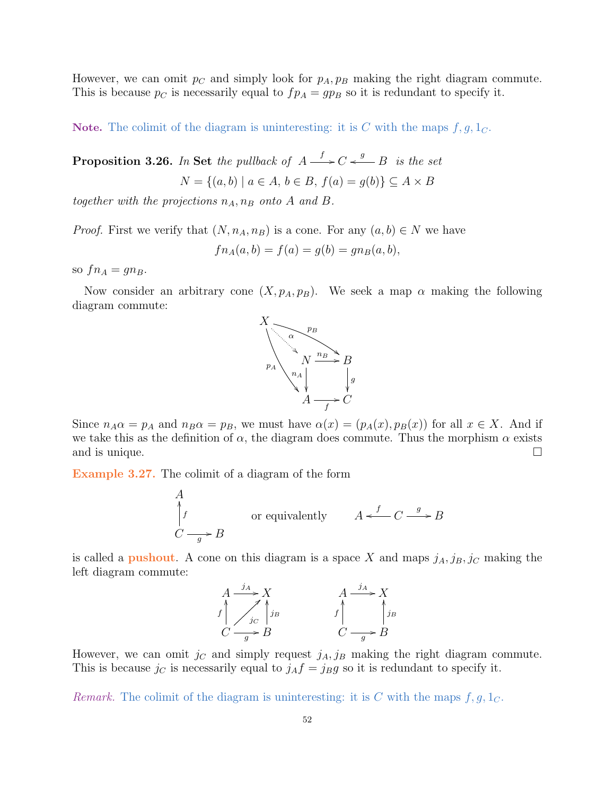However, we can omit  $p<sub>C</sub>$  and simply look for  $p<sub>A</sub>, p<sub>B</sub>$  making the right diagram commute. This is because  $p_C$  is necessarily equal to  $fp_A = gp_B$  so it is redundant to specify it.

Note. The colimit of the diagram is uninteresting: it is C with the maps  $f, g, 1<sub>C</sub>$ .

**Proposition 3.26.** In Set the pullback of  $A \xrightarrow{f} C \xleftarrow{g} B$  is the set  $N = \{(a, b) \mid a \in A, b \in B, f(a) = g(b)\} \subseteq A \times B$ 

together with the projections  $n_A$ ,  $n_B$  onto A and B.

*Proof.* First we verify that  $(N, n_A, n_B)$  is a cone. For any  $(a, b) \in N$  we have

$$
fn_A(a, b) = f(a) = g(b) = gn_B(a, b),
$$

so  $fn_A = qn_B$ .

Now consider an arbitrary cone  $(X, p_A, p_B)$ . We seek a map  $\alpha$  making the following diagram commute:



Since  $n_A \alpha = p_A$  and  $n_B \alpha = p_B$ , we must have  $\alpha(x) = (p_A(x), p_B(x))$  for all  $x \in X$ . And if we take this as the definition of  $\alpha$ , the diagram does commute. Thus the morphism  $\alpha$  exists and is unique.  $\Box$ 

Example 3.27. The colimit of a diagram of the form

A  
\n
$$
\int_{C} f
$$
 or equivalently 
$$
A \xleftarrow{f} C \xrightarrow{g} B
$$

is called a **pushout**. A cone on this diagram is a space X and maps  $j_A, j_B, j_C$  making the left diagram commute:



However, we can omit  $j_c$  and simply request  $j_A, j_B$  making the right diagram commute. This is because  $j_C$  is necessarily equal to  $j_Af = j_Bg$  so it is redundant to specify it.

Remark. The colimit of the diagram is uninteresting: it is C with the maps  $f, g, 1<sub>C</sub>$ .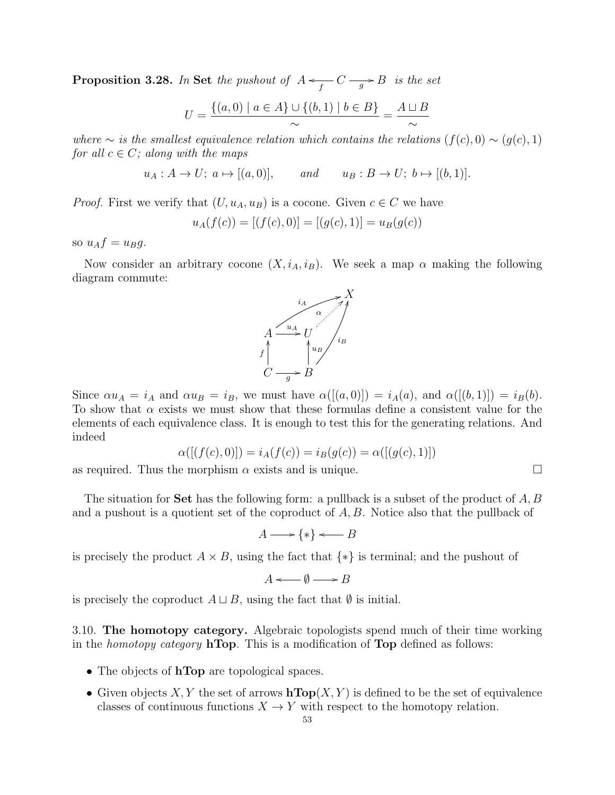**Proposition 3.28.** In Set the pushout of  $A \leftarrow f C \rightarrow g B$  is the set

$$
U = \frac{\{(a, 0) \mid a \in A\} \cup \{(b, 1) \mid b \in B\}}{\sim} = \frac{A \sqcup B}{\sim}
$$

where  $\sim$  is the smallest equivalence relation which contains the relations  $(f(c), 0) \sim (q(c), 1)$ for all  $c \in C$ ; along with the maps

 $u_A : A \to U; \ a \mapsto [(a, 0)], \qquad and \qquad u_B : B \to U; \ b \mapsto [(b, 1)].$ 

*Proof.* First we verify that  $(U, u_A, u_B)$  is a cocone. Given  $c \in C$  we have

$$
u_A(f(c)) = [(f(c), 0)] = [(g(c), 1)] = u_B(g(c))
$$

so  $u_A f = u_B g$ .

Now consider an arbitrary cocone  $(X, i_A, i_B)$ . We seek a map  $\alpha$  making the following diagram commute:



Since  $\alpha u_A = i_A$  and  $\alpha u_B = i_B$ , we must have  $\alpha([a, 0]) = i_A(a)$ , and  $\alpha([b, 1]) = i_B(b)$ . To show that  $\alpha$  exists we must show that these formulas define a consistent value for the elements of each equivalence class. It is enough to test this for the generating relations. And indeed

$$
\alpha([(f(c), 0)]) = i_A(f(c)) = i_B(g(c)) = \alpha([(g(c), 1)])
$$

as required. Thus the morphism  $\alpha$  exists and is unique.

The situation for **Set** has the following form: a pullback is a subset of the product of  $A, B$ and a pushout is a quotient set of the coproduct of  $A, B$ . Notice also that the pullback of

$$
A \longrightarrow \{*\} \longleftarrow B
$$

is precisely the product  $A \times B$ , using the fact that  $\{*\}$  is terminal; and the pushout of

$$
A \longleftarrow \emptyset \longrightarrow B
$$

is precisely the coproduct  $A \sqcup B$ , using the fact that  $\emptyset$  is initial.

3.10. The homotopy category. Algebraic topologists spend much of their time working in the *homotopy category* **hTop**. This is a modification of **Top** defined as follows:

- The objects of **hTop** are topological spaces.
- Given objects X, Y the set of arrows  $\mathbf{hTop}(X, Y)$  is defined to be the set of equivalence classes of continuous functions  $X \to Y$  with respect to the homotopy relation.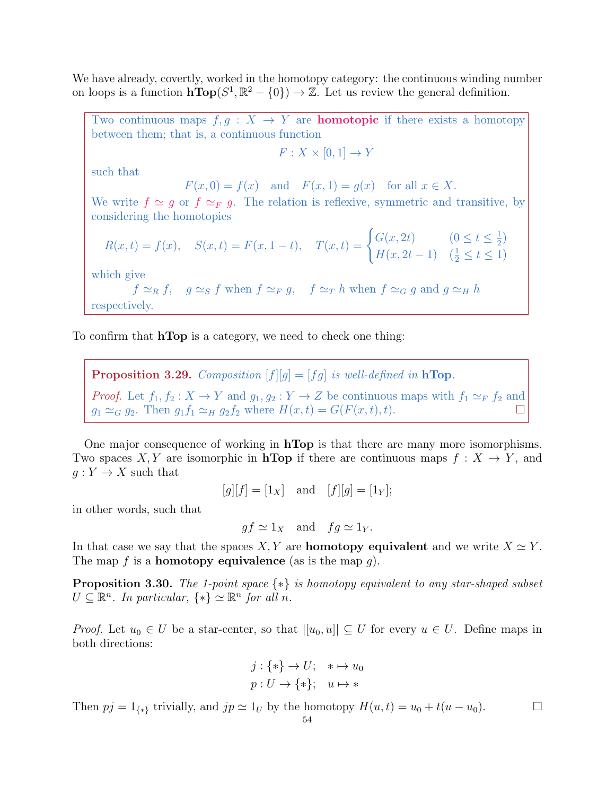We have already, covertly, worked in the homotopy category: the continuous winding number on loops is a function  $\mathbf{hTop}(S^1,\mathbb{R}^2-\{0\}) \to \mathbb{Z}$ . Let us review the general definition.

Two continuous maps  $f, g: X \to Y$  are **homotopic** if there exists a homotopy between them; that is, a continuous function

$$
F: X \times [0,1] \to Y
$$

such that

$$
F(x,0) = f(x) \quad \text{and} \quad F(x,1) = g(x) \quad \text{for all } x \in X.
$$

We write  $f \simeq g$  or  $f \simeq_F g$ . The relation is reflexive, symmetric and transitive, by considering the homotopies

$$
R(x,t) = f(x), \quad S(x,t) = F(x,1-t), \quad T(x,t) = \begin{cases} G(x,2t) & (0 \le t \le \frac{1}{2}) \\ H(x,2t-1) & (\frac{1}{2} \le t \le 1) \end{cases}
$$

which give

$$
f \simeq_R f
$$
,  $g \simeq_S f$  when  $f \simeq_F g$ ,  $f \simeq_T h$  when  $f \simeq_G g$  and  $g \simeq_H h$   
respectively.

To confirm that **hTop** is a category, we need to check one thing:

**Proposition 3.29.** Composition  $[f][g] = [fg]$  is well-defined in hTop. *Proof.* Let  $f_1, f_2 : X \to Y$  and  $g_1, g_2 : Y \to Z$  be continuous maps with  $f_1 \simeq_F f_2$  and  $g_1 \simeq_G g_2$ . Then  $g_1 f_1 \simeq_H g_2 f_2$  where  $H(x, t) = G(F(x, t), t)$ .

One major consequence of working in hTop is that there are many more isomorphisms. Two spaces X, Y are isomorphic in **hTop** if there are continuous maps  $f: X \to Y$ , and  $g: Y \to X$  such that

$$
[g][f] = [1_X]
$$
 and  $[f][g] = [1_Y];$ 

in other words, such that

$$
gf \simeq 1_X
$$
 and  $fg \simeq 1_Y$ .

In that case we say that the spaces X, Y are **homotopy equivalent** and we write  $X \simeq Y$ . The map f is a **homotopy equivalence** (as is the map  $q$ ).

**Proposition 3.30.** The 1-point space  $\{*\}$  is homotopy equivalent to any star-shaped subset  $U \subseteq \mathbb{R}^n$ . In particular,  $\{*\} \simeq \mathbb{R}^n$  for all n.

*Proof.* Let  $u_0 \in U$  be a star-center, so that  $|[u_0, u]| \subseteq U$  for every  $u \in U$ . Define maps in both directions:

$$
j: \{*\} \to U; \quad * \mapsto u_0
$$
  

$$
p: U \to \{*\}; \quad u \mapsto *
$$

Then  $pj = 1_{\{*\}}$  trivially, and  $jp \simeq 1_U$  by the homotopy  $H(u, t) = u_0 + t(u - u_0)$ .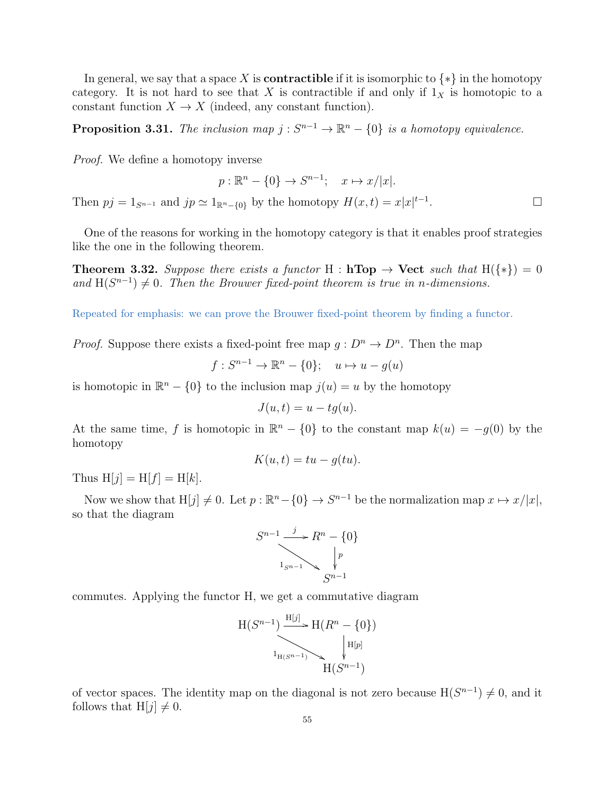In general, we say that a space X is **contractible** if it is isomorphic to  $\{*\}$  in the homotopy category. It is not hard to see that X is contractible if and only if  $1<sub>X</sub>$  is homotopic to a constant function  $X \to X$  (indeed, any constant function).

**Proposition 3.31.** The inclusion map  $j : S^{n-1} \to \mathbb{R}^n - \{0\}$  is a homotopy equivalence.

Proof. We define a homotopy inverse

$$
p: \mathbb{R}^n - \{0\} \to S^{n-1}; \quad x \mapsto x/|x|.
$$

Then  $pj = 1_{S^{n-1}}$  and  $jp \simeq 1_{\mathbb{R}^n - \{0\}}$  by the homotopy  $H(x, t) = x|x|^{t-1}$ .

One of the reasons for working in the homotopy category is that it enables proof strategies like the one in the following theorem.

**Theorem 3.32.** Suppose there exists a functor H : hTop  $\rightarrow$  Vect such that H({\*}) = 0 and  $H(S^{n-1}) \neq 0$ . Then the Brouwer fixed-point theorem is true in n-dimensions.

Repeated for emphasis: we can prove the Brouwer fixed-point theorem by finding a functor.

*Proof.* Suppose there exists a fixed-point free map  $g: D^n \to D^n$ . Then the map

$$
f: S^{n-1} \to \mathbb{R}^n - \{0\}; \quad u \mapsto u - g(u)
$$

is homotopic in  $\mathbb{R}^n - \{0\}$  to the inclusion map  $j(u) = u$  by the homotopy

$$
J(u,t) = u - tg(u).
$$

At the same time, f is homotopic in  $\mathbb{R}^n - \{0\}$  to the constant map  $k(u) = -g(0)$  by the homotopy

$$
K(u,t) = tu - g(tu).
$$

Thus  $H[j] = H[f] = H[k]$ .

Now we show that  $H[j] \neq 0$ . Let  $p : \mathbb{R}^n - \{0\} \to S^{n-1}$  be the normalization map  $x \mapsto x/|x|$ , so that the diagram



commutes. Applying the functor H, we get a commutative diagram

$$
H(S^{n-1}) \xrightarrow{\mathrm{H}[j]} H(R^n - \{0\})
$$
\n
$$
\downarrow H[p]
$$
\n
$$
H(S^{n-1}) \xrightarrow{\mathrm{H}[p]} H(S^{n-1})
$$

of vector spaces. The identity map on the diagonal is not zero because  $H(S^{n-1}) \neq 0$ , and it follows that  $H[j] \neq 0$ .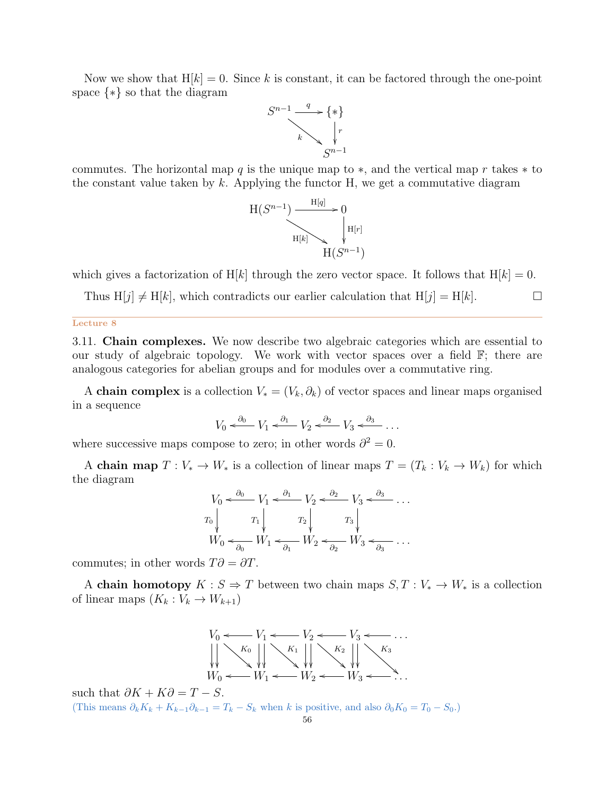Now we show that  $H[k] = 0$ . Since k is constant, it can be factored through the one-point space {∗} so that the diagram



commutes. The horizontal map q is the unique map to  $\ast$ , and the vertical map r takes  $\ast$  to the constant value taken by  $k$ . Applying the functor H, we get a commutative diagram



which gives a factorization of H[k] through the zero vector space. It follows that  $H[k] = 0$ .

Thus  $H[j] \neq H[k]$ , which contradicts our earlier calculation that  $H[j] = H[k]$ .

#### Lecture 8

3.11. Chain complexes. We now describe two algebraic categories which are essential to our study of algebraic topology. We work with vector spaces over a field  $\mathbb{F}$ ; there are analogous categories for abelian groups and for modules over a commutative ring.

A chain complex is a collection  $V_*(V_k, \partial_k)$  of vector spaces and linear maps organised in a sequence

$$
V_0 \xleftarrow{\partial_0} V_1 \xleftarrow{\partial_1} V_2 \xleftarrow{\partial_2} V_3 \xleftarrow{\partial_3} \dots
$$

where successive maps compose to zero; in other words  $\partial^2 = 0$ .

A chain map  $T : V_* \to W_*$  is a collection of linear maps  $T = (T_k : V_k \to W_k)$  for which the diagram

$$
V_0 \xleftarrow{\partial_0} V_1 \xleftarrow{\partial_1} V_2 \xleftarrow{\partial_2} V_3 \xleftarrow{\partial_3} \dots
$$
  
\n
$$
T_0 \begin{vmatrix} T_1 & T_2 & T_3 \\ W_0 \xleftarrow{\partial_0} W_1 \xleftarrow{\partial_1} W_2 \xleftarrow{\partial_2} W_3 \xleftarrow{\partial_3} \dots \end{vmatrix}
$$

commutes; in other words  $T\partial = \partial T$ .

A **chain homotopy**  $K : S \Rightarrow T$  between two chain maps  $S, T : V_* \to W_*$  is a collection of linear maps  $\left(K_k:\overline{V}_k\rightarrow W_{k+1}\right)$ 



such that  $\partial K + K\partial = T - S$ . (This means  $\partial_k K_k + K_{k-1}\partial_{k-1} = T_k - S_k$  when k is positive, and also  $\partial_0 K_0 = T_0 - S_0$ .)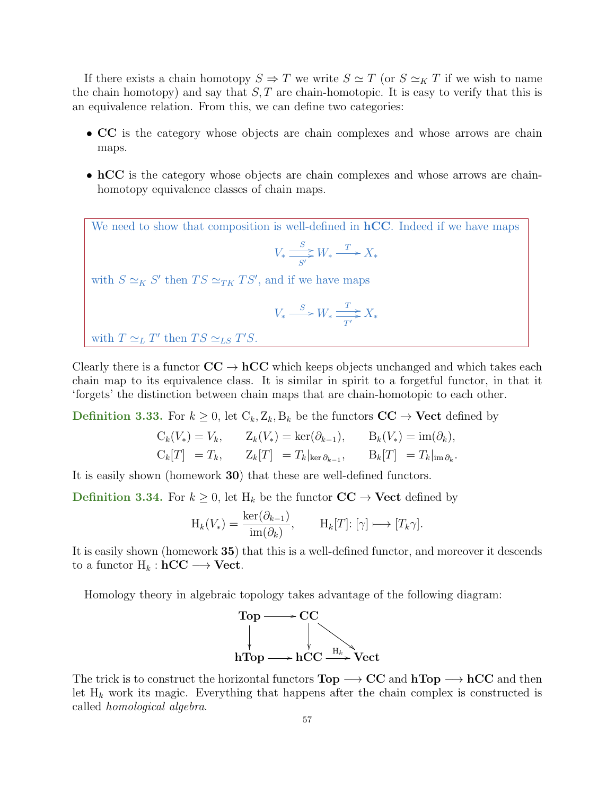If there exists a chain homotopy  $S \Rightarrow T$  we write  $S \simeq T$  (or  $S \simeq_K T$  if we wish to name the chain homotopy) and say that  $S, T$  are chain-homotopic. It is easy to verify that this is an equivalence relation. From this, we can define two categories:

- CC is the category whose objects are chain complexes and whose arrows are chain maps.
- hCC is the category whose objects are chain complexes and whose arrows are chainhomotopy equivalence classes of chain maps.

We need to show that composition is well-defined in  $hCC$ . Indeed if we have maps  $V_* \stackrel{S}{\Longrightarrow}$  $\frac{S}{S'}$   $W_* \xrightarrow{T} X_*$ with  $S \simeq_K S'$  then  $TS \simeq_{TK} TS'$ , and if we have maps  $V_* \xrightarrow{S} W_* \xrightarrow{T}$  $\frac{1}{T'}$   $\geq X_*$ 

with  $T \simeq_L T'$  then  $TS \simeq_{LS} T'S$ .

Clearly there is a functor  $\mathbf{CC} \to \mathbf{hCC}$  which keeps objects unchanged and which takes each chain map to its equivalence class. It is similar in spirit to a forgetful functor, in that it 'forgets' the distinction between chain maps that are chain-homotopic to each other.

**Definition 3.33.** For  $k \geq 0$ , let  $C_k, Z_k, B_k$  be the functors  $CC \rightarrow$  Vect defined by

$$
C_k(V_*) = V_k, \t Z_k(V_*) = \ker(\partial_{k-1}), \t B_k(V_*) = \text{im}(\partial_k),
$$
  
\n
$$
C_k[T] = T_k, \t Z_k[T] = T_k|_{\ker \partial_{k-1}}, \t B_k[T] = T_k|_{\text{im} \partial_k}.
$$

It is easily shown (homework 30) that these are well-defined functors.

**Definition 3.34.** For  $k \geq 0$ , let  $H_k$  be the functor  $CC \rightarrow$  Vect defined by

$$
H_k(V_*) = \frac{\ker(\partial_{k-1})}{\text{im}(\partial_k)}, \qquad H_k[T]: [\gamma] \longmapsto [T_k \gamma].
$$

It is easily shown (homework 35) that this is a well-defined functor, and moreover it descends to a functor  $H_k : hCC \longrightarrow$  Vect.

Homology theory in algebraic topology takes advantage of the following diagram:



The trick is to construct the horizontal functors  $Top \longrightarrow CC$  and  $hTop \longrightarrow hCC$  and then let  $H_k$  work its magic. Everything that happens after the chain complex is constructed is called homological algebra.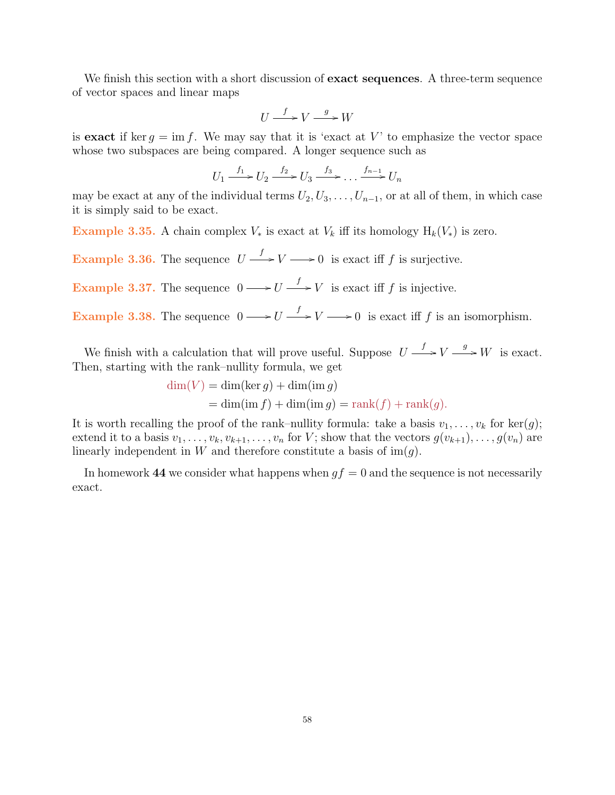We finish this section with a short discussion of **exact sequences**. A three-term sequence of vector spaces and linear maps

$$
U \xrightarrow{f} V \xrightarrow{g} W
$$

is exact if ker  $g = \text{im } f$ . We may say that it is 'exact at V' to emphasize the vector space whose two subspaces are being compared. A longer sequence such as

$$
U_1 \xrightarrow{f_1} U_2 \xrightarrow{f_2} U_3 \xrightarrow{f_3} \dots \xrightarrow{f_{n-1}} U_n
$$

may be exact at any of the individual terms  $U_2, U_3, \ldots, U_{n-1}$ , or at all of them, in which case it is simply said to be exact.

Example 3.35. A chain complex  $V_*$  is exact at  $V_k$  iff its homology  $H_k(V_*)$  is zero.

**Example 3.36.** The sequence  $U \xrightarrow{f} V \longrightarrow 0$  is exact iff f is surjective.

**Example 3.37.** The sequence  $0 \longrightarrow U \longrightarrow V$  is exact iff f is injective.

**Example 3.38.** The sequence  $0 \longrightarrow U \longrightarrow Y \longrightarrow 0$  is exact iff f is an isomorphism.

We finish with a calculation that will prove useful. Suppose  $U \longrightarrow V \longrightarrow W$  is exact. Then, starting with the rank–nullity formula, we get

$$
\dim(V) = \dim(\ker g) + \dim(\operatorname{im} g)
$$
  
= 
$$
\dim(\operatorname{im} f) + \dim(\operatorname{im} g) = \operatorname{rank}(f) + \operatorname{rank}(g).
$$

It is worth recalling the proof of the rank–nullity formula: take a basis  $v_1, \ldots, v_k$  for ker $(g)$ ; extend it to a basis  $v_1, \ldots, v_k, v_{k+1}, \ldots, v_n$  for V; show that the vectors  $g(v_{k+1}), \ldots, g(v_n)$  are linearly independent in W and therefore constitute a basis of  $\text{im}(g)$ .

In homework 44 we consider what happens when  $gf = 0$  and the sequence is not necessarily exact.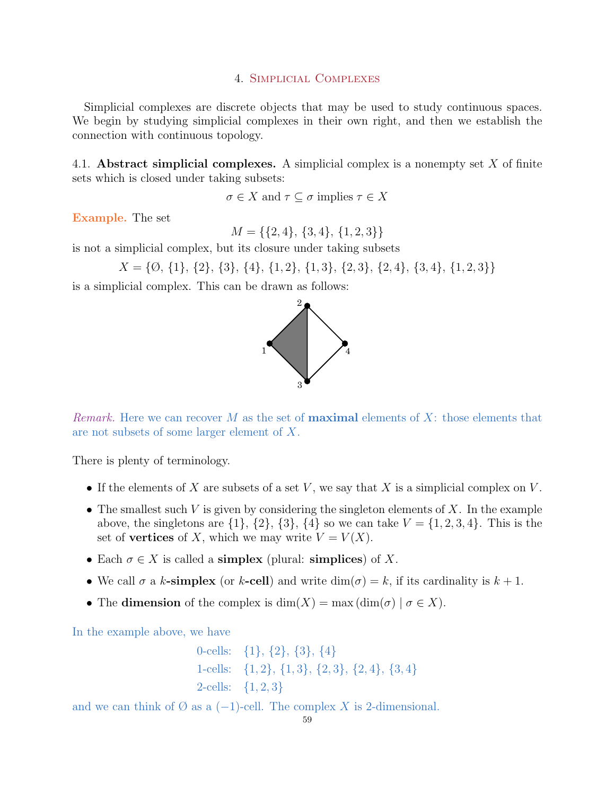## 4. Simplicial Complexes

Simplicial complexes are discrete objects that may be used to study continuous spaces. We begin by studying simplicial complexes in their own right, and then we establish the connection with continuous topology.

4.1. Abstract simplicial complexes. A simplicial complex is a nonempty set  $X$  of finite sets which is closed under taking subsets:

 $\sigma \in X$  and  $\tau \subseteq \sigma$  implies  $\tau \in X$ 

Example. The set

 $M = \{\{2, 4\}, \{3, 4\}, \{1, 2, 3\}\}\$ 

is not a simplicial complex, but its closure under taking subsets

```
X = \{\emptyset, \{1\}, \{2\}, \{3\}, \{4\}, \{1, 2\}, \{1, 3\}, \{2, 3\}, \{2, 4\}, \{3, 4\}, \{1, 2, 3\}\}\
```
is a simplicial complex. This can be drawn as follows:



*Remark.* Here we can recover M as the set of **maximal** elements of X: those elements that are not subsets of some larger element of X.

There is plenty of terminology.

- If the elements of X are subsets of a set V, we say that X is a simplicial complex on V.
- The smallest such V is given by considering the singleton elements of  $X$ . In the example above, the singletons are  $\{1\}$ ,  $\{2\}$ ,  $\{3\}$ ,  $\{4\}$  so we can take  $V = \{1, 2, 3, 4\}$ . This is the set of **vertices** of X, which we may write  $V = V(X)$ .
- Each  $\sigma \in X$  is called a **simplex** (plural: **simplices**) of X.
- We call  $\sigma$  a k-simplex (or k-cell) and write  $\dim(\sigma) = k$ , if its cardinality is  $k + 1$ .
- The dimension of the complex is  $\dim(X) = \max(\dim(\sigma) \mid \sigma \in X)$ .

In the example above, we have

0-cells:  $\{1\}, \{2\}, \{3\}, \{4\}$ 1-cells: {1, 2}, {1, 3}, {2, 3}, {2, 4}, {3, 4} 2-cells:  $\{1, 2, 3\}$ 

and we can think of  $\emptyset$  as a  $(-1)$ -cell. The complex X is 2-dimensional.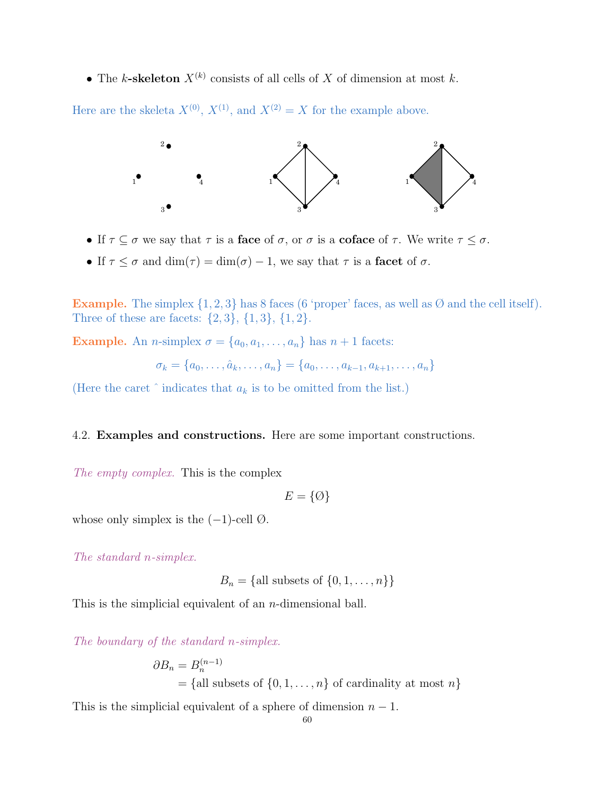• The k-skeleton  $X^{(k)}$  consists of all cells of X of dimension at most k.

Here are the skeleta  $X^{(0)}$ ,  $X^{(1)}$ , and  $X^{(2)} = X$  for the example above.



- If  $\tau \subseteq \sigma$  we say that  $\tau$  is a face of  $\sigma$ , or  $\sigma$  is a coface of  $\tau$ . We write  $\tau \leq \sigma$ .
- If  $\tau \leq \sigma$  and  $\dim(\tau) = \dim(\sigma) 1$ , we say that  $\tau$  is a facet of  $\sigma$ .

**Example.** The simplex  $\{1, 2, 3\}$  has 8 faces (6 'proper' faces, as well as  $\emptyset$  and the cell itself). Three of these are facets:  $\{2, 3\}, \{1, 3\}, \{1, 2\}.$ 

Example. An *n*-simplex  $\sigma = \{a_0, a_1, \ldots, a_n\}$  has  $n + 1$  facets:

$$
\sigma_k = \{a_0, \ldots, \hat{a}_k, \ldots, a_n\} = \{a_0, \ldots, a_{k-1}, a_{k+1}, \ldots, a_n\}
$$

(Here the caret  $\hat{ }$  indicates that  $a_k$  is to be omitted from the list.)

# 4.2. Examples and constructions. Here are some important constructions.

The empty complex. This is the complex

 $E = \{\emptyset\}$ 

whose only simplex is the  $(-1)$ -cell  $\emptyset$ .

The standard n-simplex.

 $B_n = \{$ all subsets of  $\{0, 1, ..., n\}\}$ 

This is the simplicial equivalent of an *n*-dimensional ball.

The boundary of the standard n-simplex.

$$
\partial B_n = B_n^{(n-1)}
$$
  
= {all subsets of {0,1,...,n} of cardinality at most n}

This is the simplicial equivalent of a sphere of dimension  $n - 1$ .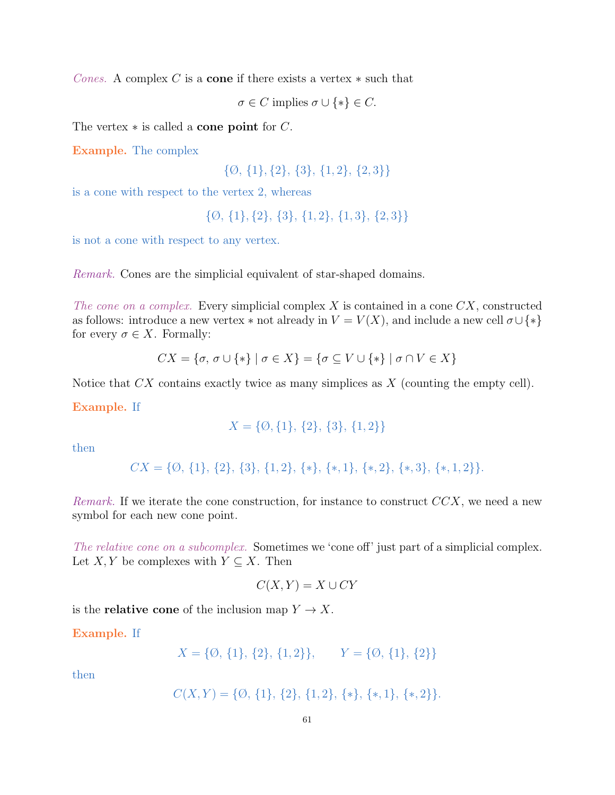Cones. A complex C is a **cone** if there exists a vertex  $*$  such that

 $\sigma \in C$  implies  $\sigma \cup \{*\} \in C$ .

The vertex  $*$  is called a **cone point** for  $C$ .

Example. The complex

 $\{\emptyset, \{1\}, \{2\}, \{3\}, \{1, 2\}, \{2, 3\}\}\$ 

is a cone with respect to the vertex 2, whereas

{Ø, {1}, {2}, {3}, {1, 2}, {1, 3}, {2, 3}}

is not a cone with respect to any vertex.

Remark. Cones are the simplicial equivalent of star-shaped domains.

The cone on a complex. Every simplicial complex  $X$  is contained in a cone  $CX$ , constructed as follows: introduce a new vertex  $*$  not already in  $V = V(X)$ , and include a new cell  $\sigma \cup \{*\}$ for every  $\sigma \in X$ . Formally:

$$
CX = \{\sigma, \sigma \cup \{*\} \mid \sigma \in X\} = \{\sigma \subseteq V \cup \{*\} \mid \sigma \cap V \in X\}
$$

Notice that  $CX$  contains exactly twice as many simplices as  $X$  (counting the empty cell).

Example. If

$$
X = \{0, \{1\}, \{2\}, \{3\}, \{1,2\}\}\
$$

then

 $CX = \{\emptyset, \{1\}, \{2\}, \{3\}, \{1, 2\}, \{*}, \{*, 1\}, \{*, 2\}, \{*, 3\}, \{*, 1, 2\}\}.$ 

Remark. If we iterate the cone construction, for instance to construct  $CCX$ , we need a new symbol for each new cone point.

The relative cone on a subcomplex. Sometimes we 'cone off' just part of a simplicial complex. Let  $X, Y$  be complexes with  $Y \subseteq X$ . Then

$$
C(X, Y) = X \cup CY
$$

is the **relative cone** of the inclusion map  $Y \to X$ .

Example. If

$$
X = \{0, \{1\}, \{2\}, \{1, 2\}\}, \qquad Y = \{0, \{1\}, \{2\}\}\
$$

then

$$
C(X,Y) = \{0, \{1\}, \{2\}, \{1,2\}, \{*,\}, \{*,1\}, \{*,2\}\}.
$$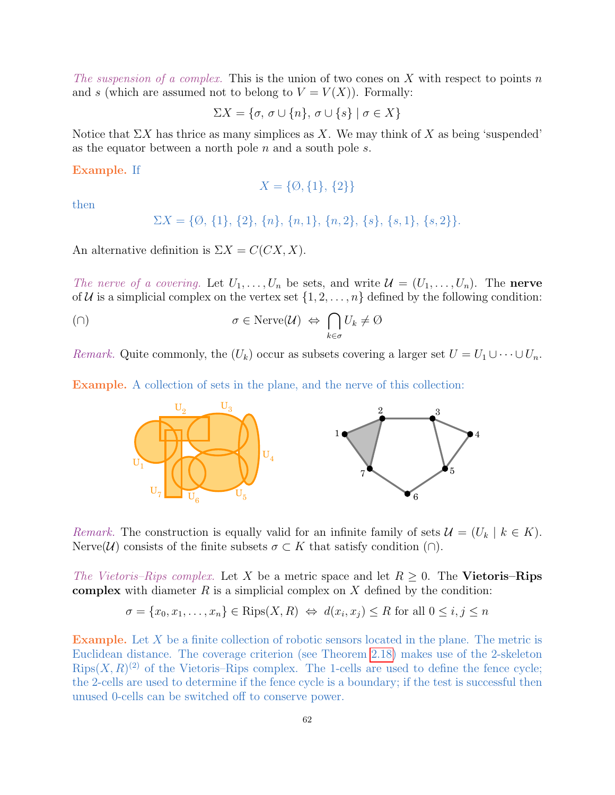The suspension of a complex. This is the union of two cones on X with respect to points n and s (which are assumed not to belong to  $V = V(X)$ ). Formally:

 $\Sigma X = \{\sigma, \sigma \cup \{n\}, \sigma \cup \{s\} \mid \sigma \in X\}$ 

Notice that  $\Sigma X$  has thrice as many simplices as X. We may think of X as being 'suspended' as the equator between a north pole  $n$  and a south pole  $s$ .

Example. If

$$
X = \{ \emptyset, \{1\}, \{2\} \}
$$

then

$$
\Sigma X = \{ \emptyset, \{1\}, \{2\}, \{n\}, \{n,1\}, \{n,2\}, \{s\}, \{s,1\}, \{s,2\} \}.
$$

An alternative definition is  $\Sigma X = C(CX, X)$ .

The nerve of a covering. Let  $U_1, \ldots, U_n$  be sets, and write  $\mathcal{U} = (U_1, \ldots, U_n)$ . The nerve of U is a simplicial complex on the vertex set  $\{1, 2, \ldots, n\}$  defined by the following condition:

$$
\sigma \in \text{Nerve}(\mathcal{U}) \iff \bigcap_{k \in \sigma} U_k \neq \emptyset
$$

Remark. Quite commonly, the  $(U_k)$  occur as subsets covering a larger set  $U = U_1 \cup \cdots \cup U_n$ .

Example. A collection of sets in the plane, and the nerve of this collection:



Remark. The construction is equally valid for an infinite family of sets  $\mathcal{U} = (U_k \mid k \in K)$ . Nerve(U) consists of the finite subsets  $\sigma \subset K$  that satisfy condition (∩).

The Vietoris–Rips complex. Let X be a metric space and let  $R \geq 0$ . The Vietoris–Rips complex with diameter  $R$  is a simplicial complex on  $X$  defined by the condition:

$$
\sigma = \{x_0, x_1, \dots, x_n\} \in \text{Rips}(X, R) \iff d(x_i, x_j) \le R \text{ for all } 0 \le i, j \le n
$$

Example. Let X be a finite collection of robotic sensors located in the plane. The metric is Euclidean distance. The coverage criterion (see Theorem [2.18\)](#page-28-0) makes use of the 2-skeleton  $Rips(X, R)^{(2)}$  of the Vietoris–Rips complex. The 1-cells are used to define the fence cycle; the 2-cells are used to determine if the fence cycle is a boundary; if the test is successful then unused 0-cells can be switched off to conserve power.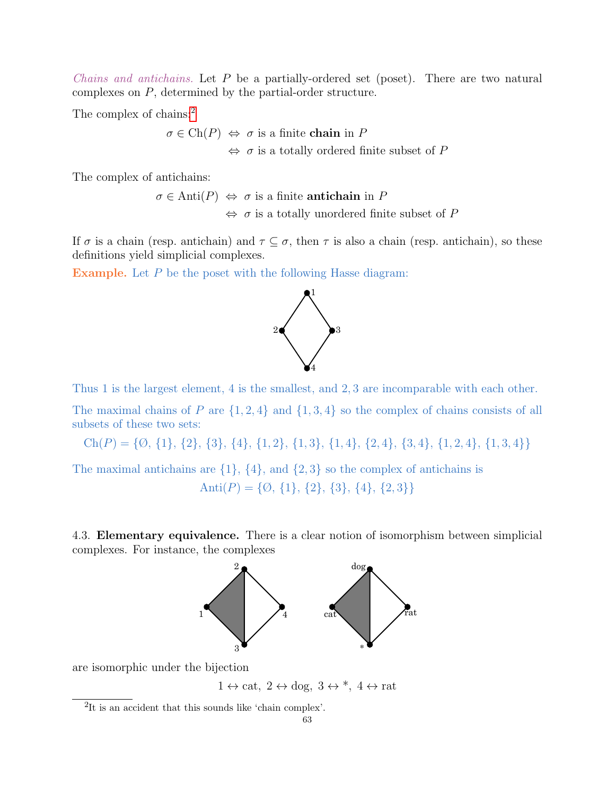*Chains and antichains.* Let  $P$  be a partially-ordered set (poset). There are two natural complexes on P, determined by the partial-order structure.

The complex of chains:<sup>[2](#page-62-0)</sup>

 $\sigma \in \text{Ch}(P) \Leftrightarrow \sigma$  is a finite chain in P  $\Leftrightarrow$   $\sigma$  is a totally ordered finite subset of P

The complex of antichains:

 $\sigma \in \text{Anti}(P) \Leftrightarrow \sigma$  is a finite **antichain** in P  $\Leftrightarrow$   $\sigma$  is a totally unordered finite subset of P

If  $\sigma$  is a chain (resp. antichain) and  $\tau \subseteq \sigma$ , then  $\tau$  is also a chain (resp. antichain), so these definitions yield simplicial complexes.

Example. Let P be the poset with the following Hasse diagram:



Thus 1 is the largest element, 4 is the smallest, and 2, 3 are incomparable with each other.

The maximal chains of P are  $\{1,2,4\}$  and  $\{1,3,4\}$  so the complex of chains consists of all subsets of these two sets:

 $Ch(P) = \{ \emptyset, \{1\}, \{2\}, \{3\}, \{4\}, \{1, 2\}, \{1, 3\}, \{1, 4\}, \{2, 4\}, \{3, 4\}, \{1, 2, 4\}, \{1, 3, 4\} \}$ 

The maximal antichains are  $\{1\}$ ,  $\{4\}$ , and  $\{2,3\}$  so the complex of antichains is Anti $(P) = \{ \emptyset, \{1\}, \{2\}, \{3\}, \{4\}, \{2,3\} \}$ 

4.3. Elementary equivalence. There is a clear notion of isomorphism between simplicial complexes. For instance, the complexes



are isomorphic under the bijection

 $1 \leftrightarrow \text{cat}, 2 \leftrightarrow \text{dog}, 3 \leftrightarrow^*, 4 \leftrightarrow \text{rat}$ 

<span id="page-62-0"></span><sup>2</sup>It is an accident that this sounds like 'chain complex'.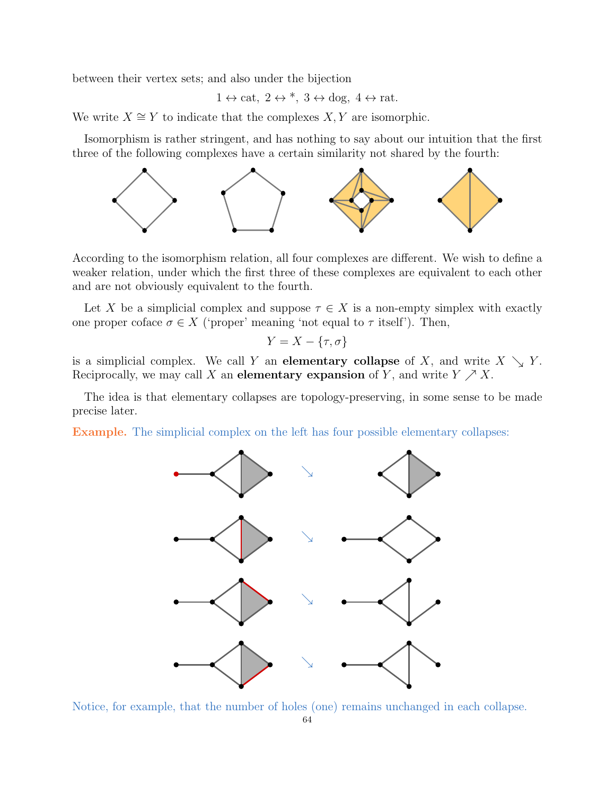between their vertex sets; and also under the bijection

$$
1 \leftrightarrow \text{cat}, 2 \leftrightarrow *, 3 \leftrightarrow \text{dog}, 4 \leftrightarrow \text{rat}.
$$

We write  $X \cong Y$  to indicate that the complexes  $X, Y$  are isomorphic.

Isomorphism is rather stringent, and has nothing to say about our intuition that the first three of the following complexes have a certain similarity not shared by the fourth:



According to the isomorphism relation, all four complexes are different. We wish to define a weaker relation, under which the first three of these complexes are equivalent to each other and are not obviously equivalent to the fourth.

Let X be a simplicial complex and suppose  $\tau \in X$  is a non-empty simplex with exactly one proper coface  $\sigma \in X$  ('proper' meaning 'not equal to  $\tau$  itself'). Then,

$$
Y = X - \{\tau, \sigma\}
$$

is a simplicial complex. We call Y an **elementary collapse** of X, and write  $X \searrow Y$ . Reciprocally, we may call X an elementary expansion of Y, and write  $Y \nearrow X$ .

The idea is that elementary collapses are topology-preserving, in some sense to be made precise later.

Example. The simplicial complex on the left has four possible elementary collapses:



Notice, for example, that the number of holes (one) remains unchanged in each collapse.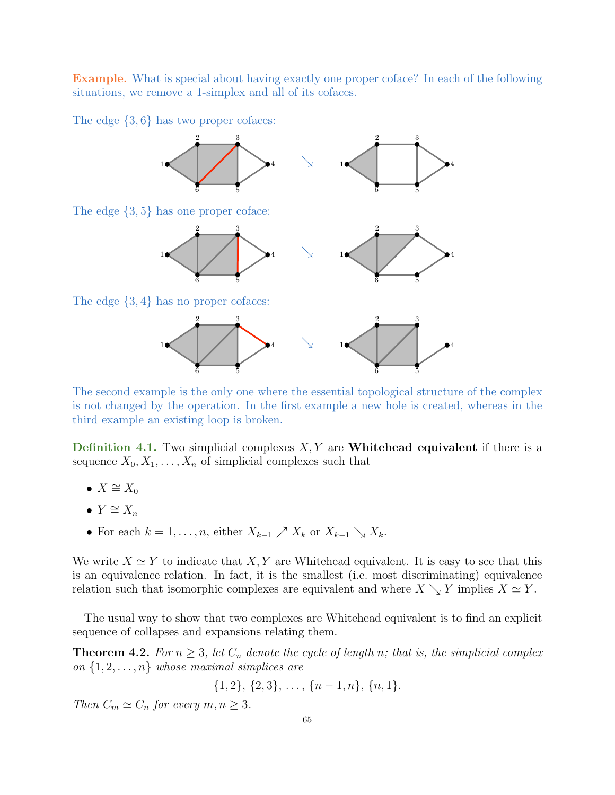Example. What is special about having exactly one proper coface? In each of the following situations, we remove a 1-simplex and all of its cofaces.

The edge  $\{3,6\}$  has two proper cofaces:



The second example is the only one where the essential topological structure of the complex is not changed by the operation. In the first example a new hole is created, whereas in the third example an existing loop is broken.

Definition 4.1. Two simplicial complexes  $X, Y$  are **Whitehead equivalent** if there is a sequence  $X_0, X_1, \ldots, X_n$  of simplicial complexes such that

- $X \cong X_0$
- $Y \cong X_n$
- For each  $k = 1, \ldots, n$ , either  $X_{k-1} \nearrow X_k$  or  $X_{k-1} \searrow X_k$ .

We write  $X \simeq Y$  to indicate that  $X, Y$  are Whitehead equivalent. It is easy to see that this is an equivalence relation. In fact, it is the smallest (i.e. most discriminating) equivalence relation such that isomorphic complexes are equivalent and where  $X \searrow Y$  implies  $X \simeq Y$ .

The usual way to show that two complexes are Whitehead equivalent is to find an explicit sequence of collapses and expansions relating them.

<span id="page-64-0"></span>**Theorem 4.2.** For  $n \geq 3$ , let  $C_n$  denote the cycle of length n; that is, the simplicial complex on  $\{1, 2, \ldots, n\}$  whose maximal simplices are

 $\{1, 2\}, \{2, 3\}, \ldots, \{n-1, n\}, \{n, 1\}.$ 

Then  $C_m \simeq C_n$  for every  $m, n \geq 3$ .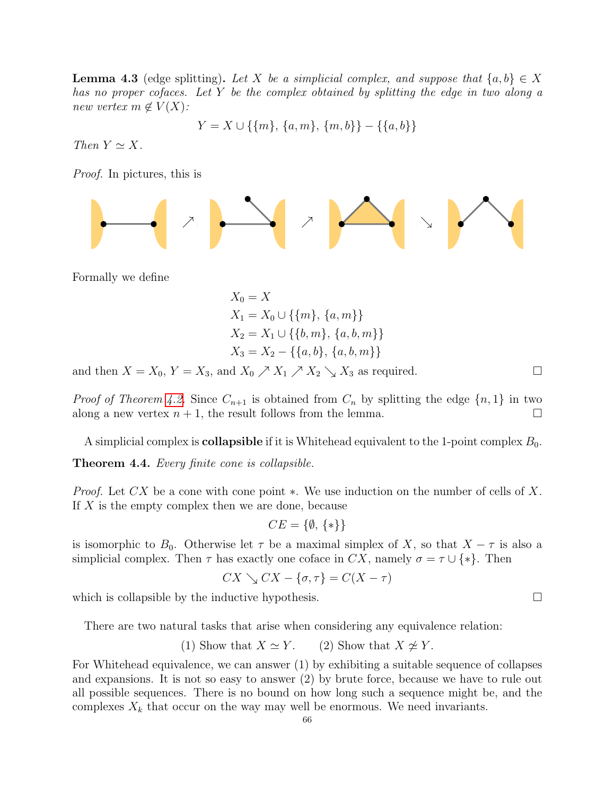**Lemma 4.3** (edge splitting). Let X be a simplicial complex, and suppose that  $\{a, b\} \in X$ has no proper cofaces. Let Y be the complex obtained by splitting the edge in two along a new vertex  $m \notin V(X)$ :

$$
Y = X \cup \{\{m\}, \{a, m\}, \{m, b\}\} - \{\{a, b\}\}\
$$

Then  $Y \simeq X$ .

Proof. In pictures, this is

$$
\left|\frac{1}{2}\right| \rightarrow \left|\frac{1}{2}\right| \rightarrow \left|\frac{1}{2}\right| \rightarrow \left|\frac{1}{2}\right| \rightarrow \left|\frac{1}{2}\right| \rightarrow \left|\frac{1}{2}\right| \rightarrow \left|\frac{1}{2}\right| \rightarrow \left|\frac{1}{2}\right| \rightarrow \left|\frac{1}{2}\right| \rightarrow \left|\frac{1}{2}\right| \rightarrow \left|\frac{1}{2}\right| \rightarrow \left|\frac{1}{2}\right| \rightarrow \left|\frac{1}{2}\right| \rightarrow \left|\frac{1}{2}\right| \rightarrow \left|\frac{1}{2}\right| \rightarrow \left|\frac{1}{2}\right| \rightarrow \left|\frac{1}{2}\right| \rightarrow \left|\frac{1}{2}\right| \rightarrow \left|\frac{1}{2}\right| \rightarrow \left|\frac{1}{2}\right| \rightarrow \left|\frac{1}{2}\right| \rightarrow \left|\frac{1}{2}\right| \rightarrow \left|\frac{1}{2}\right| \rightarrow \left|\frac{1}{2}\right| \rightarrow \left|\frac{1}{2}\right| \rightarrow \left|\frac{1}{2}\right| \rightarrow \left|\frac{1}{2}\right| \rightarrow \left|\frac{1}{2}\right| \rightarrow \left|\frac{1}{2}\right| \rightarrow \left|\frac{1}{2}\right| \rightarrow \left|\frac{1}{2}\right| \rightarrow \left|\frac{1}{2}\right| \rightarrow \left|\frac{1}{2}\right| \rightarrow \left|\frac{1}{2}\right| \rightarrow \left|\frac{1}{2}\right| \rightarrow \left|\frac{1}{2}\right| \rightarrow \left|\frac{1}{2}\right| \rightarrow \left|\frac{1}{2}\right| \rightarrow \left|\frac{1}{2}\right| \rightarrow \left|\frac{1}{2}\right| \rightarrow \left|\frac{1}{2}\right| \rightarrow \left|\frac{1}{2}\right| \rightarrow \left|\frac{1}{2}\right| \rightarrow \left|\frac{1}{2}\right| \rightarrow \left|\frac{1}{2}\right| \rightarrow \left|\frac{1}{2}\right| \rightarrow \left|\frac{1}{2}\right| \rightarrow \left|\frac{1}{2}\right| \rightarrow \left|\frac{1}{2}\right| \rightarrow \left|\frac{1}{2}\right| \rightarrow \left|\frac{1}{2}\right| \rightarrow \left|\frac{1}{2}\right| \rightarrow \left|\frac{1}{2}\right| \rightarrow \left|\frac{1}{2}\right| \rightarrow \left|\frac{1}{2}\right| \rightarrow \left|\frac{1}{2}\right| \rightarrow \left|\frac{1}{2}\right| \rightarrow \left|\frac{1}{2}\right| \rightarrow \left|\frac{1
$$

Formally we define

$$
X_0 = X
$$
  
\n
$$
X_1 = X_0 \cup \{\{m\}, \{a, m\}\}\
$$
  
\n
$$
X_2 = X_1 \cup \{\{b, m\}, \{a, b, m\}\}\
$$
  
\n
$$
X_3 = X_2 - \{\{a, b\}, \{a, b, m\}\}\
$$

and then  $X = X_0$ ,  $Y = X_3$ , and  $X_0 \nearrow X_1 \nearrow X_2 \searrow X_3$  as required.

*Proof of Theorem [4.2.](#page-64-0)* Since  $C_{n+1}$  is obtained from  $C_n$  by splitting the edge  $\{n,1\}$  in two along a new vertex  $n + 1$ , the result follows from the lemma.

A simplicial complex is **collapsible** if it is Whitehead equivalent to the 1-point complex  $B_0$ .

Theorem 4.4. Every finite cone is collapsible.

*Proof.* Let CX be a cone with cone point  $\ast$ . We use induction on the number of cells of X. If X is the empty complex then we are done, because

$$
CE = \{\emptyset, \{*\}\}\
$$

is isomorphic to  $B_0$ . Otherwise let  $\tau$  be a maximal simplex of X, so that  $X - \tau$  is also a simplicial complex. Then  $\tau$  has exactly one coface in  $CX$ , namely  $\sigma = \tau \cup \{*\}$ . Then

$$
CX \searrow CX - \{\sigma, \tau\} = C(X - \tau)
$$

which is collapsible by the inductive hypothesis.  $\Box$ 

There are two natural tasks that arise when considering any equivalence relation:

(1) Show that 
$$
X \simeq Y
$$
. (2) Show that  $X \not\simeq Y$ .

For Whitehead equivalence, we can answer (1) by exhibiting a suitable sequence of collapses and expansions. It is not so easy to answer (2) by brute force, because we have to rule out all possible sequences. There is no bound on how long such a sequence might be, and the complexes  $X_k$  that occur on the way may well be enormous. We need invariants.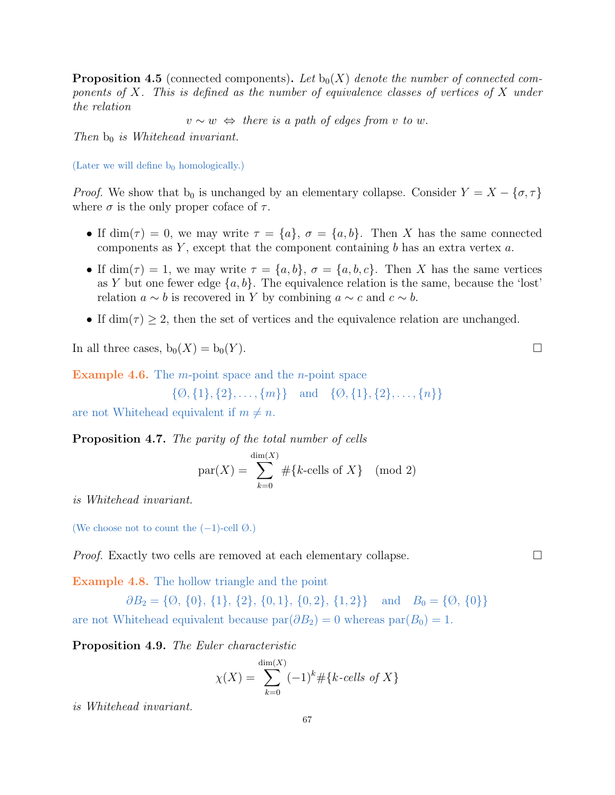<span id="page-66-0"></span>**Proposition 4.5** (connected components). Let  $b_0(X)$  denote the number of connected components of  $X$ . This is defined as the number of equivalence classes of vertices of  $X$  under the relation

 $v \sim w \Leftrightarrow$  there is a path of edges from v to w.

Then  $b_0$  is Whitehead invariant.

(Later we will define  $b_0$  homologically.)

*Proof.* We show that  $b_0$  is unchanged by an elementary collapse. Consider  $Y = X - {\sigma, \tau}$ where  $\sigma$  is the only proper coface of  $\tau$ .

- If  $\dim(\tau) = 0$ , we may write  $\tau = \{a\}, \sigma = \{a, b\}.$  Then X has the same connected components as  $Y$ , except that the component containing  $b$  has an extra vertex  $a$ .
- If  $\dim(\tau) = 1$ , we may write  $\tau = \{a, b\}, \sigma = \{a, b, c\}.$  Then X has the same vertices as Y but one fewer edge  $\{a, b\}$ . The equivalence relation is the same, because the 'lost' relation  $a \sim b$  is recovered in Y by combining  $a \sim c$  and  $c \sim b$ .
- If  $\dim(\tau) \geq 2$ , then the set of vertices and the equivalence relation are unchanged.

In all three cases,  $b_0(X) = b_0(Y)$ .

**Example 4.6.** The  $m$ -point space and the  $n$ -point space

$$
\{\emptyset, \{1\}, \{2\}, \ldots, \{m\}\} \text{ and } \{\emptyset, \{1\}, \{2\}, \ldots, \{n\}\}\
$$

are not Whitehead equivalent if  $m \neq n$ .

Proposition 4.7. The parity of the total number of cells

$$
par(X) = \sum_{k=0}^{\dim(X)} \# \{k\text{-cells of } X\} \pmod{2}
$$

is Whitehead invariant.

(We choose not to count the  $(-1)$ -cell  $\emptyset$ .)

*Proof.* Exactly two cells are removed at each elementary collapse.  $\Box$ 

Example 4.8. The hollow triangle and the point

 $\partial B_2 = \{ \emptyset, \{0\}, \{1\}, \{2\}, \{0, 1\}, \{0, 2\}, \{1, 2\} \}$  and  $B_0 = \{ \emptyset, \{0\} \}$ are not Whitehead equivalent because  $par(\partial B_2) = 0$  whereas  $par(B_0) = 1$ .

Proposition 4.9. The Euler characteristic

$$
\chi(X) = \sum_{k=0}^{\dim(X)} (-1)^k \# \{k\text{-cells of } X\}
$$

is Whitehead invariant.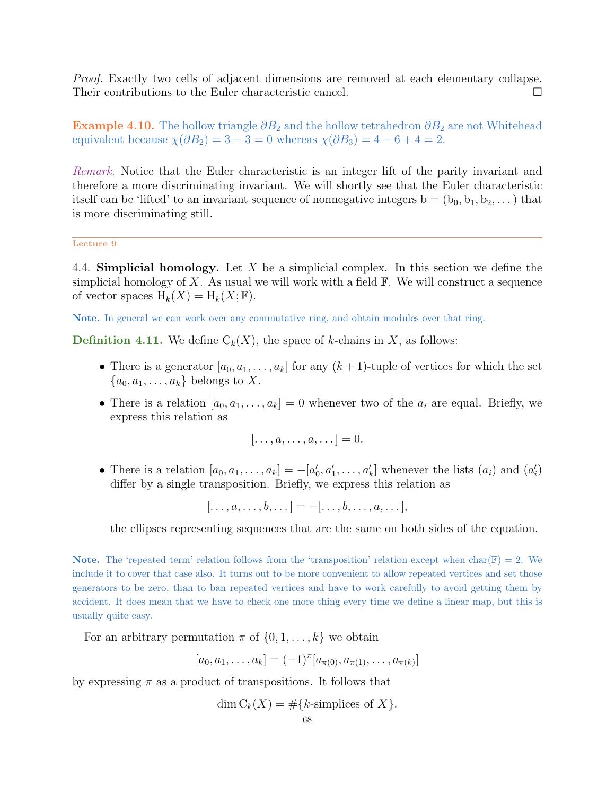Proof. Exactly two cells of adjacent dimensions are removed at each elementary collapse. Their contributions to the Euler characteristic cancel.

**Example 4.10.** The hollow triangle  $\partial B_2$  and the hollow tetrahedron  $\partial B_2$  are not Whitehead equivalent because  $\chi(\partial B_2) = 3 - 3 = 0$  whereas  $\chi(\partial B_3) = 4 - 6 + 4 = 2$ .

Remark. Notice that the Euler characteristic is an integer lift of the parity invariant and therefore a more discriminating invariant. We will shortly see that the Euler characteristic itself can be 'lifted' to an invariant sequence of nonnegative integers  $b = (b_0, b_1, b_2, \dots)$  that is more discriminating still.

Lecture 9

4.4. Simplicial homology. Let X be a simplicial complex. In this section we define the simplicial homology of X. As usual we will work with a field  $\mathbb{F}$ . We will construct a sequence of vector spaces  $H_k(X) = H_k(X; \mathbb{F})$ .

Note. In general we can work over any commutative ring, and obtain modules over that ring.

**Definition 4.11.** We define  $C_k(X)$ , the space of k-chains in X, as follows:

- There is a generator  $[a_0, a_1, \ldots, a_k]$  for any  $(k+1)$ -tuple of vertices for which the set  ${a_0, a_1, \ldots, a_k}$  belongs to X.
- There is a relation  $[a_0, a_1, \ldots, a_k] = 0$  whenever two of the  $a_i$  are equal. Briefly, we express this relation as

$$
[\ldots, a, \ldots, a, \ldots] = 0.
$$

• There is a relation  $[a_0, a_1, \ldots, a_k] = -[a'_0, a'_1, \ldots, a'_k]$  whenever the lists  $(a_i)$  and  $(a'_i)$ differ by a single transposition. Briefly, we express this relation as

 $[\ldots, a, \ldots, b, \ldots] = -[\ldots, b, \ldots, a, \ldots],$ 

the ellipses representing sequences that are the same on both sides of the equation.

**Note.** The 'repeated term' relation follows from the 'transposition' relation except when char( $\mathbb{F}$ ) = 2. We include it to cover that case also. It turns out to be more convenient to allow repeated vertices and set those generators to be zero, than to ban repeated vertices and have to work carefully to avoid getting them by accident. It does mean that we have to check one more thing every time we define a linear map, but this is usually quite easy.

For an arbitrary permutation  $\pi$  of  $\{0, 1, \ldots, k\}$  we obtain

$$
[a_0, a_1, \ldots, a_k] = (-1)^{\pi} [a_{\pi(0)}, a_{\pi(1)}, \ldots, a_{\pi(k)}]
$$

by expressing  $\pi$  as a product of transpositions. It follows that

$$
\dim C_k(X) = \# \{k\text{-simplices of } X\}.
$$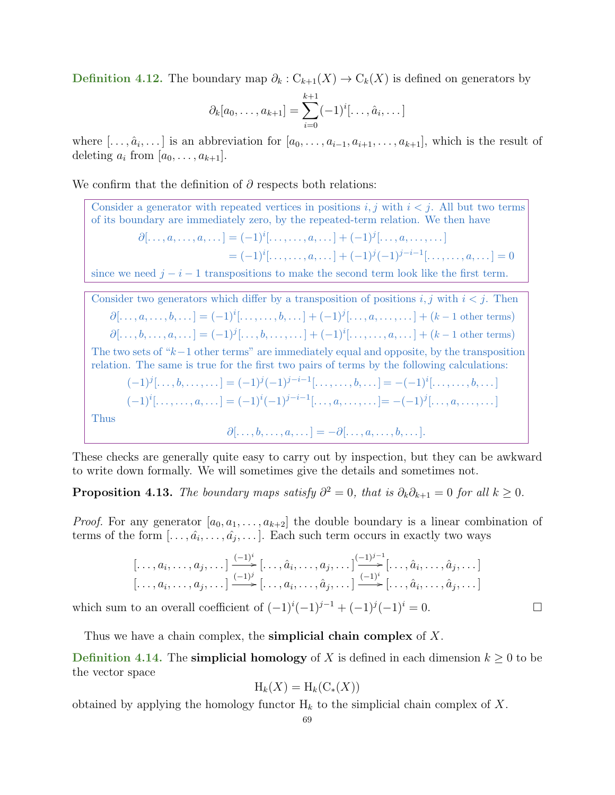Definition 4.12. The boundary map  $\partial_k : C_{k+1}(X) \to C_k(X)$  is defined on generators by

$$
\partial_k[a_0,\ldots,a_{k+1}] = \sum_{i=0}^{k+1} (-1)^i [\ldots,\hat{a}_i,\ldots]
$$

where  $[\ldots, \hat{a}_i, \ldots]$  is an abbreviation for  $[a_0, \ldots, a_{i-1}, a_{i+1}, \ldots, a_{k+1}]$ , which is the result of deleting  $a_i$  from  $[a_0, \ldots, a_{k+1}].$ 

We confirm that the definition of  $\partial$  respects both relations:

Consider a generator with repeated vertices in positions  $i, j$  with  $i < j$ . All but two terms of its boundary are immediately zero, by the repeated-term relation. We then have  $\partial[\ldots, a, \ldots, a, \ldots] = (-1)^i[\ldots, a, \ldots] + (-1)^j[\ldots, a, \ldots, \ldots]$  $= (-1)^{i}[\ldots, \ldots, a, \ldots] + (-1)^{j}(-1)^{j-i-1}[\ldots, \ldots, a, \ldots] = 0$ since we need  $j - i - 1$  transpositions to make the second term look like the first term. Consider two generators which differ by a transposition of positions  $i, j$  with  $i < j$ . Then  $\partial[\ldots, a, \ldots, b, \ldots] = (-1)^i[\ldots, a, \ldots, b, \ldots] + (-1)^j[\ldots, a, \ldots, \ldots] + (k-1 \text{ other terms})$  $\partial[\ldots, b, \ldots, a, \ldots] = (-1)^j [\ldots, b, \ldots, \ldots] + (-1)^i [\ldots, \ldots, a, \ldots] + (k-1 \text{ other terms})$ The two sets of " $k-1$  other terms" are immediately equal and opposite, by the transposition relation. The same is true for the first two pairs of terms by the following calculations:

$$
(-1)^{j}[\ldots, b, \ldots, \ldots] = (-1)^{j}(-1)^{j-i-1}[\ldots, \ldots, b, \ldots] = -(-1)^{i}[\ldots, \ldots, b, \ldots]
$$

$$
(-1)^{i}[\ldots, \ldots, a, \ldots] = (-1)^{i}(-1)^{j-i-1}[\ldots, a, \ldots, \ldots] = -(-1)^{j}[\ldots, a, \ldots, \ldots]
$$
Thus

 $\partial[\ldots, b, \ldots, a, \ldots] = -\partial[\ldots, a, \ldots, b, \ldots].$ 

These checks are generally quite easy to carry out by inspection, but they can be awkward to write down formally. We will sometimes give the details and sometimes not.

**Proposition 4.13.** The boundary maps satisfy  $\partial^2 = 0$ , that is  $\partial_k \partial_{k+1} = 0$  for all  $k \geq 0$ .

*Proof.* For any generator  $[a_0, a_1, \ldots, a_{k+2}]$  the double boundary is a linear combination of terms of the form  $[\ldots, \hat{a_i}, \ldots, \hat{a_j}, \ldots]$ . Each such term occurs in exactly two ways

$$
\begin{bmatrix} \ldots, a_i, \ldots, a_j, \ldots \end{bmatrix} \xrightarrow{(-1)^i} \begin{bmatrix} \ldots, \hat{a}_i, \ldots, a_j, \ldots \end{bmatrix} \xrightarrow{(-1)^{j-1}} \begin{bmatrix} \ldots, \hat{a}_i, \ldots, \hat{a}_j, \ldots \end{bmatrix}
$$

$$
\begin{bmatrix} \ldots, a_i, \ldots, a_j, \ldots \end{bmatrix} \xrightarrow{(-1)^i} \begin{bmatrix} \ldots, a_i, \ldots, \hat{a}_j, \ldots \end{bmatrix} \xrightarrow{(-1)^i} \begin{bmatrix} \ldots, \hat{a}_i, \ldots, \hat{a}_j, \ldots \end{bmatrix}
$$

which sum to an overall coefficient of  $(-1)^{i}(-1)^{j-1} + (-1)^{j}(-1)^{i} = 0.$ 

Thus we have a chain complex, the **simplicial chain complex** of  $X$ .

**Definition 4.14.** The **simplicial homology** of X is defined in each dimension  $k \geq 0$  to be the vector space

$$
H_k(X) = H_k(C_*(X))
$$

obtained by applying the homology functor  $H_k$  to the simplicial chain complex of X.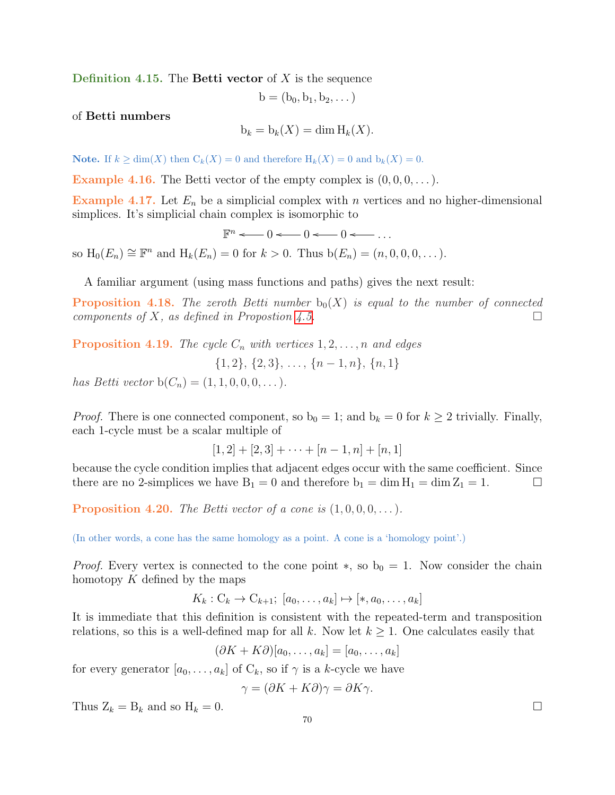Definition 4.15. The Betti vector of  $X$  is the sequence

$$
b=(b_0,b_1,b_2,\dots)
$$

of Betti numbers

$$
b_k = b_k(X) = \dim H_k(X).
$$

**Note.** If  $k \ge \dim(X)$  then  $C_k(X) = 0$  and therefore  $H_k(X) = 0$  and  $b_k(X) = 0$ .

**Example 4.16.** The Betti vector of the empty complex is  $(0, 0, 0, \dots)$ .

Example 4.17. Let  $E_n$  be a simplicial complex with n vertices and no higher-dimensional simplices. It's simplicial chain complex is isomorphic to

 $\mathbb{F}^n \leftarrow 0 \leftarrow 0 \leftarrow \cdots$ so  $H_0(E_n) \cong \mathbb{F}^n$  and  $H_k(E_n) = 0$  for  $k > 0$ . Thus  $b(E_n) = (n, 0, 0, 0, \dots)$ .

A familiar argument (using mass functions and paths) gives the next result:

**Proposition 4.18.** The zeroth Betti number  $b_0(X)$  is equal to the number of connected components of X, as defined in Propostion [4.5.](#page-66-0)

**Proposition 4.19.** The cycle  $C_n$  with vertices  $1, 2, \ldots, n$  and edges

 $\{1, 2\}, \{2, 3\}, \ldots, \{n-1, n\}, \{n, 1\}$ 

has Betti vector  $b(C_n) = (1, 1, 0, 0, 0, ...)$ .

*Proof.* There is one connected component, so  $b_0 = 1$ ; and  $b_k = 0$  for  $k \geq 2$  trivially. Finally, each 1-cycle must be a scalar multiple of

$$
[1,2] + [2,3] + \cdots + [n-1,n] + [n,1]
$$

because the cycle condition implies that adjacent edges occur with the same coefficient. Since there are no 2-simplices we have  $B_1 = 0$  and therefore  $b_1 = \dim H_1 = \dim Z_1 = 1$ .

**Proposition 4.20.** The Betti vector of a cone is  $(1, 0, 0, 0, \ldots)$ .

(In other words, a cone has the same homology as a point. A cone is a 'homology point'.)

*Proof.* Every vertex is connected to the cone point  $\ast$ , so  $b_0 = 1$ . Now consider the chain homotopy  $K$  defined by the maps

$$
K_k: \mathcal{C}_k \to \mathcal{C}_{k+1}; [a_0, \ldots, a_k] \mapsto [*, a_0, \ldots, a_k]
$$

It is immediate that this definition is consistent with the repeated-term and transposition relations, so this is a well-defined map for all k. Now let  $k \geq 1$ . One calculates easily that

 $(\partial K + K\partial)[a_0,\ldots,a_k] = [a_0,\ldots,a_k]$ 

for every generator  $[a_0, \ldots, a_k]$  of  $C_k$ , so if  $\gamma$  is a k-cycle we have

$$
\gamma = (\partial K + K\partial)\gamma = \partial K\gamma.
$$

Thus  $Z_k = B_k$  and so  $H_k = 0$ .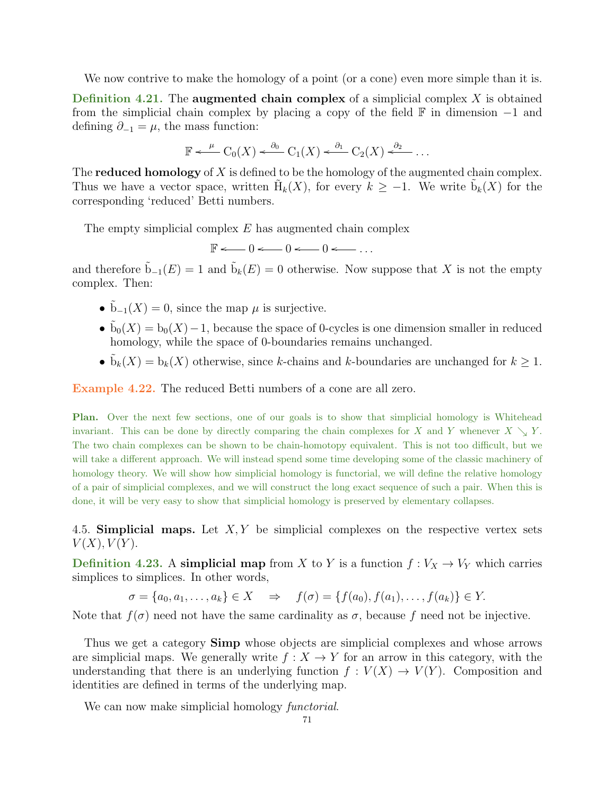We now contrive to make the homology of a point (or a cone) even more simple than it is.

Definition 4.21. The augmented chain complex of a simplicial complex  $X$  is obtained from the simplicial chain complex by placing a copy of the field  $\mathbb F$  in dimension  $-1$  and defining  $\partial_{-1} = \mu$ , the mass function:

$$
\mathbb{F} \leftarrow^{\mu} \mathcal{C}_0(X) \leftarrow^{\partial_0} \mathcal{C}_1(X) \leftarrow^{\partial_1} \mathcal{C}_2(X) \leftarrow^{\partial_2} \cdots
$$

The **reduced homology** of X is defined to be the homology of the augmented chain complex. Thus we have a vector space, written  $\tilde{H}_k(X)$ , for every  $k \geq -1$ . We write  $\tilde{b}_k(X)$  for the corresponding 'reduced' Betti numbers.

The empty simplicial complex  $E$  has augmented chain complex

 $\mathbb{F}$   $\longleftarrow$  0  $\longleftarrow$  0  $\longleftarrow$  0  $\longleftarrow$  ...

and therefore  $\tilde{b}_{-1}(E) = 1$  and  $\tilde{b}_k(E) = 0$  otherwise. Now suppose that X is not the empty complex. Then:

- $\tilde{b}_{-1}(X) = 0$ , since the map  $\mu$  is surjective.
- $\tilde{b}_0(X) = b_0(X) 1$ , because the space of 0-cycles is one dimension smaller in reduced homology, while the space of 0-boundaries remains unchanged.
- $\tilde{b}_k(X) = b_k(X)$  otherwise, since k-chains and k-boundaries are unchanged for  $k \geq 1$ .

Example 4.22. The reduced Betti numbers of a cone are all zero.

Plan. Over the next few sections, one of our goals is to show that simplicial homology is Whitehead invariant. This can be done by directly comparing the chain complexes for X and Y whenever  $X \searrow Y$ . The two chain complexes can be shown to be chain-homotopy equivalent. This is not too difficult, but we will take a different approach. We will instead spend some time developing some of the classic machinery of homology theory. We will show how simplicial homology is functorial, we will define the relative homology of a pair of simplicial complexes, and we will construct the long exact sequence of such a pair. When this is done, it will be very easy to show that simplicial homology is preserved by elementary collapses.

4.5. Simplicial maps. Let  $X, Y$  be simplicial complexes on the respective vertex sets  $V(X), V(Y).$ 

**Definition 4.23.** A simplicial map from X to Y is a function  $f: V_X \to V_Y$  which carries simplices to simplices. In other words,

 $\sigma = \{a_0, a_1, \ldots, a_k\} \in X \implies f(\sigma) = \{f(a_0), f(a_1), \ldots, f(a_k)\} \in Y.$ 

Note that  $f(\sigma)$  need not have the same cardinality as  $\sigma$ , because f need not be injective.

Thus we get a category **Simp** whose objects are simplicial complexes and whose arrows are simplicial maps. We generally write  $f: X \to Y$  for an arrow in this category, with the understanding that there is an underlying function  $f: V(X) \to V(Y)$ . Composition and identities are defined in terms of the underlying map.

We can now make simplicial homology *functorial*.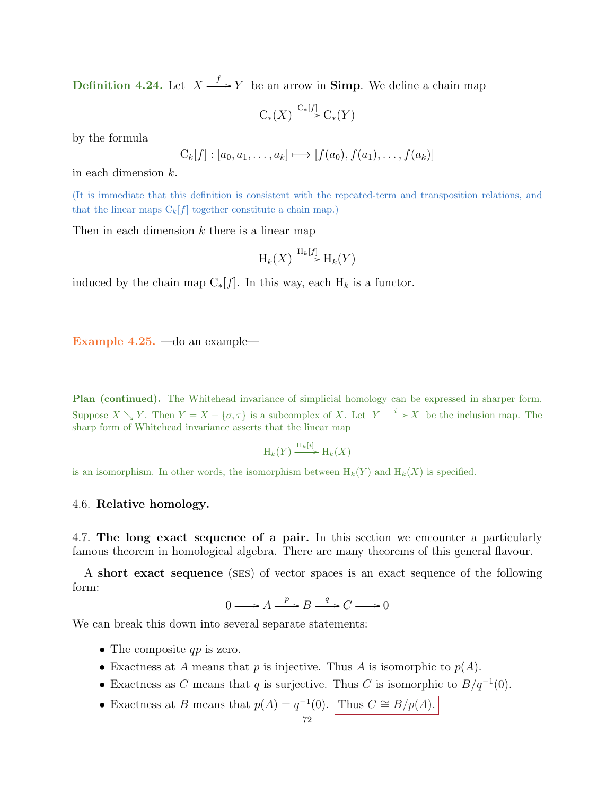**Definition 4.24.** Let  $X \xrightarrow{f} Y$  be an arrow in **Simp**. We define a chain map

$$
C_*(X) \xrightarrow{C_*[f]} C_*(Y)
$$

by the formula

$$
C_k[f] : [a_0, a_1, \ldots, a_k] \longmapsto [f(a_0), f(a_1), \ldots, f(a_k)]
$$

in each dimension k.

(It is immediate that this definition is consistent with the repeated-term and transposition relations, and that the linear maps  $C_k[f]$  together constitute a chain map.)

Then in each dimension  $k$  there is a linear map

$$
\mathrm{H}_k(X) \xrightarrow{\mathrm{H}_k[f]} \mathrm{H}_k(Y)
$$

induced by the chain map  $C_*[f]$ . In this way, each  $H_k$  is a functor.

Example 4.25. —do an example—

Plan (continued). The Whitehead invariance of simplicial homology can be expressed in sharper form. Suppose  $X \setminus Y$ . Then  $Y = X - \{\sigma, \tau\}$  is a subcomplex of X. Let  $Y \xrightarrow{i} X$  be the inclusion map. The sharp form of Whitehead invariance asserts that the linear map

$$
\mathrm{H}_k(Y) \xrightarrow{\mathrm{H}_k[i]} \mathrm{H}_k(X)
$$

is an isomorphism. In other words, the isomorphism between  $H_k(Y)$  and  $H_k(X)$  is specified.

## 4.6. Relative homology.

4.7. The long exact sequence of a pair. In this section we encounter a particularly famous theorem in homological algebra. There are many theorems of this general flavour.

A short exact sequence (ses) of vector spaces is an exact sequence of the following form:

 $0 \longrightarrow A \xrightarrow{p} B \xrightarrow{q} C \longrightarrow 0$ 

We can break this down into several separate statements:

- The composite  $qp$  is zero.
- Exactness at A means that p is injective. Thus A is isomorphic to  $p(A)$ .
- Exactness as C means that q is surjective. Thus C is isomorphic to  $B/q^{-1}(0)$ .
- Exactness at B means that  $p(A) = q^{-1}(0)$ . Thus  $C \cong B/p(A)$ .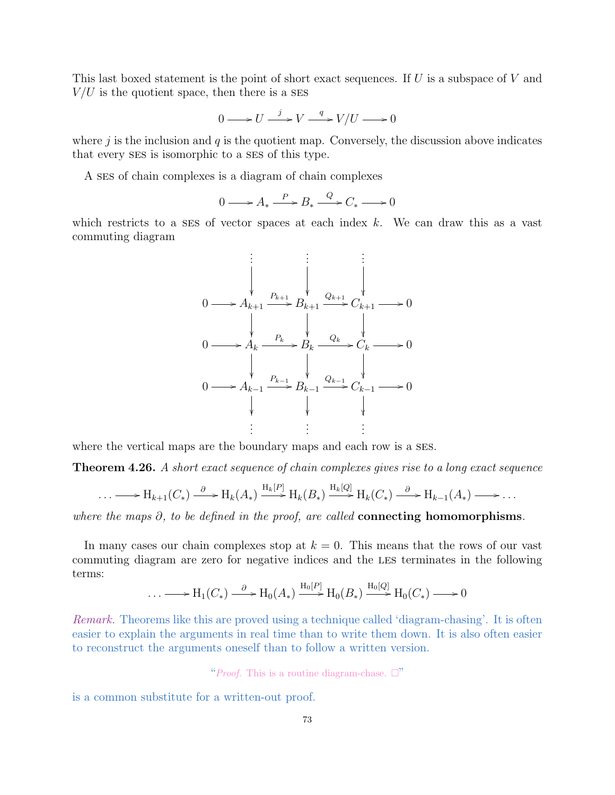This last boxed statement is the point of short exact sequences. If  $U$  is a subspace of  $V$  and  $V/U$  is the quotient space, then there is a SES

$$
0 \longrightarrow U \xrightarrow{j} V \xrightarrow{q} V/U \longrightarrow 0
$$

where  $j$  is the inclusion and  $q$  is the quotient map. Conversely, the discussion above indicates that every ses is isomorphic to a ses of this type.

A ses of chain complexes is a diagram of chain complexes

$$
0 \longrightarrow A_* \xrightarrow{P} B_* \xrightarrow{Q} C_* \longrightarrow 0
$$

which restricts to a SES of vector spaces at each index  $k$ . We can draw this as a vast commuting diagram

$$
\begin{array}{ccc}\n\vdots & \vdots & \vdots \\
0 & \longrightarrow A_{k+1} \xrightarrow{P_{k+1}} B_{k+1} & \longrightarrow & 0 \\
0 & \longrightarrow A_k \xrightarrow{P_k} B_k & \longrightarrow & 0 \\
0 & \longrightarrow A_{k-1} \xrightarrow{P_{k-1}} B_k & \longrightarrow & 0 \\
0 & \longrightarrow & 0 & \downarrow & \downarrow & \downarrow \\
0 & \longrightarrow & 0 & \downarrow & \downarrow & \downarrow \\
0 & \longrightarrow & 0 & \downarrow & \downarrow & \downarrow \\
\vdots & \vdots & \vdots & \vdots & \vdots\n\end{array}
$$

where the vertical maps are the boundary maps and each row is a SES.

<span id="page-72-0"></span>Theorem 4.26. A short exact sequence of chain complexes gives rise to a long exact sequence

$$
\ldots \longrightarrow H_{k+1}(C_*) \xrightarrow{\partial} H_k(A_*) \xrightarrow{H_k[P]} H_k(B_*) \xrightarrow{H_k[Q]} H_k(C_*) \xrightarrow{\partial} H_{k-1}(A_*) \longrightarrow \ldots
$$

where the maps  $\partial$ , to be defined in the proof, are called **connecting homomorphisms**.

In many cases our chain complexes stop at  $k = 0$ . This means that the rows of our vast commuting diagram are zero for negative indices and the les terminates in the following terms:

$$
\ldots \longrightarrow H_1(C_*) \xrightarrow{\partial} H_0(A_*) \xrightarrow{H_0[P]} H_0(B_*) \xrightarrow{H_0[Q]} H_0(C_*) \longrightarrow 0
$$

Remark. Theorems like this are proved using a technique called 'diagram-chasing'. It is often easier to explain the arguments in real time than to write them down. It is also often easier to reconstruct the arguments oneself than to follow a written version.

"Proof. This is a routine diagram-chase.  $\Box$ "

is a common substitute for a written-out proof.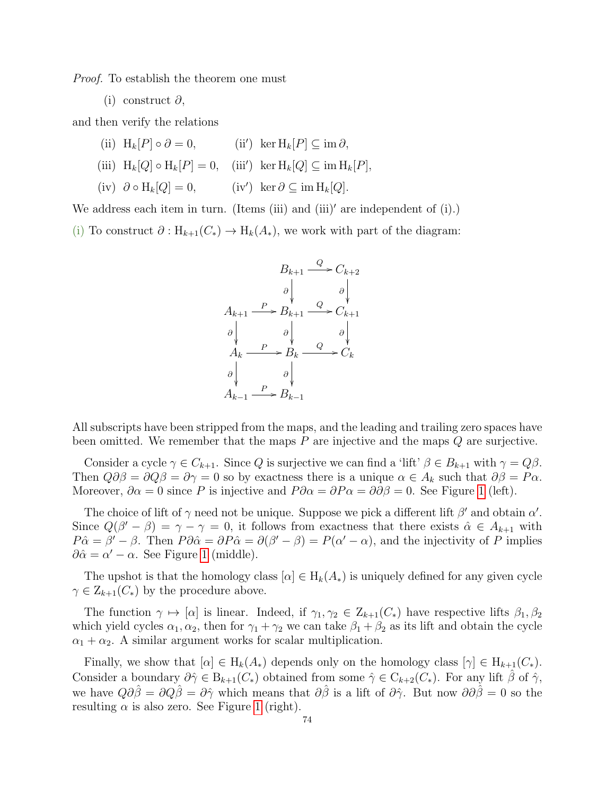Proof. To establish the theorem one must

(i) construct ∂,

and then verify the relations

- (ii)  $H_k[P] \circ \partial = 0$ , (ii) ker  $H_k[P] \subseteq \text{im } \partial$ ,
- (iii)  $H_k[Q] \circ H_k[P] = 0$ , (iii') ker  $H_k[Q] \subseteq \text{im } H_k[P]$ ,
- (iv)  $\partial \circ H_k[Q] = 0$ , (iv') ker  $\partial \subset \text{im } H_k[Q].$

We address each item in turn. (Items (iii) and (iii)' are independent of  $(i)$ .)

(i) To construct  $\partial: H_{k+1}(C_*) \to H_k(A_*),$  we work with part of the diagram:



All subscripts have been stripped from the maps, and the leading and trailing zero spaces have been omitted. We remember that the maps  $P$  are injective and the maps  $Q$  are surjective.

Consider a cycle  $\gamma \in C_{k+1}$ . Since Q is surjective we can find a 'lift'  $\beta \in B_{k+1}$  with  $\gamma = Q\beta$ . Then  $Q\partial\beta = \partial Q\beta = \partial \gamma = 0$  so by exactness there is a unique  $\alpha \in A_k$  such that  $\partial \beta = P\alpha$ . Moreover,  $\partial \alpha = 0$  since P is injective and  $P \partial \alpha = \partial P \alpha = \partial \partial \beta = 0$ . See Figure [1](#page-74-0) (left).

The choice of lift of  $\gamma$  need not be unique. Suppose we pick a different lift  $\beta'$  and obtain  $\alpha'$ . Since  $Q(\beta' - \beta) = \gamma - \gamma = 0$ , it follows from exactness that there exists  $\hat{\alpha} \in A_{k+1}$  with  $P\hat{\alpha} = \beta' - \beta$ . Then  $P\partial \hat{\alpha} = \partial P\hat{\alpha} = \partial(\beta' - \beta) = P(\alpha' - \alpha)$ , and the injectivity of P implies  $\partial \hat{\alpha} = \alpha' - \alpha$ . See Figure [1](#page-74-0) (middle).

The upshot is that the homology class  $[\alpha] \in H_k(A_*)$  is uniquely defined for any given cycle  $\gamma \in \mathcal{Z}_{k+1}(C_*)$  by the procedure above.

The function  $\gamma \mapsto [\alpha]$  is linear. Indeed, if  $\gamma_1, \gamma_2 \in Z_{k+1}(C_*)$  have respective lifts  $\beta_1, \beta_2$ which yield cycles  $\alpha_1, \alpha_2$ , then for  $\gamma_1 + \gamma_2$  we can take  $\beta_1 + \beta_2$  as its lift and obtain the cycle  $\alpha_1 + \alpha_2$ . A similar argument works for scalar multiplication.

Finally, we show that  $[\alpha] \in H_k(A_*)$  depends only on the homology class  $[\gamma] \in H_{k+1}(C_*)$ . Consider a boundary  $\partial \hat{\gamma} \in B_{k+1}(C_*)$  obtained from some  $\hat{\gamma} \in C_{k+2}(C_*)$ . For any lift  $\hat{\beta}$  of  $\hat{\gamma}$ , we have  $Q\partial\hat{\beta} = \partial Q\hat{\beta} = \partial\hat{\gamma}$  which means that  $\partial\hat{\beta}$  is a lift of  $\partial\hat{\gamma}$ . But now  $\partial\hat{\beta} = 0$  so the resulting  $\alpha$  is also zero. See Figure [1](#page-74-0) (right).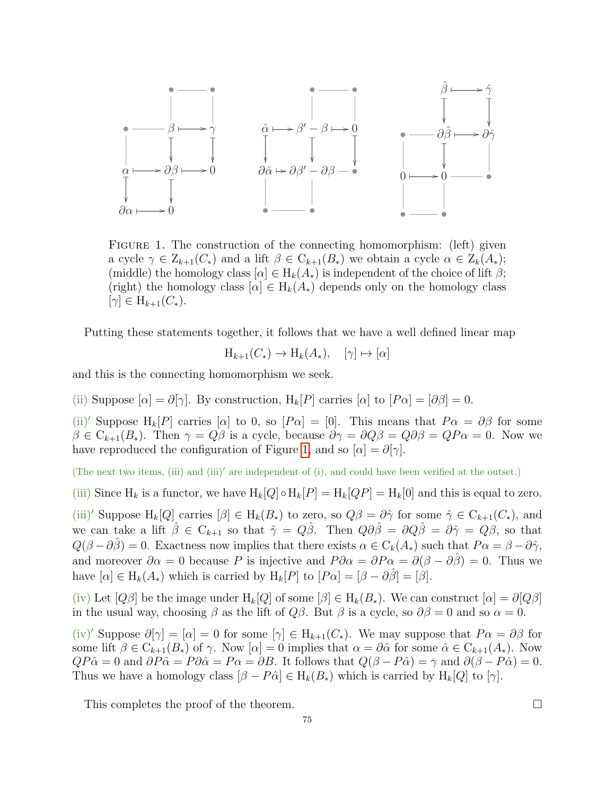

<span id="page-74-0"></span>FIGURE 1. The construction of the connecting homomorphism: (left) given a cycle  $\gamma \in \mathcal{Z}_{k+1}(C_*)$  and a lift  $\beta \in \mathcal{C}_{k+1}(B_*)$  we obtain a cycle  $\alpha \in \mathcal{Z}_k(A_*)$ ; (middle) the homology class  $[\alpha] \in H_k(A_*)$  is independent of the choice of lift  $\beta$ ; (right) the homology class  $[\alpha] \in H_k(A_*)$  depends only on the homology class  $|\gamma| \in H_{k+1}(C_*)$ .

Putting these statements together, it follows that we have a well defined linear map

$$
H_{k+1}(C_*) \to H_k(A_*), \quad [\gamma] \mapsto [\alpha]
$$

and this is the connecting homomorphism we seek.

(ii) Suppose  $[\alpha] = \partial[\gamma]$ . By construction,  $H_k[P]$  carries  $[\alpha]$  to  $[P\alpha] = [\partial \beta] = 0$ .

(ii)' Suppose H<sub>k</sub>[P] carries [α] to 0, so [P $\alpha$ ] = [0]. This means that  $P\alpha = \partial\beta$  for some  $\beta \in C_{k+1}(B_*)$ . Then  $\gamma = Q\beta$  is a cycle, because  $\partial \gamma = \partial Q\beta = Q\beta = QP\alpha = 0$ . Now we have reproduced the configuration of Figure [1,](#page-74-0) and so  $[\alpha] = \partial[\gamma]$ .

(The next two items, (iii) and (iii)' are independent of (i), and could have been verified at the outset.)

(iii) Since  $H_k$  is a functor, we have  $H_k[Q] \circ H_k[P] = H_k[QP] = H_k[0]$  and this is equal to zero.

(iii)' Suppose  $H_k[Q]$  carries  $[\beta] \in H_k(B_*)$  to zero, so  $Q\beta = \partial \hat{\gamma}$  for some  $\hat{\gamma} \in C_{k+1}(C_*)$ , and we can take a lift  $\hat{\beta} \in C_{k+1}$  so that  $\hat{\gamma} = Q\hat{\beta}$ . Then  $Q\partial\hat{\beta} = \partial Q\hat{\beta} = \partial\hat{\gamma} = Q\beta$ , so that  $Q(\beta - \partial \hat{\beta}) = 0$ . Exactness now implies that there exists  $\alpha \in C_k(A_*)$  such that  $P\alpha = \beta - \partial \hat{\gamma}$ , and moreover  $\partial \alpha = 0$  because P is injective and  $P \partial \alpha = \partial P \alpha = \partial (\beta - \partial \hat{\beta}) = 0$ . Thus we have  $[\alpha] \in H_k(A_*)$  which is carried by  $H_k[P]$  to  $[P\alpha] = [\beta - \partial \hat{\beta}] = [\beta]$ .

(iv) Let  $[Q\beta]$  be the image under  $H_k[Q]$  of some  $[\beta] \in H_k(B_*)$ . We can construct  $[\alpha] = \partial[Q\beta]$ in the usual way, choosing  $\beta$  as the lift of  $Q\beta$ . But  $\beta$  is a cycle, so  $\partial\beta = 0$  and so  $\alpha = 0$ .

(iv)' Suppose  $\partial[\gamma] = [\alpha] = 0$  for some  $[\gamma] \in H_{k+1}(C_*)$ . We may suppose that  $P\alpha = \partial\beta$  for some lift  $\beta \in C_{k+1}(B_*)$  of  $\gamma$ . Now  $[\alpha] = 0$  implies that  $\alpha = \partial \hat{\alpha}$  for some  $\hat{\alpha} \in C_{k+1}(A_*)$ . Now  $QP\hat{\alpha} = 0$  and  $\partial P\hat{\alpha} = P\partial \hat{\alpha} = P\alpha = \partial B$ . It follows that  $Q(\beta - P\hat{\alpha}) = \gamma$  and  $\partial(\beta - P\hat{\alpha}) = 0$ . Thus we have a homology class  $[\beta - P\hat{\alpha}] \in H_k(B_*)$  which is carried by  $H_k[Q]$  to  $[\gamma]$ .

This completes the proof of the theorem.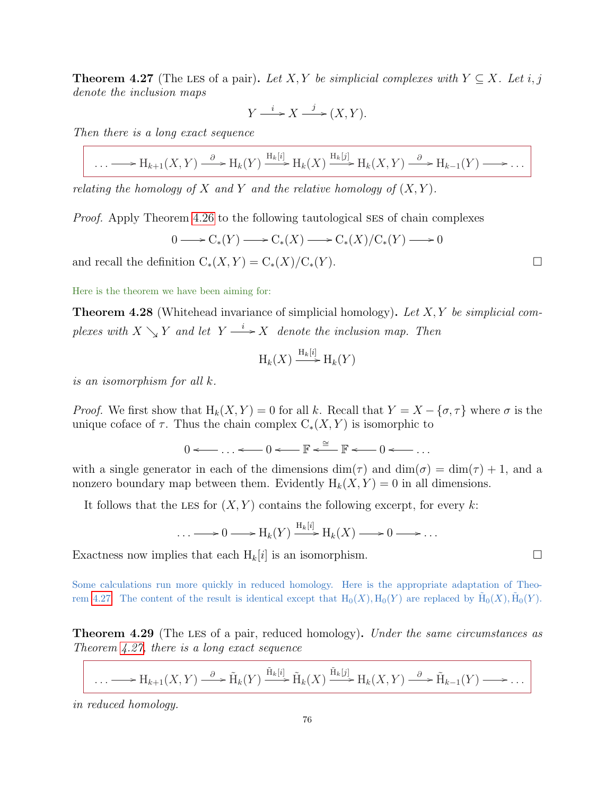<span id="page-75-0"></span>**Theorem 4.27** (The LES of a pair). Let X, Y be simplicial complexes with  $Y \subseteq X$ . Let i, j denote the inclusion maps

$$
Y \xrightarrow{i} X \xrightarrow{j} (X, Y).
$$

Then there is a long exact sequence

$$
\ldots \longrightarrow H_{k+1}(X,Y) \xrightarrow{\partial} H_k(Y) \xrightarrow{H_k[i]} H_k(X) \xrightarrow{H_k[j]} H_k(X,Y) \xrightarrow{\partial} H_{k-1}(Y) \longrightarrow \ldots
$$

relating the homology of X and Y and the relative homology of  $(X, Y)$ .

Proof. Apply Theorem [4.26](#page-72-0) to the following tautological ses of chain complexes

 $0 \longrightarrow C_*(Y) \longrightarrow C_*(X) \longrightarrow C_*(X)/C_*(Y) \longrightarrow 0$ 

and recall the definition  $C_*(X, Y) = C_*(X)/C_*(Y)$ .

Here is the theorem we have been aiming for:

**Theorem 4.28** (Whitehead invariance of simplicial homology). Let  $X, Y$  be simplicial complexes with  $X \searrow Y$  and let  $Y \stackrel{i}{\longrightarrow} X$  denote the inclusion map. Then

$$
\mathrm{H}_k(X) \xrightarrow{\mathrm{H}_k[i]} \mathrm{H}_k(Y)
$$

is an isomorphism for all k.

*Proof.* We first show that  $H_k(X, Y) = 0$  for all k. Recall that  $Y = X - {\sigma, \tau}$  where  $\sigma$  is the unique coface of  $\tau$ . Thus the chain complex  $C_*(X, Y)$  is isomorphic to

$$
0 \longleftarrow \ldots \longleftarrow 0 \longleftarrow \mathbb{F} \stackrel{\cong}{\longleftarrow} \mathbb{F} \longleftarrow 0 \longleftarrow \ldots
$$

with a single generator in each of the dimensions  $\dim(\tau)$  and  $\dim(\sigma) = \dim(\tau) + 1$ , and a nonzero boundary map between them. Evidently  $H_k(X, Y) = 0$  in all dimensions.

It follows that the LES for  $(X, Y)$  contains the following excerpt, for every k:

$$
\ldots \longrightarrow 0 \longrightarrow H_k(Y) \xrightarrow{H_k[i]} H_k(X) \longrightarrow 0 \longrightarrow \ldots
$$

Exactness now implies that each  $H_k[i]$  is an isomorphism.

Some calculations run more quickly in reduced homology. Here is the appropriate adaptation of Theo-rem [4.27.](#page-75-0) The content of the result is identical except that  $H_0(X), H_0(Y)$  are replaced by  $\tilde{H}_0(X), \tilde{H}_0(Y)$ .

**Theorem 4.29** (The LES of a pair, reduced homology). Under the same circumstances as Theorem [4.27,](#page-75-0) there is a long exact sequence

$$
\ldots \longrightarrow H_{k+1}(X,Y) \xrightarrow{\partial} \tilde{H}_k(Y) \xrightarrow{\tilde{H}_k[i]} \tilde{H}_k(X) \xrightarrow{\tilde{H}_k[j]} H_k(X,Y) \xrightarrow{\partial} \tilde{H}_{k-1}(Y) \longrightarrow \ldots
$$

in reduced homology.